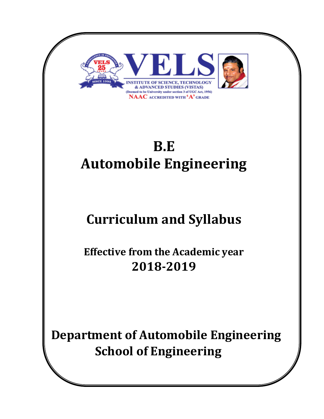

 **Department of Automobile Engineering School of Engineering**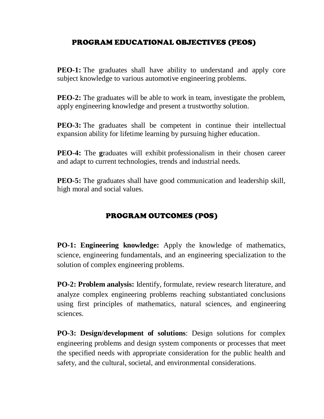# PROGRAM EDUCATIONAL OBJECTIVES (PEOS)

**PEO-1:** The graduates shall have ability to understand and apply core subject knowledge to various automotive engineering problems.

**PEO-2:** The graduates will be able to work in team, investigate the problem, apply engineering knowledge and present a trustworthy solution.

**PEO-3:** The graduates shall be competent in continue their intellectual expansion ability for lifetime learning by pursuing higher education.

**PEO-4:** The graduates will exhibit professionalism in their chosen career and adapt to current technologies, trends and industrial needs.

**PEO-5:** The graduates shall have good communication and leadership skill, high moral and social values.

# PROGRAM OUTCOMES (POS)

**PO-1: Engineering knowledge:** Apply the knowledge of mathematics, science, engineering fundamentals, and an engineering specialization to the solution of complex engineering problems.

**PO-2: Problem analysis:** Identify, formulate, review research literature, and analyze complex engineering problems reaching substantiated conclusions using first principles of mathematics, natural sciences, and engineering sciences.

**PO-3: Design/development of solutions**: Design solutions for complex engineering problems and design system components or processes that meet the specified needs with appropriate consideration for the public health and safety, and the cultural, societal, and environmental considerations.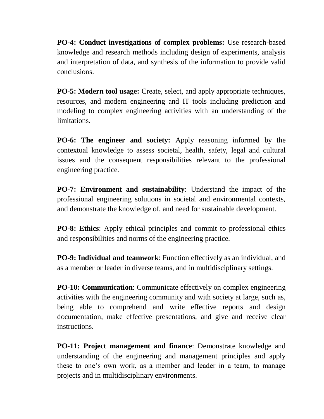**PO-4: Conduct investigations of complex problems:** Use research-based knowledge and research methods including design of experiments, analysis and interpretation of data, and synthesis of the information to provide valid conclusions.

**PO-5: Modern tool usage:** Create, select, and apply appropriate techniques, resources, and modern engineering and IT tools including prediction and modeling to complex engineering activities with an understanding of the **limitations** 

**PO-6: The engineer and society:** Apply reasoning informed by the contextual knowledge to assess societal, health, safety, legal and cultural issues and the consequent responsibilities relevant to the professional engineering practice.

**PO-7: Environment and sustainability**: Understand the impact of the professional engineering solutions in societal and environmental contexts, and demonstrate the knowledge of, and need for sustainable development.

**PO-8: Ethics**: Apply ethical principles and commit to professional ethics and responsibilities and norms of the engineering practice.

**PO-9: Individual and teamwork**: Function effectively as an individual, and as a member or leader in diverse teams, and in multidisciplinary settings.

**PO-10: Communication**: Communicate effectively on complex engineering activities with the engineering community and with society at large, such as, being able to comprehend and write effective reports and design documentation, make effective presentations, and give and receive clear instructions.

**PO-11: Project management and finance**: Demonstrate knowledge and understanding of the engineering and management principles and apply these to one's own work, as a member and leader in a team, to manage projects and in multidisciplinary environments.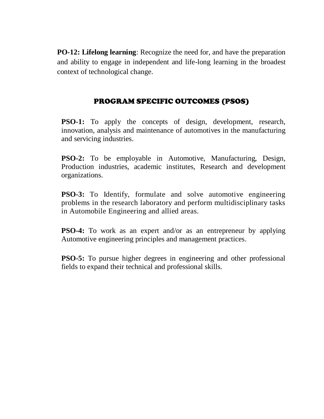**PO-12: Lifelong learning**: Recognize the need for, and have the preparation and ability to engage in independent and life-long learning in the broadest context of technological change.

# PROGRAM SPECIFIC OUTCOMES (PSOS)

**PSO-1:** To apply the concepts of design, development, research, innovation, analysis and maintenance of automotives in the manufacturing and servicing industries.

**PSO-2:** To be employable in Automotive, Manufacturing, Design, Production industries, academic institutes, Research and development organizations.

**PSO-3:** To Identify, formulate and solve automotive engineering problems in the research laboratory and perform multidisciplinary tasks in Automobile Engineering and allied areas.

**PSO-4:** To work as an expert and/or as an entrepreneur by applying Automotive engineering principles and management practices.

**PSO-5:** To pursue higher degrees in engineering and other professional fields to expand their technical and professional skills.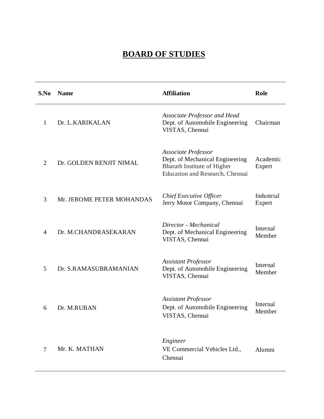# **BOARD OF STUDIES**

| S.No           | <b>Name</b>               | <b>Affiliation</b>                                                                                                              | Role                 |
|----------------|---------------------------|---------------------------------------------------------------------------------------------------------------------------------|----------------------|
| 1              | Dr. L.KARIKALAN           | <b>Associate Professor and Head</b><br>Dept. of Automobile Engineering<br>VISTAS, Chennai                                       | Chairman             |
| $\overline{2}$ | Dr. GOLDEN RENJIT NIMAL   | Associate Professor<br>Dept. of Mechanical Engineering<br><b>Bharath Institute of Higher</b><br>Education and Research, Chennai | Academic<br>Expert   |
| 3              | Mr. JEROME PETER MOHANDAS | Chief Executive Officer<br>Jerry Motor Company, Chennai                                                                         | Industrial<br>Expert |
| 4              | Dr. M.CHANDRASEKARAN      | Director - Mechanical<br>Dept. of Mechanical Engineering<br>VISTAS, Chennai                                                     | Internal<br>Member   |
| 5              | Dr. S.RAMASUBRAMANIAN     | <b>Assistant Professor</b><br>Dept. of Automobile Engineering<br>VISTAS, Chennai                                                | Internal<br>Member   |
| 6              | Dr. M.RUBAN               | <b>Assistant Professor</b><br>Dept. of Automobile Engineering<br>VISTAS, Chennai                                                | Internal<br>Member   |
| $\overline{7}$ | Mr. K. MATHAN             | Engineer<br>VE Commercial Vehicles Ltd.,<br>Chennai                                                                             | Alumni               |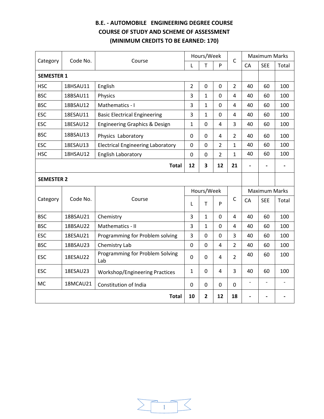# **B.E. - AUTOMOBILE ENGINEERING DEGREE COURSE COURSE OF STUDY AND SCHEME OF ASSESSMENT (MINIMUM CREDITS TO BE EARNED: 170)**

| Code No.<br>Category<br>Course      |          |                                          | Hours/Week     |                | $\mathsf{C}$   |                | <b>Maximum Marks</b>     |                      |       |
|-------------------------------------|----------|------------------------------------------|----------------|----------------|----------------|----------------|--------------------------|----------------------|-------|
|                                     |          |                                          | L              | T              | P              |                | CA                       | <b>SEE</b>           | Total |
| <b>SEMESTER 1</b>                   |          |                                          |                |                |                |                |                          |                      |       |
| <b>HSC</b>                          | 18HSAU11 | English                                  | $\overline{2}$ | $\overline{0}$ | 0              | $\overline{2}$ | 40                       | 60                   | 100   |
| <b>BSC</b>                          | 18BSAU11 | Physics                                  | 3              | $\mathbf{1}$   | $\mathbf 0$    | 4              | 40                       | 60                   | 100   |
| <b>BSC</b>                          | 18BSAU12 | Mathematics - I                          | 3              | $\mathbf{1}$   | $\mathbf 0$    | 4              | 40                       | 60                   | 100   |
| <b>ESC</b>                          | 18ESAU11 | <b>Basic Electrical Engineering</b>      | 3              | $\mathbf{1}$   | 0              | 4              | 40                       | 60                   | 100   |
| <b>ESC</b>                          | 18ESAU12 | Engineering Graphics & Design            | 1              | $\overline{0}$ | 4              | 3              | 40                       | 60                   | 100   |
| <b>BSC</b>                          | 18BSAU13 | Physics Laboratory                       | 0              | 0              | 4              | $\overline{2}$ | 40                       | 60                   | 100   |
| <b>ESC</b>                          | 18ESAU13 | <b>Electrical Engineering Laboratory</b> | $\Omega$       | $\Omega$       | $\overline{2}$ | $\mathbf{1}$   | 40                       | 60                   | 100   |
| <b>HSC</b>                          | 18HSAU12 | <b>English Laboratory</b>                | 0              | $\mathbf 0$    | $\overline{2}$ | $\mathbf{1}$   | 40                       | 60                   | 100   |
| 12<br>3<br>12<br>21<br><b>Total</b> |          |                                          |                |                |                |                | $\overline{\phantom{0}}$ |                      |       |
| <b>SEMESTER 2</b>                   |          |                                          |                |                |                |                |                          |                      |       |
|                                     |          |                                          |                | Hours/Week     |                |                |                          | <b>Maximum Marks</b> |       |
| Category                            | Code No. | Course                                   | L              | T              | P              | $\mathsf{C}$   | CA                       | <b>SEE</b>           | Total |
| <b>BSC</b>                          | 18BSAU21 | Chemistry                                | 3              | $\mathbf{1}$   | $\Omega$       | 4              | 40                       | 60                   | 100   |
| <b>BSC</b>                          | 18BSAU22 | Mathematics - II                         | 3              | $\mathbf{1}$   | $\mathbf 0$    | 4              | 40                       | 60                   | 100   |
| <b>ESC</b>                          | 18ESAU21 | Programming for Problem solving          | 3              | 0              | 0              | 3              | 40                       | 60                   | 100   |
| <b>BSC</b>                          | 18BSAU23 | Chemistry Lab                            | 0              | 0              | $\overline{4}$ | $\overline{2}$ | 40                       | 60                   | 100   |
| <b>ESC</b>                          | 18ESAU22 | Programming for Problem Solving<br>Lab   | 0              | $\Omega$       | 4              | $\overline{2}$ | 40                       | 60                   | 100   |
| <b>ESC</b>                          | 18ESAU23 | <b>Workshop/Engineering Practices</b>    | 1              | $\Omega$       | $\overline{4}$ | 3              | 40                       | 60                   | 100   |
| MC                                  | 18MCAU21 | Constitution of India                    | 0              | 0              | $\mathbf 0$    | 0              | $\overline{a}$           |                      |       |
|                                     |          | <b>Total</b>                             | 10             | $\overline{2}$ | 12             | 18             |                          |                      |       |

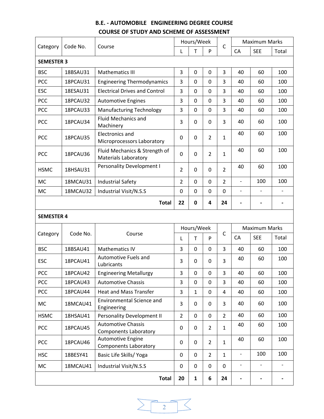# **B.E. - AUTOMOBILE ENGINEERING DEGREE COURSE COURSE OF STUDY AND SCHEME OF ASSESSMENT**

| Category          | Code No.<br>Course | Hours/Week                                                   |                | $\mathsf{C}$ | <b>Maximum Marks</b> |                |                              |                          |                          |
|-------------------|--------------------|--------------------------------------------------------------|----------------|--------------|----------------------|----------------|------------------------------|--------------------------|--------------------------|
|                   |                    |                                                              | L              | T            | P                    |                | CA                           | <b>SEE</b>               | Total                    |
| <b>SEMESTER 3</b> |                    |                                                              |                |              |                      |                |                              |                          |                          |
| <b>BSC</b>        | 18BSAU31           | <b>Mathematics III</b>                                       | 3              | $\mathbf 0$  | 0                    | 3              | 40                           | 60                       | 100                      |
| PCC               | 18PCAU31           | <b>Engineering Thermodynamics</b>                            | 3              | $\mathbf 0$  | 0                    | 3              | 40                           | 60                       | 100                      |
| <b>ESC</b>        | 18ESAU31           | <b>Electrical Drives and Control</b>                         | 3              | 0            | 0                    | 3              | 40                           | 60                       | 100                      |
| PCC               | 18PCAU32           | <b>Automotive Engines</b>                                    | 3              | 0            | 0                    | 3              | 40                           | 60                       | 100                      |
| PCC               | 18PCAU33           | <b>Manufacturing Technology</b>                              | 3              | 0            | 0                    | 3              | 40                           | 60                       | 100                      |
| <b>PCC</b>        | 18PCAU34           | <b>Fluid Mechanics and</b><br>Machinery                      | 3              | 0            | 0                    | 3              | 40                           | 60                       | 100                      |
| <b>PCC</b>        | 18PCAU35           | Electronics and<br>Microprocessors Laboratory                | 0              | 0            | $\overline{2}$       | 1              | 40                           | 60                       | 100                      |
| <b>PCC</b>        | 18PCAU36           | Fluid Mechanics & Strength of<br><b>Materials Laboratory</b> | 0              | 0            | $\overline{2}$       | 1              | 40                           | 60                       | 100                      |
| <b>HSMC</b>       | 18HSAU31           | <b>Personality Development I</b>                             | $\overline{2}$ | 0            | 0                    | $\overline{2}$ | 40                           | 60                       | 100                      |
| <b>MC</b>         | 18MCAU31           | <b>Industrial Safety</b>                                     | $\overline{2}$ | $\mathbf 0$  | 0                    | $\overline{2}$ | $\blacksquare$               | 100                      | 100                      |
| <b>MC</b>         | 18MCAU32           | Industrial Visit/N.S.S                                       | 0              | $\mathbf 0$  | 0                    | $\mathbf 0$    | $\frac{1}{2}$                | $\overline{\phantom{0}}$ |                          |
|                   |                    | <b>Total</b>                                                 | 22             | 0            | 4                    | 24             | $\qquad \qquad \blacksquare$ | -                        | $\overline{\phantom{0}}$ |
| <b>SEMESTER 4</b> |                    |                                                              |                |              |                      |                |                              |                          |                          |
|                   |                    |                                                              |                | Hours/Week   |                      |                |                              | <b>Maximum Marks</b>     |                          |
| Category          | Code No.           | Course                                                       | L              | T            | P                    | $\mathsf{C}$   | CA                           | <b>SEE</b>               | Total                    |
| <b>BSC</b>        | 18BSAU41           | <b>Mathematics IV</b>                                        | 3              | 0            | 0                    | 3              | 40                           | 60                       | 100                      |
| <b>ESC</b>        | 18PCAU41           | Automotive Fuels and<br>Lubricants                           | 3              | 0            | 0                    | 3              | 40                           | 60                       | 100                      |
| PCC               | 18PCAU42           | <b>Engineering Metallurgy</b>                                | 3              | 0            | 0                    | 3              | 40                           | 60                       | 100                      |
| PCC               | 18PCAU43           | <b>Automotive Chassis</b>                                    | 3              | $\mathbf 0$  | $\mathbf 0$          | $\overline{3}$ | 40                           | 60                       | 100                      |
| <b>PCC</b>        | 18PCAU44           | <b>Heat and Mass Transfer</b>                                | 3              | $\mathbf{1}$ | $\mathbf 0$          | $\overline{4}$ | 40                           | 60                       | 100                      |
| <b>MC</b>         | 18MCAU41           | <b>Environmental Science and</b><br>Engineering              | 3              | 0            | 0                    | 3              | 40                           | 60                       | 100                      |
| <b>HSMC</b>       | 18HSAU41           | Personality Development II                                   | $\overline{2}$ | 0            | 0                    | $\overline{2}$ | 40                           | 60                       | 100                      |
| <b>PCC</b>        | 18PCAU45           | <b>Automotive Chassis</b><br><b>Components Laboratory</b>    | 0              | 0            | $\overline{2}$       | $\mathbf{1}$   | 40                           | 60                       | 100                      |
| PCC               | 18PCAU46           | Automotive Engine<br><b>Components Laboratory</b>            | 0              | $\mathbf 0$  | $\overline{2}$       | $\mathbf{1}$   | 40                           | 60                       | 100                      |
| <b>HSC</b>        | 18BESY41           | Basic Life Skills/ Yoga                                      | 0              | 0            | $\overline{2}$       | $\mathbf{1}$   | $\overline{\phantom{a}}$     | 100                      | 100                      |
| <b>MC</b>         | 18MCAU41           | Industrial Visit/N.S.S                                       | 0              | $\mathbf 0$  | 0                    | $\mathbf 0$    | $\overline{\phantom{a}}$     | $\overline{\phantom{0}}$ |                          |
|                   |                    | <b>Total</b>                                                 | 20             | $\mathbf{1}$ | 6                    | 24             |                              |                          |                          |

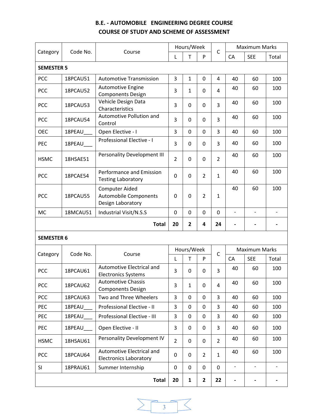# **B.E. - AUTOMOBILE ENGINEERING DEGREE COURSE COURSE OF STUDY AND SCHEME OF ASSESSMENT**

|                   | Code No. |                                                                            | Hours/Week     |              |                | <b>Maximum Marks</b> |                          |                          |       |
|-------------------|----------|----------------------------------------------------------------------------|----------------|--------------|----------------|----------------------|--------------------------|--------------------------|-------|
| Category          |          | Course                                                                     | L              | T            | P              | $\mathsf C$          | CA                       | <b>SEE</b>               | Total |
| <b>SEMESTER 5</b> |          |                                                                            |                |              |                |                      |                          |                          |       |
| <b>PCC</b>        | 18PCAU51 | <b>Automotive Transmission</b>                                             | 3              | $\mathbf{1}$ | 0              | 4                    | 40                       | 60                       | 100   |
| <b>PCC</b>        | 18PCAU52 | Automotive Engine<br><b>Components Design</b>                              | 3              | $\mathbf{1}$ | 0              | 4                    | 40                       | 60                       | 100   |
| PCC               | 18PCAU53 | Vehicle Design Data<br>Characteristics                                     | 3              | 0            | 0              | 3                    | 40                       | 60                       | 100   |
| PCC               | 18PCAU54 | Automotive Pollution and<br>Control                                        | 3              | 0            | 0              | 3                    | 40                       | 60                       | 100   |
| <b>OEC</b>        | 18PEAU   | Open Elective - I                                                          | 3              | 0            | $\mathbf 0$    | 3                    | 40                       | 60                       | 100   |
| PEC               | 18PEAU   | Professional Elective - I                                                  | 3              | 0            | 0              | 3                    | 40                       | 60                       | 100   |
| <b>HSMC</b>       | 18HSAE51 | Personality Development III                                                | $\overline{2}$ | 0            | 0              | $\overline{2}$       | 40                       | 60                       | 100   |
| <b>PCC</b>        | 18PCAE54 | Performance and Emission<br><b>Testing Laboratory</b>                      | 0              | 0            | $\overline{2}$ | $\mathbf{1}$         | 40                       | 60                       | 100   |
| <b>PCC</b>        | 18PCAU55 | <b>Computer Aided</b><br><b>Automobile Components</b><br>Design Laboratory | 0              | 0            | $\overline{2}$ | $\mathbf{1}$         | 40                       | 60                       | 100   |
| <b>MC</b>         | 18MCAU51 | Industrial Visit/N.S.S                                                     | 0              | 0            | 0              | 0                    | $\overline{\phantom{a}}$ | $\overline{\phantom{a}}$ |       |
|                   |          | <b>Total</b>                                                               | 20             | 2            | 4              | 24                   |                          |                          |       |
| <b>SEMESTER 6</b> |          |                                                                            |                |              |                |                      |                          |                          |       |
|                   |          |                                                                            | Hours/Week     |              |                |                      | <b>Maximum Marks</b>     |                          |       |
| Category          | Code No. | Course                                                                     | L              | T            | P              | $\mathsf{C}$         | CA                       | <b>SEE</b>               | Total |
| <b>PCC</b>        | 18PCAU61 | Automotive Electrical and<br><b>Electronics Systems</b>                    | 3              | 0            | 0              | 3                    | 40                       | 60                       | 100   |
| PCC               | 18PCAU62 | <b>Automotive Chassis</b><br><b>Components Design</b>                      | 3              | $\mathbf{1}$ | 0              | 4                    | 40                       | 60                       | 100   |
| <b>PCC</b>        | 18PCAU63 | Two and Three Wheelers                                                     | 3              | 0            | $\mathbf 0$    | 3                    | 40                       | 60                       | 100   |
| PEC               | 18PEAU   | Professional Elective - II                                                 | 3              | 0            | 0              | 3                    | 40                       | 60                       | 100   |
| PEC               | 18PEAU   | Professional Elective - III                                                | 3              | 0            | 0              | 3                    | 40                       | 60                       | 100   |
| <b>PEC</b>        | 18PEAU   | Open Elective - II                                                         | 3              | 0            | 0              | 3                    | 40                       | 60                       | 100   |
| <b>HSMC</b>       | 18HSAU61 | Personality Development IV                                                 | $\overline{2}$ | 0            | 0              | $\overline{2}$       | 40                       | 60                       | 100   |
| PCC               | 18PCAU64 | Automotive Electrical and<br><b>Electronics Laboratory</b>                 | 0              | 0            | $\overline{2}$ | $\mathbf{1}$         | 40                       | 60                       | 100   |
| SI                | 18PRAU61 | Summer Internship                                                          | 0              | 0            | 0              | 0                    | $\qquad \qquad -$        | $\overline{\phantom{0}}$ |       |
|                   |          |                                                                            | 20             |              | $\mathbf{2}$   | 22                   |                          |                          |       |

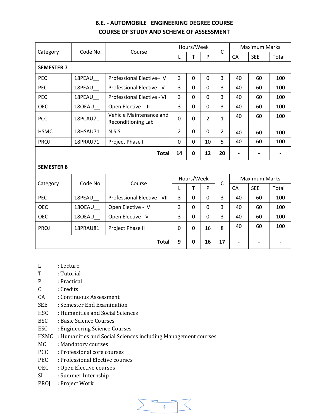# **B.E. - AUTOMOBILE ENGINEERING DEGREE COURSE COURSE OF STUDY AND SCHEME OF ASSESSMENT**

|                   | Code No.        |                                               |                | Hours/Week     |                |                      | <b>Maximum Marks</b>     |            |                              |
|-------------------|-----------------|-----------------------------------------------|----------------|----------------|----------------|----------------------|--------------------------|------------|------------------------------|
| Category          |                 | Course                                        | L              | T              | P              | $\mathsf C$          | <b>CA</b>                | <b>SEE</b> | Total                        |
| <b>SEMESTER 7</b> |                 |                                               |                |                |                |                      |                          |            |                              |
| <b>PEC</b>        | 18PEAU_         | Professional Elective-IV                      | 3              | 0              | 0              | 3                    | 40                       | 60         | 100                          |
| PEC               | 18PEAU          | Professional Elective - V                     | 3              | 0              | 0              | 3                    | 40                       | 60         | 100                          |
| PEC               | 18PEAU          | Professional Elective - VI                    | 3              | $\overline{0}$ | $\mathbf{0}$   | 3                    | 40                       | 60         | 100                          |
| <b>OEC</b>        | 180EAU_         | Open Elective - III                           | 3              | 0              | 0              | 3                    | 40                       | 60         | 100                          |
| <b>PCC</b>        | 18PCAU71        | Vehicle Maintenance and<br>Reconditioning Lab | 0              | 0              | $\overline{2}$ | $\mathbf{1}$         | 40                       | 60         | 100                          |
| <b>HSMC</b>       | 18HSAU71        | N.S.S                                         | $\overline{2}$ | $\mathbf{0}$   | 0              | $\overline{2}$       | 40                       | 60         | 100                          |
| <b>PROJ</b>       | 18PRAU71        | Project Phase I                               | 0              | 0              | 10             | 5                    | 40                       | 60         | 100                          |
|                   |                 | <b>Total</b>                                  | 14             | $\mathbf 0$    | 12             | 20                   | $\overline{\phantom{a}}$ |            | $\qquad \qquad \blacksquare$ |
| <b>SEMESTER 8</b> |                 |                                               |                |                |                |                      |                          |            |                              |
|                   |                 |                                               | Hours/Week     |                |                | <b>Maximum Marks</b> |                          |            |                              |
| Category          | Code No.        | Course                                        | L              | T              | P              | $\mathsf{C}$         | CA                       | <b>SEE</b> | Total                        |
| PEC               | 18PEAU_         | Professional Elective - VII                   | 3              | $\mathbf{0}$   | 0              | 3                    | 40                       | 60         | 100                          |
| <b>OEC</b>        | 180EAU          | Open Elective - IV                            | 3              | 0              | 0              | 3                    | 40                       | 60         | 100                          |
| <b>OEC</b>        | 180EAU_         | Open Elective - V                             | 3              | 0              | 0              | 3                    | 40                       | 60         | 100                          |
| <b>PROJ</b>       | <b>18PRAU81</b> | Project Phase II                              | 0              | $\mathbf{0}$   | 16             | 8                    | 40                       | 60         | 100                          |
|                   |                 | <b>Total</b>                                  | 9              | $\mathbf 0$    | 16             | 17                   | $\blacksquare$           |            |                              |

- L : Lecture
- T : Tutorial
- P : Practical
- C : Credits
- CA : Continuous Assessment
- SEE : Semester End Examination
- HSC : Humanities and Social Sciences
- BSC : Basic Science Courses
- ESC : Engineering Science Courses
- HSMC : Humanities and Social Sciences including Management courses
- MC : Mandatory courses
- PCC : Professional core courses
- PEC : Professional Elective courses
- OEC : Open Elective courses
- SI : Summer Internship
- PROJ : Project Work

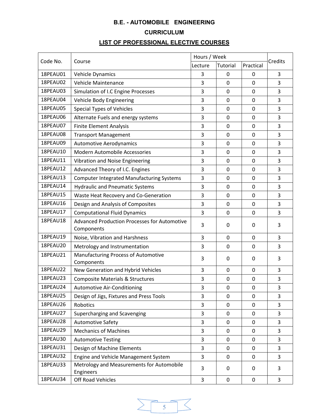# **B.E. - AUTOMOBILE ENGINEERING CURRICULUM**

# **LIST OF PROFESSIONAL ELECTIVE COURSES**

|                 |                                                                   | Hours / Week |              |             |         |
|-----------------|-------------------------------------------------------------------|--------------|--------------|-------------|---------|
| Code No.        | Course                                                            | Lecture      | Tutorial     | Practical   | Credits |
| 18PEAU01        | Vehicle Dynamics                                                  | 3            | 0            | 0           | 3       |
| 18PEAU02        | Vehicle Maintenance                                               | 3            | 0            | $\mathbf 0$ | 3       |
| 18PEAU03        | Simulation of I.C Engine Processes                                | 3            | $\mathbf 0$  | $\mathbf 0$ | 3       |
| 18PEAU04        | Vehicle Body Engineering                                          | 3            | $\mathbf 0$  | 0           | 3       |
| 18PEAU05        | <b>Special Types of Vehicles</b>                                  | 3            | $\mathbf 0$  | $\mathbf 0$ | 3       |
| 18PEAU06        | Alternate Fuels and energy systems                                | 3            | $\mathbf 0$  | $\mathbf 0$ | 3       |
| 18PEAU07        | <b>Finite Element Analysis</b>                                    | 3            | $\mathbf 0$  | $\mathbf 0$ | 3       |
| 18PEAU08        | <b>Transport Management</b>                                       | 3            | 0            | 0           | 3       |
| 18PEAU09        | <b>Automotive Aerodynamics</b>                                    | 3            | 0            | $\mathbf 0$ | 3       |
| 18PEAU10        | Modern Automobile Accessories                                     | 3            | $\mathbf 0$  | $\mathbf 0$ | 3       |
| 18PEAU11        | Vibration and Noise Engineering                                   | 3            | $\mathbf 0$  | $\mathbf 0$ | 3       |
| 18PEAU12        | Advanced Theory of I.C. Engines                                   | 3            | 0            | $\mathbf 0$ | 3       |
| 18PEAU13        | <b>Computer Integrated Manufacturing Systems</b>                  | 3            | $\mathbf 0$  | $\mathbf 0$ | 3       |
| 18PEAU14        | <b>Hydraulic and Pneumatic Systems</b>                            | 3            | $\mathbf 0$  | $\mathbf 0$ | 3       |
| 18PEAU15        | Waste Heat Recovery and Co-Generation                             | 3            | 0            | $\mathbf 0$ | 3       |
| 18PEAU16        | Design and Analysis of Composites                                 | 3            | $\mathbf 0$  | 0           | 3       |
| 18PEAU17        | <b>Computational Fluid Dynamics</b>                               | 3            | $\mathbf 0$  | $\mathbf 0$ | 3       |
| <b>18PEAU18</b> | <b>Advanced Production Processes for Automotive</b><br>Components | 3            | 0            | 0           | 3       |
| 18PEAU19        | Noise, Vibration and Harshness                                    | 3            | $\mathbf 0$  | $\mathbf 0$ | 3       |
| 18PEAU20        | Metrology and Instrumentation                                     | 3            | 0            | $\mathbf 0$ | 3       |
| 18PEAU21        | Manufacturing Process of Automotive<br>Components                 | 3            | $\mathbf{0}$ | 0           | 3       |
| 18PEAU22        | New Generation and Hybrid Vehicles                                | 3            | $\mathbf 0$  | $\mathbf 0$ | 3       |
| <b>18PEAU23</b> | <b>Composite Materials &amp; Structures</b>                       | 3            | 0            | $\mathbf 0$ | 3       |
| 18PEAU24        | <b>Automotive Air-Conditioning</b>                                | 3            | 0            | 0           | 3       |
| 18PEAU25        | Design of Jigs, Fixtures and Press Tools                          | 3            | 0            | 0           | 3       |
| 18PEAU26        | Robotics                                                          | 3            | 0            | $\mathbf 0$ | 3       |
| 18PEAU27        | Supercharging and Scavenging                                      | 3            | $\mathbf 0$  | $\mathbf 0$ | 3       |
| 18PEAU28        | <b>Automotive Safety</b>                                          | 3            | 0            | 0           | 3       |
| 18PEAU29        | <b>Mechanics of Machines</b>                                      | 3            | 0            | 0           | 3       |
| 18PEAU30        | <b>Automotive Testing</b>                                         | 3            | 0            | 0           | 3       |
| 18PEAU31        | Design of Machine Elements                                        | 3            | $\mathbf 0$  | 0           | 3       |
| 18PEAU32        | Engine and Vehicle Management System                              | 3            | $\mathbf 0$  | $\mathbf 0$ | 3       |
| 18PEAU33        | Metrology and Measurements for Automobile<br>Engineers            | 3            | 0            | 0           | 3       |
| 18PEAU34        | Off Road Vehicles                                                 | 3            | $\mathbf 0$  | $\pmb{0}$   | 3       |

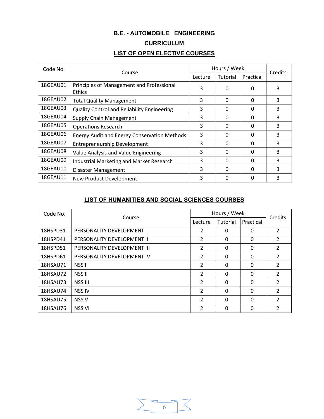# **B.E. - AUTOMOBILE ENGINEERING CURRICULUM LIST OF OPEN ELECTIVE COURSES**

| Code No. |                                                            | Hours / Week | Credits  |           |   |
|----------|------------------------------------------------------------|--------------|----------|-----------|---|
|          | Course                                                     | Lecture      | Tutorial | Practical |   |
| 18GEAU01 | Principles of Management and Professional<br><b>Ethics</b> | 3            | 0        | O         | 3 |
| 18GEAU02 | <b>Total Quality Management</b>                            | 3            | 0        | ŋ         | 3 |
| 18GEAU03 | <b>Quality Control and Reliability Engineering</b>         | 3            | 0        | 0         | 3 |
| 18GEAU04 | Supply Chain Management                                    | 3            | 0        | 0         | 3 |
| 18GEAU05 | <b>Operations Research</b>                                 | 3            | 0        | 0         | 3 |
| 18GEAU06 | <b>Energy Audit and Energy Conservation Methods</b>        | 3            | 0        | ŋ         | 3 |
| 18GEAU07 | <b>Entrepreneurship Development</b>                        | 3            | 0        | 0         | 3 |
| 18GEAU08 | Value Analysis and Value Engineering                       | 3            | 0        | 0         | 3 |
| 18GEAU09 | <b>Industrial Marketing and Market Research</b>            | 3            | O        | O         | 3 |
| 18GEAU10 | Disaster Management                                        | 3            | 0        | ŋ         | 3 |
| 18GEAU11 | New Product Development                                    | 3            | 0        | ი         | 3 |

# **LIST OF HUMANITIES AND SOCIAL SCIENCES COURSES**

| Code No. |                             |                | Hours / Week |           |                |  |
|----------|-----------------------------|----------------|--------------|-----------|----------------|--|
|          | Course                      | Lecture        | Tutorial     | Practical | Credits        |  |
| 18HSPD31 | PERSONALITY DEVELOPMENT I   | 2              | 0            | 0         | $\overline{2}$ |  |
| 18HSPD41 | PERSONALITY DEVELOPMENT II  | 2              | 0            | $\Omega$  | 2              |  |
| 18HSPD51 | PERSONALITY DEVELOPMENT III | 2              | $\Omega$     | $\Omega$  | $\overline{2}$ |  |
| 18HSPD61 | PERSONALITY DEVELOPMENT IV  | 2              | 0            | $\Omega$  | $\overline{2}$ |  |
| 18HSAU71 | NSS <sub>I</sub>            | 2              | $\Omega$     | $\Omega$  | 2              |  |
| 18HSAU72 | <b>NSS II</b>               | 2              | 0            | $\Omega$  | 2              |  |
| 18HSAU73 | NSS III                     | $\overline{2}$ | 0            | $\Omega$  | $\overline{2}$ |  |
| 18HSAU74 | <b>NSS IV</b>               | $\overline{2}$ | 0            | $\Omega$  | 2              |  |
| 18HSAU75 | NSS <sub>V</sub>            | $\overline{2}$ | 0            | $\Omega$  | $\overline{2}$ |  |
| 18HSAU76 | <b>NSS VI</b>               | $\mathfrak{p}$ | $\Omega$     | 0         | $\mathfrak{p}$ |  |

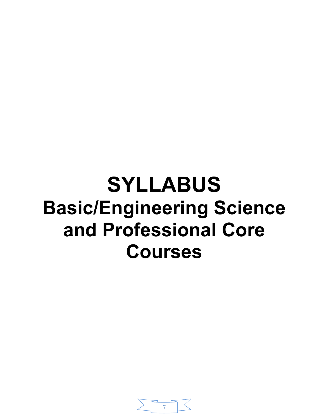# **SYLLABUS Basic/Engineering Science and Professional Core Courses**

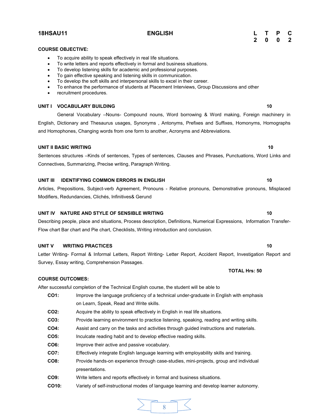#### **COURSE OBJECTIVE:**

- ∑ To acquire ability to speak effectively in real life situations.
- ∑ To write letters and reports effectively in formal and business situations.
- ∑ To develop listening skills for academic and professional purposes.
- ∑ To gain effective speaking and listening skills in communication.
- To develop the soft skills and interpersonal skills to excel in their career.
- ∑ To enhance the performance of students at Placement Interviews, Group Discussions and other
- recruitment procedures.

#### **UNIT I VOCABULARY BUILDING 10**

General Vocabulary –Nouns- Compound nouns, Word borrowing & Word making, Foreign machinery in English, Dictionary and Thesaurus usages, Synonyms , Antonyms, Prefixes and Suffixes, Homonyms, Homographs and Homophones, Changing words from one form to another, Acronyms and Abbreviations.

#### **UNIT II BASIC WRITING 10**

Sentences structures –Kinds of sentences, Types of sentences, Clauses and Phrases, Punctuations, Word Links and Connectives, Summarizing, Precise writing, Paragraph Writing.

#### **UNIT III IDENTIFYING COMMON ERRORS IN ENGLISH 10**

Articles, Prepositions, Subject-verb Agreement, Pronouns - Relative pronouns, Demonstrative pronouns, Misplaced Modifiers, Redundancies, Clichés, Infinitives& Gerund

#### **UNIT IV NATURE AND STYLE OF SENSIBLE WRITING 10** 10

Describing people, place and situations, Process description, Definitions, Numerical Expressions, Information Transfer-Flow chart Bar chart and Pie chart, Checklists, Writing introduction and conclusion.

#### **UNIT V WRITING PRACTICES** 10

Letter Writing- Formal & Informal Letters, Report Writing- Letter Report, Accident Report, Investigation Report and Survey, Essay writing, Comprehension Passages.

**COURSE OUTCOMES:**

After successful completion of the Technical English course, the student will be able to

- **CO1:** Improve the language proficiency of a technical under-graduate in English with emphasis on Learn, Speak, Read and Write skills.
- **CO2:** Acquire the ability to speak effectively in English in real life situations.
- **CO3:** Provide learning environment to practice listening, speaking, reading and writing skills.
- **CO4:** Assist and carry on the tasks and activities through guided instructions and materials.
- **CO5:** Inculcate reading habit and to develop effective reading skills.
- **CO6:** Improve their active and passive vocabulary.
- **CO7:** Effectively integrate English language learning with employability skills and training.
- **CO8:** Provide hands-on experience through case-studies, mini-projects, group and individual presentations.
- **CO9:** Write letters and reports effectively in formal and business situations.
- **CO10:** Variety of self-instructional modes of language learning and develop learner autonomy.



#### **18HSAU11 ENGLISH L T P C 2 0 0 2**

**TOTAL Hrs: 50**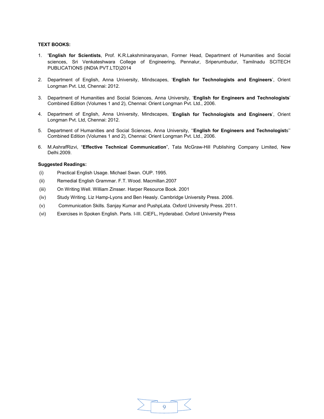#### **TEXT BOOKS:**

- 1. **'English for Scientists**, Prof. K.R.Lakshminarayanan, Former Head, Department of Humanities and Social sciences, Sri Venkateshwara College of Engineering, Pennalur, Sriperumbudur, Tamilnadu SCITECH PUBLICATIONS (INDIA PVT.LTD)2014
- 2. Department of English, Anna University, Mindscapes, '**English for Technologists and Engineers**', Orient Longman Pvt. Ltd, Chennai: 2012.
- 3. Department of Humanities and Social Sciences, Anna University, '**English for Engineers and Technologists**' Combined Edition (Volumes 1 and 2), Chennai: Orient Longman Pvt. Ltd., 2006.
- 4. Department of English, Anna University, Mindscapes, '**English for Technologists and Engineers**', Orient Longman Pvt. Ltd, Chennai: 2012.
- 5. Department of Humanities and Social Sciences, Anna University, ''**English for Engineers and Technologist**s'' Combined Edition (Volumes 1 and 2), Chennai: Orient Longman Pvt. Ltd., 2006.
- 6. M.AshrafRizvi, "**Effective Technical Communication**", Tata McGraw-Hill Publishing Company Limited, New Delhi.2009.

#### **Suggested Readings:**

- (i) Practical English Usage. Michael Swan. OUP. 1995.
- (ii) Remedial English Grammar. F.T. Wood. Macmillan.2007
- (iii) On Writing Well. William Zinsser. Harper Resource Book. 2001
- (iv) Study Writing. Liz Hamp-Lyons and Ben Heasly. Cambridge University Press. 2006.
- (v) Communication Skills. Sanjay Kumar and PushpLata. Oxford University Press. 2011.
- (vi) Exercises in Spoken English. Parts. I-III. CIEFL, Hyderabad. Oxford University Press

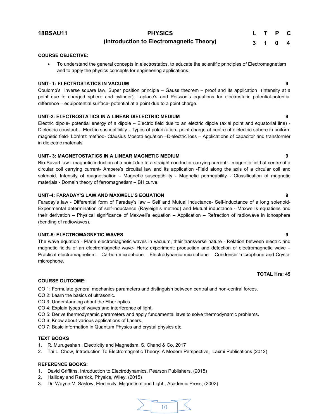**18BSAU11 PHYSICS**

**L T P C 3 1 0 4**

### **(Introduction to Electromagnetic Theory)**

#### **COURSE OBJECTIVE:**

To understand the general concepts in electrostatics, to educate the scientific principles of Electromagnetism and to apply the physics concepts for engineering applications.

#### **UNIT- 1: ELECTROSTATICS IN VACUUM 9**

Coulomb's inverse square law, Super position principle – Gauss theorem – proof and its application (intensity at a point due to charged sphere and cylinder), Laplace's and Poisson's equations for electrostatic potential-potential difference – equipotential surface- potential at a point due to a point charge.

#### **UNIT-2: ELECTROSTATICS IN A LINEAR DIELECTRIC MEDIUM 9**

Electric dipole- potential energy of a dipole – Electric field due to an electric dipole (axial point and equatorial line) - Dielectric constant – Electric susceptibility - Types of polarization- point charge at centre of dielectric sphere in uniform magnetic field- Lorentz method- Clausius Mosotti equation –Dielectric loss – Applications of capacitor and transformer in dielectric materials

#### **UNIT- 3: MAGNETOSTATICS IN A LINEAR MAGNETIC MEDIUM 9**

Bio-Savart law - magnetic induction at a point due to a straight conductor carrying current – magnetic field at centre of a circular coil carrying current- Ampere's circuital law and its application -Field along the axis of a circular coil and solenoid. Intensity of magnetisation - Magnetic susceptibility - Magnetic permeability - Classification of magnetic materials - Domain theory of ferromagnetism – BH curve.

#### **UNIT-4: FARADAY'S LAW AND MAXWELL'S EQUATION 9**

Faraday's law - Differential form of Faraday's law – Self and Mutual inductance- Self-inductance of a long solenoid-Experimental determination of self-inductance (Rayleigh's method) and Mutual inductance - Maxwell's equations and their derivation – Physical significance of Maxwell's equation – Application – Refraction of radiowave in ionosphere (bending of radiowaves).

#### **UNIT-5: ELECTROMAGNETIC WAVES 9**

The wave equation - Plane electromagnetic waves in vacuum, their transverse nature - Relation between electric and magnetic fields of an electromagnetic wave- Hertz experiment: production and detection of electromagnetic wave – Practical electromagnetism – Carbon microphone – Electrodynamic microphone – Condenser microphone and Crystal microphone.

#### **COURSE OUTCOME:**

- CO 1: Formulate general mechanics parameters and distinguish between central and non-central forces.
- CO 2: Learn the basics of ultrasonic.
- CO 3: Understanding about the Fiber optics.
- CO 4: Explain types of waves and interference of light.
- CO 5: Derive thermodynamic parameters and apply fundamental laws to solve thermodynamic problems.
- CO 6: Know about various applications of Lasers.
- CO 7: Basic information in Quantum Physics and crystal physics etc.

#### **TEXT BOOKS**

- 1. R. Murugeshan , Electricity and Magnetism, S. Chand & Co, 2017
- 2. Tai L. Chow, Introduction To Electromagnetic Theory: A Modern Perspective, Laxmi Publications (2012)

#### **REFERENCE BOOKS:**

- 1. David Griffiths, Introduction to Electrodynamics, Pearson Publishers, (2015)
- 2. Halliday and Resnick, Physics, Wiley, (2015)
- 3. Dr. Wayne M. Saslow, Electricity, Magnetism and Light , Academic Press, (2002)



#### **TOTAL Hrs: 45**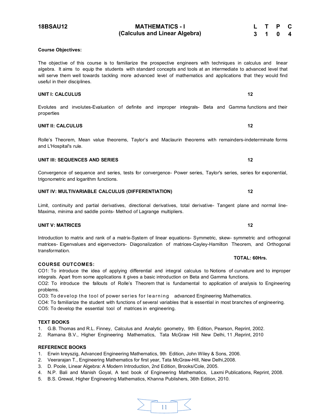# **18BSAU12 MATHEMATICS - I**

#### **Course Objectives:**

The objective of this course is to familiarize the prospective engineers with techniques in calculus and linear algebra. It aims to equip the students with standard concepts and tools at an intermediate to advanced level that will serve them well towards tackling more advanced level of mathematics and applications that they would find useful in their disciplines.

**(Calculus and Linear Algebra)** 

#### **UNIT I: CALCULUS 12**

#### Evolutes and involutes-Evaluation of definite and improper integrals- Beta and Gamma functions and their properties

#### **UNIT II: CALCULUS 12**

Rolle's Theorem, Mean value theorems, Taylor's and Maclaurin theorems with remainders-indeterminate forms and L'Hospital's rule.

#### **UNIT III: SEQUENCES AND SERIES 12 12**

Convergence of sequence and series, tests for convergence- Power series, Taylor's series, series for exponential, trigonometric and logarithm functions.

#### **UNIT IV: MULTIVARIABLE CALCULUS (DIFFERENTIATION) 12**

Limit, continuity and partial derivatives, directional derivatives, total derivative- Tangent plane and normal line-Maxima, minima and saddle points- Method of Lagrange multipliers.

# **UNIT V: MATRICES 12**

Introduction to matrix and rank of a matrix-System of linear equations- Symmetric, skew- symmetric and orthogonal matrices- Eigenvalues and eigenvectors- Diagonalization of matrices-Cayley-Hamilton Theorem, and Orthogonal transformation.

#### **COURSE OUTCOMES:**

CO1: To introduce the idea of applying differential and integral calculus to Notions of curvature and to improper integrals. Apart from some applications it gives a basic introduction on Beta and Gamma functions. CO2: To introduce the fallouts of Rolle's Theorem that is fundamental to application of analysis to Engineering problems.

CO3: To develop the tool of power series for learning advanced Engineering Mathematics. CO4: To familiarize the student with functions of several variables that is essential in most branches of engineering.

CO5: To develop the essential tool of matrices in engineering.

#### **TEXT BOOKS**

1. G.B. Thomas and R.L. Finney, Calculus and Analytic geometry, 9th Edition, Pearson, Reprint, 2002.

2. Ramana B.V., Higher Engineering Mathematics, Tata McGraw Hill New Delhi, 11 ,Reprint, 2010

#### **REFERENCE BOOKS**

- 1. Erwin kreyszig, Advanced Engineering Mathematics, 9th Edition, John Wiley & Sons, 2006.
- 2. Veerarajan T., Engineering Mathematics for first year, Tata McGraw-Hill, New Delhi,2008.
- 3. D. Poole, Linear Algebra: A Modern Introduction, 2nd Edition, Brooks/Cole, 2005.
- 4. N.P. Bali and Manish Goyal, A text book of Engineering Mathematics, Laxmi Publications, Reprint, 2008.
- 5. B.S. Grewal, Higher Engineering Mathematics, Khanna Publishers, 36th Edition, 2010.

#### **TOTAL: 60Hrs.**

**L T P C 3 1 0 4**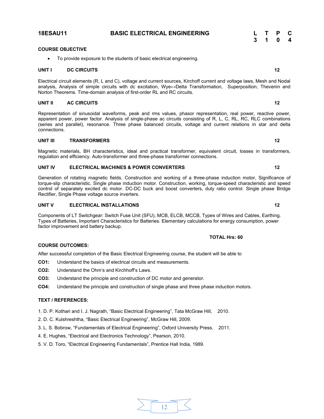# **UNIT I DC CIRCUITS 12**

Electrical circuit elements (R, L and C), voltage and current sources, Kirchoff current and voltage laws, Mesh and Nodal analysis, Analysis of simple circuits with dc excitation, Wye↔Delta Transformation, Superposition, Thevenin and Norton Theorems. Time-domain analysis of first-order RL and RC circuits.

### **UNIT II AC CIRCUITS 12**

Representation of sinusoidal waveforms, peak and rms values, phasor representation, real power, reactive power, apparent power, power factor. Analysis of single-phase ac circuits consisting of R, L, C, RL, RC, RLC combinations (series and parallel), resonance. Three phase balanced circuits, voltage and current relations in star and delta connections.

### **UNIT III TRANSFORMERS 12**

Magnetic materials, BH characteristics, ideal and practical transformer, equivalent circuit, losses in transformers, regulation and efficiency. Auto-transformer and three-phase transformer connections.

### **UNIT IV ELECTRICAL MACHINES & POWER CONVERTERS 12**

● To provide exposure to the students of basic electrical engineering.

Generation of rotating magnetic fields, Construction and working of a three-phase induction motor, Significance of torque-slip characteristic. Single phase induction motor. Construction, working, torque-speed characteristic and speed control of separately excited dc motor. DC-DC buck and boost converters, duty ratio control. Single phase Bridge Rectifier, Single Phase voltage source inverters.

### **UNIT V ELECTRICAL INSTALLATIONS 12**

Components of LT Switchgear: Switch Fuse Unit (SFU), MCB, ELCB, MCCB, Types of Wires and Cables, Earthing. Types of Batteries, Important Characteristics for Batteries. Elementary calculations for energy consumption, power factor improvement and battery backup.

# **COURSE OUTCOMES:**

After successful completion of the Basic Electrical Engineering course, the student will be able to

- **CO1:** Understand the basics of electrical circuits and measurements.
- **CO2:** Understand the Ohm's and Kirchhoff's Laws.
- **CO3:** Understand the principle and construction of DC motor and generator.
- **CO4:** Understand the principle and construction of single phase and three phase induction motors.

### **TEXT / REFERENCES:**

- 1. D. P. Kothari and I. J. Nagrath, "Basic Electrical Engineering", Tata McGraw Hill, 2010.
- 2. D. C. Kulshreshtha, "Basic Electrical Engineering", McGraw Hill, 2009.
- 3. L. S. Bobrow, "Fundamentals of Electrical Engineering", Oxford University Press, 2011.
- 4. E. Hughes, "Electrical and Electronics Technology", Pearson, 2010.
- 5. V. D. Toro, "Electrical Engineering Fundamentals", Prentice Hall India, 1989.

# **18ESAU11 BASIC ELECTRICAL ENGINEERING L T P C**

#### **COURSE OBJECTIVE**

**3 1 0 4**

### **TOTAL Hrs: 60**

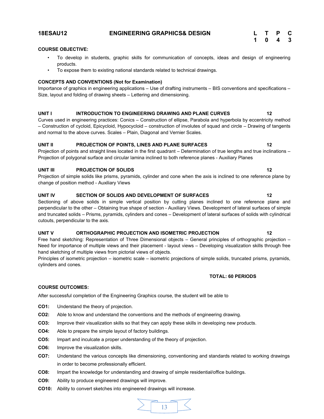#### **18ESAU12 ENGINEERING GRAPHICS& DESIGN**

| L                       | Т                | P  | C  |
|-------------------------|------------------|----|----|
| $\overline{\mathbf{1}}$ | $\boldsymbol{0}$ | -4 | -3 |

#### **COURSE OBJECTIVE:**

- To develop in students, graphic skills for communication of concepts, ideas and design of engineering products.
- To expose them to existing national standards related to technical drawings.

#### **CONCEPTS AND CONVENTIONS (Not for Examination)**

Importance of graphics in engineering applications – Use of drafting instruments – BIS conventions and specifications – Size, layout and folding of drawing sheets – Lettering and dimensioning.

#### **UNIT I INTRODUCTION TO ENGINEERING DRAWING AND PLANE CURVES 12**

Curves used in engineering practices: Conics – Construction of ellipse, Parabola and hyperbola by eccentricity method – Construction of cycloid, Epicycloid, Hypocycloid – construction of involutes of squad and circle – Drawing of tangents and normal to the above curves. Scales – Plain, Diagonal and Vernier Scales.

#### UNIT II PROJECTION OF POINTS, LINES AND PLANE SURFACES **12 12**

Projection of points and straight lines located in the first quadrant – Determination of true lengths and true inclinations – Projection of polygonal surface and circular lamina inclined to both reference planes - Auxiliary Planes

#### **UNIT III** PROJECTION OF SOLIDS 22

Projection of simple solids like prisms, pyramids, cylinder and cone when the axis is inclined to one reference plane by change of position method - Auxiliary Views

#### UNIT IV SECTION OF SOLIDS AND DEVELOPMENT OF SURFACES 42

Sectioning of above solids in simple vertical position by cutting planes inclined to one reference plane and perpendicular to the other – Obtaining true shape of section - Auxiliary Views. Development of lateral surfaces of simple and truncated solids – Prisms, pyramids, cylinders and cones – Development of lateral surfaces of solids with cylindrical cutouts, perpendicular to the axis.

#### **UNIT V ORTHOGRAPHIC PROJECTION AND ISOMETRIC PROJECTION 12**

Free hand sketching: Representation of Three Dimensional objects – General principles of orthographic projection – Need for importance of multiple views and their placement - layout views – Developing visualization skills through free hand sketching of multiple views from pictorial views of objects.

Principles of isometric projection – isometric scale – isometric projections of simple solids, truncated prisms, pyramids, cylinders and cones.

#### **TOTAL: 60 PERIODS**

#### **COURSE OUTCOMES:**

After successful completion of the Engineering Graphics course, the student will be able to

- **CO1:** Understand the theory of projection.
- **CO2:** Able to know and understand the conventions and the methods of engineering drawing.
- **CO3:** Improve their visualization skills so that they can apply these skills in developing new products.
- **CO4:** Able to prepare the simple layout of factory buildings.
- **CO5:** Impart and inculcate a proper understanding of the theory of projection.
- **CO6:** Improve the visualization skills.
- **CO7:** Understand the various concepts like dimensioning, conventioning and standards related to working drawings in order to become professionally efficient.
- **CO8:** Impart the knowledge for understanding and drawing of simple residential/office buildings.
- **CO9:** Ability to produce engineered drawings will improve.
- **CO10:** Ability to convert sketches into engineered drawings will increase.

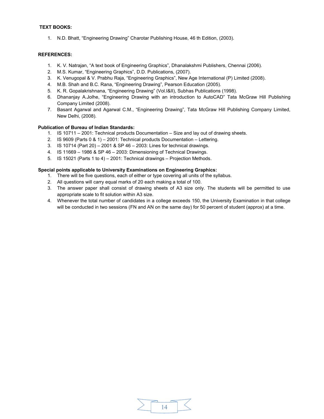#### **TEXT BOOKS:**

1. N.D. Bhatt, "Engineering Drawing" Charotar Publishing House, 46 th Edition, (2003).

#### **REFERENCES:**

- 1. K. V. Natrajan, "A text book of Engineering Graphics", Dhanalakshmi Publishers, Chennai (2006).
- 2. M.S. Kumar, "Engineering Graphics", D.D. Publications, (2007).
- 3. K. Venugopal & V. Prabhu Raja, "Engineering Graphics", New Age International (P) Limited (2008).
- 4. M.B. Shah and B.C. Rana, "Engineering Drawing", Pearson Education (2005).
- 5. K. R. Gopalakrishnana, "Engineering Drawing" (Vol.I&II), Subhas Publications (1998).
- 6. Dhananjay A.Jolhe, "Engineering Drawing with an introduction to AutoCAD" Tata McGraw Hill Publishing Company Limited (2008).
- 7. Basant Agarwal and Agarwal C.M., "Engineering Drawing", Tata McGraw Hill Publishing Company Limited, New Delhi, (2008).

#### **Publication of Bureau of Indian Standards:**

- 1. IS 10711 2001: Technical products Documentation Size and lay out of drawing sheets.
- 2. IS 9609 (Parts 0 & 1) 2001: Technical products Documentation Lettering.
- 3. IS 10714 (Part 20) 2001 & SP 46 2003: Lines for technical drawings.
- 4. IS 11669 1986 & SP 46 2003: Dimensioning of Technical Drawings.
- 5. IS 15021 (Parts 1 to 4) 2001: Technical drawings Projection Methods.

#### **Special points applicable to University Examinations on Engineering Graphics:**

- 1. There will be five questions, each of either or type covering all units of the syllabus.
- 2. All questions will carry equal marks of 20 each making a total of 100.
- 3. The answer paper shall consist of drawing sheets of A3 size only. The students will be permitted to use appropriate scale to fit solution within A3 size.
- 4. Whenever the total number of candidates in a college exceeds 150, the University Examination in that college will be conducted in two sessions (FN and AN on the same day) for 50 percent of student (approx) at a time.

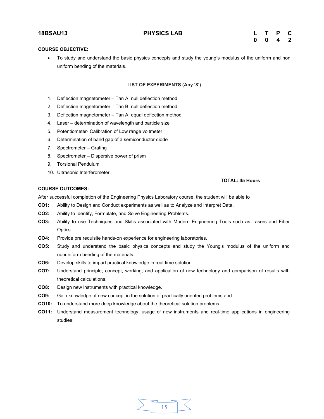#### **COURSE OBJECTIVE:**

● To study and understand the basic physics concepts and study the young's modulus of the uniform and non uniform bending of the materials.

#### **LIST OF EXPERIMENTS (Any '8')**

- 1. Deflection magnetometer Tan A null deflection method
- 2. Deflection magnetometer Tan B null deflection method
- 3. Deflection magnetometer Tan A equal deflection method
- 4. Laser determination of wavelength and particle size
- 5. Potentiometer- Calibration of Low range voltmeter
- 6. Determination of band gap of a semiconductor diode
- 7. Spectrometer Grating
- 8. Spectrometer Dispersive power of prism
- 9. Torsional Pendulum
- 10. Ultrasonic Interferometer.

#### **TOTAL: 45 Hours**

#### **COURSE OUTCOMES:**

After successful completion of the Engineering Physics Laboratory course, the student will be able to

- **CO1:** Ability to Design and Conduct experiments as well as to Analyze and Interpret Data.
- **CO2:** Ability to Identify, Formulate, and Solve Engineering Problems.
- **CO3:** Ability to use Techniques and Skills associated with Modern Engineering Tools such as Lasers and Fiber Optics.
- **CO4:** Provide pre requisite hands-on experience for engineering laboratories.
- **CO5:** Study and understand the basic physics concepts and study the Young's modulus of the uniform and nonuniform bending of the materials.
- **CO6:** Develop skills to impart practical knowledge in real time solution.
- **CO7:** Understand principle, concept, working, and application of new technology and comparison of results with theoretical calculations.
- **CO8:** Design new instruments with practical knowledge.
- **CO9:** Gain knowledge of new concept in the solution of practically oriented problems and
- **CO10:** To understand more deep knowledge about the theoretical solution problems.
- **CO11:** Understand measurement technology, usage of new instruments and real-time applications in engineering studies.

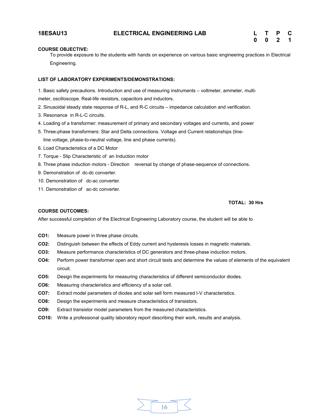#### **COURSE OBJECTIVE:**

To provide exposure to the students with hands on experience on various basic engineering practices in Electrical Engineering.

#### **LIST OF LABORATORY EXPERIMENTS/DEMONSTRATIONS:**

1. Basic safety precautions. Introduction and use of measuring instruments – voltmeter, ammeter, multimeter, oscilloscope. Real-life resistors, capacitors and inductors.

- 2. Sinusoidal steady state response of R-L, and R-C circuits impedance calculation and verification.
- 3. Resonance in R-L-C circuits.
- 4. Loading of a transformer: measurement of primary and secondary voltages and currents, and power
- 5. Three-phase transformers: Star and Delta connections. Voltage and Current relationships (line-
- line voltage, phase-to-neutral voltage, line and phase currents).
- 6. Load Characteristics of a DC Motor
- 7. Torque Slip Characteristic of an Induction motor
- 8. Three phase induction motors Direction reversal by change of phase-sequence of connections.
- 9. Demonstration of dc-dc converter.
- 10. Demonstration of dc-ac converter.
- 11. Demonstration of ac-dc converter.

#### **TOTAL: 30 Hrs**

#### **COURSE OUTCOMES:**

After successful completion of the Electrical Engineering Laboratory course, the student will be able to

- **CO1:** Measure power in three phase circuits.
- **CO2:** Distinguish between the effects of Eddy current and hysteresis losses in magnetic materials.
- **CO3:** Measure performance characteristics of DC generators and three-phase induction motors.
- **CO4:** Perform power transformer open and short circuit tests and determine the values of elements of the equivalent circuit.
- **CO5:** Design the experiments for measuring characteristics of different semiconductor diodes.
- **CO6:** Measuring characteristics and efficiency of a solar cell.
- **CO7:** Extract model parameters of diodes and solar sell form measured I-V characteristics.
- **CO8:** Design the experiments and measure characteristics of transistors.
- **CO9:** Extract transistor model parameters from the measured characteristics.
- **CO10:** Write a professional quality laboratory report describing their work, results and analysis.

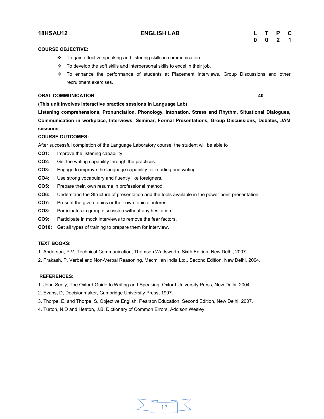#### **18HSAU12 ENGLISH LAB L T P C**

#### **COURSE OBJECTIVE:**

- \* To gain effective speaking and listening skills in communication.
- $\cdot \cdot$  To develop the soft skills and interpersonal skills to excel in their job.
- $\div$  To enhance the performance of students at Placement Interviews, Group Discussions and other recruitment exercises.

#### **ORAL COMMUNICATION 40**

**(This unit involves interactive practice sessions in Language Lab)** 

**Listening comprehensions, Pronunciation, Phonology, Intonation, Stress and Rhythm, Situational Dialogues, Communication in workplace, Interviews, Seminar, Formal Presentations, Group Discussions, Debates, JAM sessions** 

#### **COURSE OUTCOMES:**

After successful completion of the Language Laboratory course, the student will be able to

- **CO1:** Improve the listening capability.
- **CO2:** Get the writing capability through the practices.
- **CO3:** Engage to improve the language capability for reading and writing.
- **CO4:** Use strong vocabulary and fluently like foreigners.
- **CO5:** Prepare their, own resume in professional method.
- **CO6:** Understand the Structure of presentation and the tools available in the power point presentation.
- **CO7:** Present the given topics or their own topic of interest.
- **CO8:** Participates in group discussion without any hesitation.
- **CO9:** Participate in mock interviews to remove the fear factors.
- **CO10:** Get all types of training to prepare them for interview.

#### **TEXT BOOKS:**

- 1. Anderson, P.V, Technical Communication, Thomson Wadsworth, Sixth Edition, New Delhi, 2007.
- 2. Prakash, P, Verbal and Non-Verbal Reasoning, Macmillan India Ltd., Second Edition, New Delhi, 2004.

#### **REFERENCES:**

- 1. John Seely, The Oxford Guide to Writing and Speaking, Oxford University Press, New Delhi, 2004.
- 2. Evans, D, Decisionmaker, Cambridge University Press, 1997.
- 3. Thorpe, E, and Thorpe, S, Objective English, Pearson Education, Second Edition, New Delhi, 2007.
- 4. Turton, N.D and Heaton, J.B, Dictionary of Common Errors, Addison Wesley.

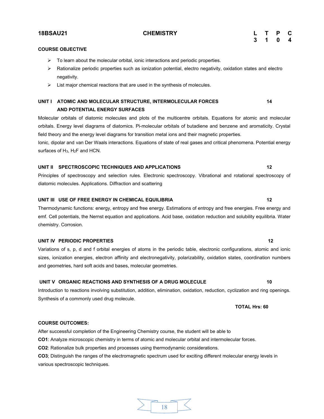### **18BSAU21 CHEMISTRY L T P C 3 1 0 4**

#### **COURSE OBJECTIVE**

- $\triangleright$  To learn about the molecular orbital, ionic interactions and periodic properties.
- $\triangleright$  Rationalize periodic properties such as ionization potential, electro negativity, oxidation states and electro negativity.
- $\triangleright$  List major chemical reactions that are used in the synthesis of molecules.

### **UNIT I** ATOMIC AND MOLECULAR STRUCTURE, INTERMOLECULAR FORCES 14 **AND POTENTIAL ENERGY SURFACES**

Molecular orbitals of diatomic molecules and plots of the multicentre orbitals. Equations for atomic and molecular orbitals. Energy level diagrams of diatomics. Pi-molecular orbitals of butadiene and benzene and aromaticity. Crystal field theory and the energy level diagrams for transition metal ions and their magnetic properties.

Ionic, dipolar and van Der Waals interactions. Equations of state of real gases and critical phenomena. Potential energy surfaces of H<sub>3</sub>, H<sub>2</sub>F and HCN.

#### **UNIT II SPECTROSCOPIC TECHNIQUES AND APPLICATIONS 12**

Principles of spectroscopy and selection rules. Electronic spectroscopy. Vibrational and rotational spectroscopy of diatomic molecules. Applications. Diffraction and scattering

#### **UNIT III USE OF FREE ENERGY IN CHEMICAL EQUILIBRIA 12**

Thermodynamic functions: energy, entropy and free energy. Estimations of entropy and free energies. Free energy and emf. Cell potentials, the Nernst equation and applications. Acid base, oxidation reduction and solubility equilibria. Water chemistry. Corrosion.

#### **UNIT IV PERIODIC PROPERTIES** 12

Variations of s, p, d and f orbital energies of atoms in the periodic table, electronic configurations, atomic and ionic sizes, ionization energies, electron affinity and electronegativity, polarizability, oxidation states, coordination numbers and geometries, hard soft acids and bases, molecular geometries.

#### **UNIT V ORGANIC REACTIONS AND SYNTHESIS OF A DRUG MOLECULE 10**

Introduction to reactions involving substitution, addition, elimination, oxidation, reduction, cyclization and ring openings. Synthesis of a commonly used drug molecule.

**TOTAL Hrs: 60** 

#### **COURSE OUTCOMES:**

After successful completion of the Engineering Chemistry course, the student will be able to

**CO1**: Analyze microscopic chemistry in terms of atomic and molecular orbital and intermolecular forces.

**CO2**: Rationalize bulk properties and processes using thermodynamic considerations.

**CO3**; Distinguish the ranges of the electromagnetic spectrum used for exciting different molecular energy levels in various spectroscopic techniques.

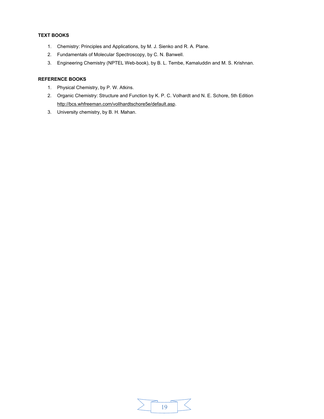### **TEXT BOOKS**

- 1. Chemistry: Principles and Applications, by M. J. Sienko and R. A. Plane.
- 2. Fundamentals of Molecular Spectroscopy, by C. N. Banwell.
- 3. Engineering Chemistry (NPTEL Web-book), by B. L. Tembe, Kamaluddin and M. S. Krishnan.

### **REFERENCE BOOKS**

- 1. Physical Chemistry, by P. W. Atkins.
- 2. Organic Chemistry: Structure and Function by K. P. C. Volhardt and N. E. Schore, 5th Edition [http://bcs.whfreeman.com/vollhardtschore5e/default.asp.](http://bcs.whfreeman.com/vollhardtschore5e/default.asp)
- 3. University chemistry, by B. H. Mahan.

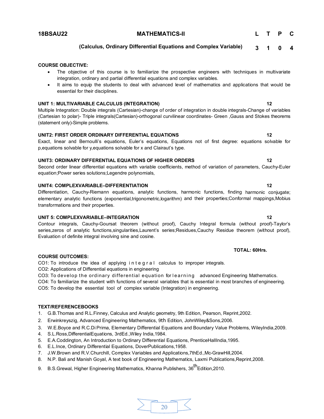#### **18BSAU22 MATHEMATICS-II**

**L T P C**

#### **(Calculus, Ordinary Differential Equations and Complex Variable) 3 1 0 4**

#### **COURSE OBJECTIVE:**

- The objective of this course is to familiarize the prospective engineers with techniques in multivariate integration, ordinary and partial differential equations and complex variables.
- It aims to equip the students to deal with advanced level of mathematics and applications that would be essential for their disciplines.

#### **UNIT 1: MULTIVARIABLE CALCULUS (INTEGRATION) 12**

Multiple Integration: Double integrals (Cartesian)-change of order of integration in double integrals-Change of variables (Cartesian to polar)- Triple integrals(Cartesian)-orthogonal curvilinear coordinates- Green ,Gauss and Stokes theorems (statement only)-Simple problems.

#### **UNIT2: FIRST ORDER ORDINARY DIFFERENTIAL EQUATIONS 12**

#### Exact, linear and Bernoulli's equations, Euler's equations, Equations not of first degree: equations solvable for p,equations solvable for y,equations solvable for x and Clairaut's type.

#### **UNIT3: ORDINARY DIFFERENTIAL EQUATIONS OF HIGHER ORDERS 12**

Second order linear differential equations with variable coefficients, method of variation of parameters, Cauchy-Euler equation;Power series solutions;Legendre polynomials,

#### **UNIT4: COMPLEXVARIABLE–DIFFERENTIATION 12**

Differentiation, Cauchy-Riemann equations, analytic functions, harmonic functions, finding harmonic conjugate; elementary analytic functions (exponential,trigonometric,logarithm) and their properties;Conformal mappings,Mobius transformations and their properties.

#### **UNIT 5: COMPLEXVARIABLE–INTEGRATION 12**

Contour integrals, Cauchy-Goursat theorem (without proof), Cauchy Integral formula (without proof)-Taylor's series,zeros of analytic functions,singularities,Laurent's series;Residues,Cauchy Residue theorem (without proof), Evaluation of definite integral involving sine and cosine.

#### **TOTAL: 60Hrs.**

#### **COURSE OUTCOMES:**

CO1: To introduce the idea of applying integral calculus to improper integrals.

CO2: Applications of Differential equations in engineering

CO3: To develop the ordinary differential equation for learning advanced Engineering Mathematics.

CO4: To familiarize the student with functions of several variables that is essential in most branches of engineering. CO5: To develop the essential tool of complex variable (Integration) in engineering.

#### **TEXT/REFERENCEBOOKS**

1. G.B.Thomas and R.L.Finney, Calculus and Analytic geometry, 9th Edition, Pearson, Reprint,2002.

- 2. Erwinkreyszig, Advanced Engineering Mathematics, 9th Edition, JohnWiley&Sons,2006.
- 3. W.E.Boyce and R.C.Di Prima, Elementary Differential Equations and Boundary Value Problems, WileyIndia,2009.
- 4. S.L.Ross,DifferentialEquations, 3rdEd.,Wiley India,1984.
- 5. E.A.Coddington, An Introduction to Ordinary Differential Equations, PrenticeHallIndia,1995.
- 6. E.L.Ince, Ordinary Differential Equations, DoverPublications,1958.
- 7. J.W.Brown and R.V.Churchill, Complex Variables and Applications,7thEd.,Mc-GrawHill,2004.
- 8. N.P. Bali and Manish Goyal, A text book of Engineering Mathematics, Laxmi Publications,Reprint,2008.
- 9. B.S.Grewal, Higher Engineering Mathematics, Khanna Publishers, 36<sup>th</sup>Edition.2010.

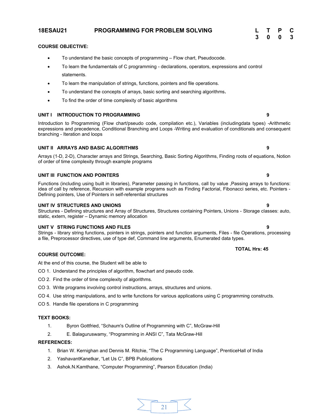#### **COURSE OBJECTIVE:**

- ∑ To understand the basic concepts of programming Flow chart, Pseudocode.
- To learn the fundamentals of C programming declarations, operators, expressions and control statements.

**18ESAU21 PROGRAMMING FOR PROBLEM SOLVING L T P C**

- ∑ To learn the manipulation of strings, functions, pointers and file operations.
- ∑ To understand the concepts of arrays, basic sorting and searching algorithms**.**
- To find the order of time complexity of basic algorithms

#### **UNIT I INTRODUCTION TO PROGRAMMING 9**

Introduction to Programming (Flow chart/pseudo code, compilation etc.), Variables (includingdata types) -Arithmetic expressions and precedence, Conditional Branching and Loops -Writing and evaluation of conditionals and consequent branching - Iteration and loops

#### **UNIT II ARRAYS AND BASIC ALGORITHMS 9**

Arrays (1-D, 2-D), Character arrays and Strings, Searching, Basic Sorting Algorithms, Finding roots of equations, Notion of order of time complexity through example programs

#### **UNIT III FUNCTION AND POINTERS 9**

Functions (including using built in libraries), Parameter passing in functions, call by value ,Passing arrays to functions: idea of call by reference, Recursion with example programs such as Finding Factorial, Fibonacci series, etc. Pointers - Defining pointers, Use of Pointers in self-referential structures

#### **UNIT IV STRUCTURES AND UNIONS 9**

Structures - Defining structures and Array of Structures, Structures containing Pointers, Unions - Storage classes: auto, static, extern, register – Dynamic memory allocation

#### **UNIT V STRING FUNCTIONS AND FILES 9**

Strings - library string functions, pointers in strings, pointers and function arguments, Files - file Operations, processing a file, Preprocessor directives, use of type def, Command line arguments, Enumerated data types.

#### **COURSE OUTCOME:**

At the end of this course, the Student will be able to

- CO 1. Understand the principles of algorithm, flowchart and pseudo code.
- CO 2. Find the order of time complexity of algorithms.
- CO 3. Write programs involving control instructions, arrays, structures and unions.
- CO 4. Use string manipulations, and to write functions for various applications using C programming constructs.
- CO 5. Handle file operations in C programming

#### **TEXT BOOKS:**

- 1. Byron Gottfried, "Schaum's Outline of Programming with C", McGraw-Hill
- 2. E. Balaguruswamy, "Programming in ANSI C", Tata McGraw-Hill

#### **REFERENCES:**

- 1. Brian W. Kernighan and Dennis M. Ritchie, "The C Programming Language", PrenticeHall of India
- 2. YashavantKanetkar, "Let Us C", BPB Publications
- 3. Ashok.N.Kamthane, "Computer Programming", Pearson Education (India)



#### **TOTAL Hrs: 45**

**3 0 0 3**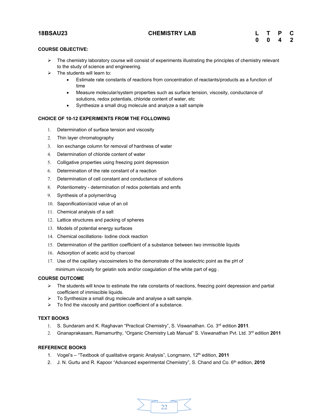#### **18BSAU23 CHEMISTRY LAB**

| L | т | P                | Ć            |
|---|---|------------------|--------------|
| 0 | 0 | $\boldsymbol{4}$ | $\mathbf{2}$ |

### **COURSE OBJECTIVE:**

- $\triangleright$  The chemistry laboratory course will consist of experiments illustrating the principles of chemistry relevant to the study of science and engineering.
- $\triangleright$  The students will learn to:
	- ∑ Estimate rate constants of reactions from concentration of reactants/products as a function of time
	- Measure molecular/system properties such as surface tension, viscosity, conductance of solutions, redox potentials, chloride content of water, etc
	- ∑ Synthesize a small drug molecule and analyze a salt sample

#### **CHOICE OF 10-12 EXPERIMENTS FROM THE FOLLOWING**

- 1. Determination of surface tension and viscosity
- 2. Thin layer chromatography
- 3. Ion exchange column for removal of hardness of water
- 4. Determination of chloride content of water
- 5. Colligative properties using freezing point depression
- 6. Determination of the rate constant of a reaction
- 7. Determination of cell constant and conductance of solutions
- 8. Potentiometry determination of redox potentials and emfs
- 9. Synthesis of a polymer/drug
- 10. Saponification/acid value of an oil
- 11. Chemical analysis of a salt
- 12. Lattice structures and packing of spheres
- 13. Models of potential energy surfaces
- 14. Chemical oscillations- Iodine clock reaction
- 15. Determination of the partition coefficient of a substance between two immiscible liquids
- 16. Adsorption of acetic acid by charcoal
- 17. Use of the capillary viscosimeters to the demonstrate of the isoelectric point as the pH of minimum viscosity for gelatin sols and/or coagulation of the white part of egg .

#### **COURSE OUTCOME**

- $\triangleright$  The students will know to estimate the rate constants of reactions, freezing point depression and partial coefficient of immiscible liquids.
- $\triangleright$  To Synthesize a small drug molecule and analyse a salt sample.
- $\triangleright$  To find the viscosity and partition coefficient of a substance.

#### **TEXT BOOKS**

- 1. S. Sundaram and K. Raghavan "Practical Chemistry", S. Viswanathan. Co. 3rd edition **2011**.
- 2. Gnanaprakasam, Ramamurthy, "Organic Chemistry Lab Manual" S. Viswanathan Pvt. Ltd. 3rd edition **2011**

#### **REFERENCE BOOKS**

- 1. Vogel's "Textbook of qualitative organic Analysis", Longmann, 12<sup>th</sup> edition, 2011
- 2. J. N. Gurtu and R. Kapoor "Advanced experimental Chemistry", S. Chand and Co. 6<sup>th</sup> edition, 2010

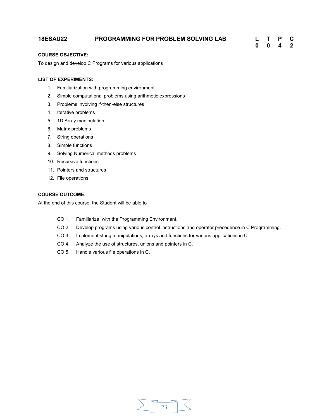### **18ESAU22 PROGRAMMING FOR PROBLEM SOLVING LAB L T P C**

**0 0 4 2**

#### **COURSE OBJECTIVE:**

To design and develop C Programs for various applications

#### **LIST OF EXPERIMENTS:**

- 1. Familiarization with programming environment
- 2. Simple computational problems using arithmetic expressions
- 3. Problems involving if-then-else structures
- 4. Iterative problems
- 5. 1D Array manipulation
- 6. Matrix problems
- 7. String operations
- 8. Simple functions
- 9. Solving Numerical methods problems
- 10. Recursive functions
- 11. Pointers and structures
- 12. File operations

#### **COURSE OUTCOME:**

At the end of this course, the Student will be able to

- CO 1. Familiarize with the Programming Environment.
- CO 2. Develop programs using various control instructions and operator precedence in C Programming.
- CO 3. Implement string manipulations, arrays and functions for various applications in C.
- CO 4. Analyze the use of structures, unions and pointers in C.
- CO 5. Handle various file operations in C.

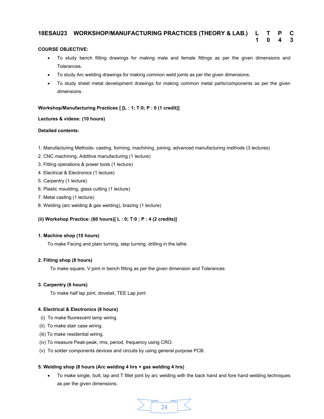## **18ESAU23 WORKSHOP/MANUFACTURING PRACTICES (THEORY & LAB.) L T P C**

#### **COURSE OBJECTIVE:**

∑ To study bench fitting drawings for making male and female fittings as per the given dimensions and Tolerances.

**1 0 4 3**

- To study Arc welding drawings for making common weld joints as per the given dimensions.
- To study sheet metal development drawings for making common metal parts/components as per the given dimensions.

#### **Workshop/Manufacturing Practices [ [L : 1; T:0; P : 0 (1 credit)]**

#### **Lectures & videos: (10 hours)**

#### **Detailed contents:**

- 1. Manufacturing Methods- casting, forming, machining, joining, advanced manufacturing methods (3 lectures)
- 2. CNC machining, Additive manufacturing (1 lecture)
- 3. Fitting operations & power tools (1 lecture)
- 4. Electrical & Electronics (1 lecture)
- 5. Carpentry (1 lecture)
- 6. Plastic moulding, glass cutting (1 lecture)
- 7. Metal casting (1 lecture)
- 8. Welding (arc welding & gas welding), brazing (1 lecture)

#### **(ii) Workshop Practice: (60 hours)[ L : 0; T:0 ; P : 4 (2 credits)]**

#### **1. Machine shop (10 hours)**

To make Facing and plain turning, step turning, drilling in the lathe

#### **2. Fitting shop (8 hours)**

To make square, V joint in bench fitting as per the given dimension and Tolerances

#### **3. Carpentry (6 hours)**

To make half lap joint, dovetail, TEE Lap joint

#### **4. Electrical & Electronics (8 hours)**

- (i) To make fluorescent lamp wiring.
- (ii) To make stair case wiring.
- (iii) To make residential wiring.
- (iv) To measure Peak-peak, rms, period, frequency using CRO.
- (v) To solder components devices and circuits by using general purpose PCB.

#### **5. Welding shop (8 hours (Arc welding 4 hrs + gas welding 4 hrs)**

To make single, butt, lap and T fillet joint by arc welding with the back hand and fore hand welding techniques as per the given dimensions.

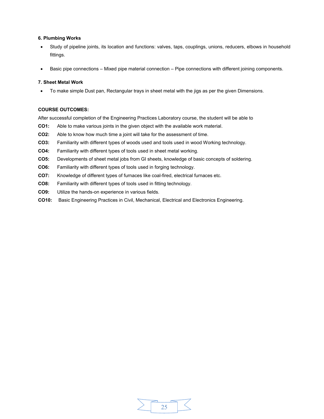#### **6. Plumbing Works**

- Study of pipeline joints, its location and functions: valves, taps, couplings, unions, reducers, elbows in household fittings.
- Basic pipe connections Mixed pipe material connection Pipe connections with different joining components.

#### **7. Sheet Metal Work**

∑ To make simple Dust pan, Rectangular trays in sheet metal with the jigs as per the given Dimensions.

#### **COURSE OUTCOMES:**

After successful completion of the Engineering Practices Laboratory course, the student will be able to

- **CO1:** Able to make various joints in the given object with the available work material.
- **CO2:** Able to know how much time a joint will take for the assessment of time.
- **CO3:** Familiarity with different types of woods used and tools used in wood Working technology.
- **CO4:** Familiarity with different types of tools used in sheet metal working.
- **CO5:** Developments of sheet metal jobs from GI sheets, knowledge of basic concepts of soldering.
- **CO6:** Familiarity with different types of tools used in forging technology.
- **CO7:** Knowledge of different types of furnaces like coal-fired, electrical furnaces etc.
- **CO8:** Familiarity with different types of tools used in fitting technology.
- **CO9:** Utilize the hands-on experience in various fields.
- **CO10:** Basic Engineering Practices in Civil, Mechanical, Electrical and Electronics Engineering.

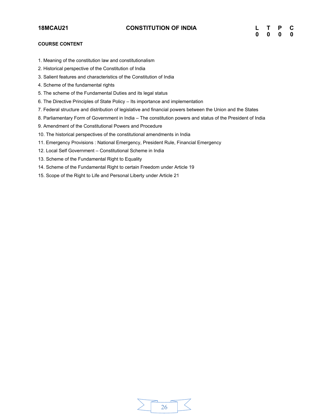### **COURSE CONTENT**

- 1. Meaning of the constitution law and constitutionalism
- 2. Historical perspective of the Constitution of India
- 3. Salient features and characteristics of the Constitution of India
- 4. Scheme of the fundamental rights
- 5. The scheme of the Fundamental Duties and its legal status
- 6. The Directive Principles of State Policy Its importance and implementation
- 7. Federal structure and distribution of legislative and financial powers between the Union and the States
- 8. Parliamentary Form of Government in India The constitution powers and status of the President of India
- 9. Amendment of the Constitutional Powers and Procedure
- 10. The historical perspectives of the constitutional amendments in India
- 11. Emergency Provisions : National Emergency, President Rule, Financial Emergency
- 12. Local Self Government Constitutional Scheme in India
- 13. Scheme of the Fundamental Right to Equality
- 14. Scheme of the Fundamental Right to certain Freedom under Article 19
- 15. Scope of the Right to Life and Personal Liberty under Article 21

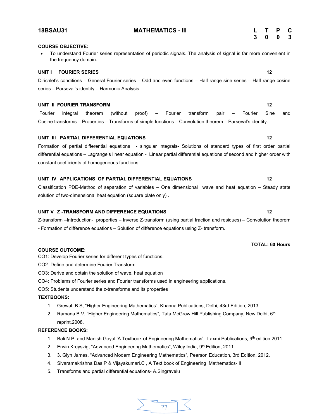#### **18BSAU31 MATHEMATICS - III L T P C**

#### **COURSE OBJECTIVE:**

∑ To understand Fourier series representation of periodic signals. The analysis of signal is far more convenient in the frequency domain.

#### **UNIT I FOURIER SERIES 12**

Dirichlet's conditions – General Fourier series – Odd and even functions – Half range sine series – Half range cosine series – Parseval's identity – Harmonic Analysis.

#### **UNIT II FOURIER TRANSFORM 12**

Fourier integral theorem (without proof) – Fourier transform pair – Fourier Sine and Cosine transforms – Properties – Transforms of simple functions – Convolution theorem – Parseval's identity.

#### UNIT III PARTIAL DIFFERENTIAL EQUATIONS **12 12**

Formation of partial differential equations - singular integrals- Solutions of standard types of first order partial differential equations – Lagrange's linear equation - Linear partial differential equations of second and higher order with constant coefficients of homogeneous functions.

#### **UNIT IV APPLICATIONS OF PARTIAL DIFFERENTIAL EQUATIONS 12**

Classification PDE-Method of separation of variables – One dimensional wave and heat equation – Steady state solution of two-dimensional heat equation (square plate only) .

#### **UNIT V Z -TRANSFORM AND DIFFERENCE EQUATIONS 12**

Z-transform –Introduction- properties – Inverse Z-transform (using partial fraction and residues) – Convolution theorem - Formation of difference equations – Solution of difference equations using Z- transform.

#### **COURSE OUTCOME:**

CO1: Develop Fourier series for different types of functions.

- CO2: Define and determine Fourier Transform.
- CO3: Derive and obtain the solution of wave, heat equation
- CO4: Problems of Fourier series and Fourier transforms used in engineering applications.

CO5: Students understand the z-transforms and its properties

#### **TEXTBOOKS:**

- 1. Grewal. B.S, "Higher Engineering Mathematics", Khanna Publications, Delhi, 43rd Edition, 2013.
- 2. Ramana B.V, "Higher Engineering Mathematics", Tata McGraw Hill Publishing Company, New Delhi, 6<sup>th</sup> reprint,2008.

#### **REFERENCE BOOKS:**

- 1. Bali.N.P. and Manish Goyal 'A Textbook of Engineering Mathematics', Laxmi Publications, 9<sup>th</sup> edition, 2011.
- 2. Erwin Kreyszig, "Advanced Engineering Mathematics", Wiley India, 9<sup>th</sup> Edition, 2011.
- 3. 3. Glyn James, "Advanced Modern Engineering Mathematics", Pearson Education, 3rd Edition, 2012.
- 4. Sivaramakrishna Das.P & Vijayakumari.C , A Text book of Engineering Mathematics-III
- 5. Transforms and partial differential equations- A.Singravelu

#### **TOTAL: 60 Hours**

# **3 0 0 3**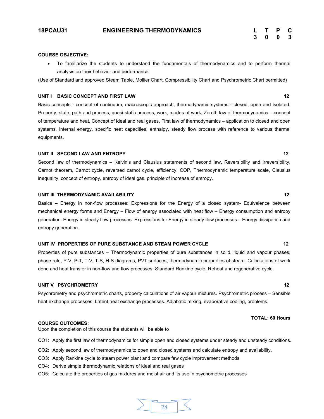**3 0 0 3**

#### **COURSE OBJECTIVE:**

■ To familiarize the students to understand the fundamentals of thermodynamics and to perform thermal analysis on their behavior and performance.

(Use of Standard and approved Steam Table, Mollier Chart, Compressibility Chart and Psychrometric Chart permitted)

#### **UNIT I** BASIC CONCEPT AND FIRST LAW 12

Basic concepts - concept of continuum, macroscopic approach, thermodynamic systems - closed, open and isolated. Property, state, path and process, quasi-static process, work, modes of work, Zeroth law of thermodynamics – concept of temperature and heat, Concept of ideal and real gases, First law of thermodynamics – application to closed and open systems, internal energy, specific heat capacities, enthalpy, steady flow process with reference to various thermal equipments.

#### **UNIT II SECOND LAW AND ENTROPY 12** 12

Second law of thermodynamics – Kelvin's and Clausius statements of second law, Reversibility and irreversibility. Carnot theorem, Carnot cycle, reversed carnot cycle, efficiency, COP, Thermodynamic temperature scale, Clausius inequality, concept of entropy, entropy of ideal gas, principle of increase of entropy.

#### **UNIT III THERMODYNAMIC AVAILABILITY** 12

Basics – Energy in non-flow processes: Expressions for the Energy of a closed system- Equivalence between mechanical energy forms and Energy – Flow of energy associated with heat flow – Energy consumption and entropy generation. Energy in steady flow processes: Expressions for Energy in steady flow processes – Energy dissipation and entropy generation.

#### UNIT IV PROPERTIES OF PURE SUBSTANCE AND STEAM POWER CYCLE **12** 12

Properties of pure substances – Thermodynamic properties of pure substances in solid, liquid and vapour phases, phase rule, P-V, P-T, T-V, T-S, H-S diagrams, PVT surfaces, thermodynamic properties of steam. Calculations of work done and heat transfer in non-flow and flow processes, Standard Rankine cycle, Reheat and regenerative cycle.

#### **UNIT V PSYCHROMETRY** 12

Psychrometry and psychrometric charts, property calculations of air vapour mixtures. Psychrometric process – Sensible heat exchange processes. Latent heat exchange processes. Adiabatic mixing, evaporative cooling, problems.

#### **COURSE OUTCOMES:**

Upon the completion of this course the students will be able to

- CO1: Apply the first law of thermodynamics for simple open and closed systems under steady and unsteady conditions.
- CO2: Apply second law of thermodynamics to open and closed systems and calculate entropy and availability.
- CO3: Apply Rankine cycle to steam power plant and compare few cycle improvement methods
- CO4: Derive simple thermodynamic relations of ideal and real gases
- CO5: Calculate the properties of gas mixtures and moist air and its use in psychometric processes



#### **TOTAL: 60 Hours**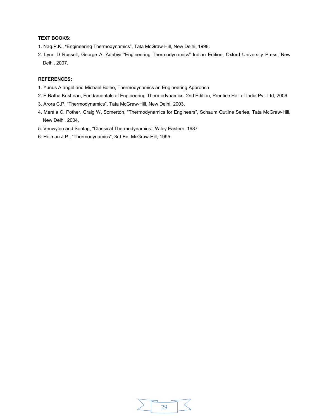#### **TEXT BOOKS:**

- 1. Nag.P.K., "Engineering Thermodynamics", Tata McGraw-Hill, New Delhi, 1998.
- 2. Lynn D Russell, George A, Adebiyi "Engineering Thermodynamics" Indian Edition, Oxford University Press, New Delhi, 2007.

#### **REFERENCES:**

- 1. Yunus A angel and Michael Boleo, Thermodynamics an Engineering Approach
- 2. E.Ratha Krishnan, Fundamentals of Engineering Thermodynamics, 2nd Edition, Prentice Hall of India Pvt. Ltd, 2006.
- 3. Arora C.P, "Thermodynamics", Tata McGraw-Hill, New Delhi, 2003.
- 4. Merala C, Pother, Craig W, Somerton, "Thermodynamics for Engineers", Schaum Outline Series, Tata McGraw-Hill, New Delhi, 2004.
- 5. Venwylen and Sontag, "Classical Thermodynamics", Wiley Eastern, 1987
- 6. Holman.J.P., "Thermodynamics", 3rd Ed. McGraw-Hill, 1995.

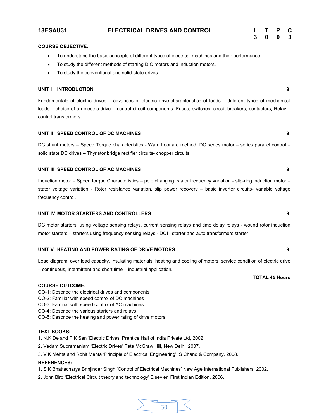#### **18ESAU31 ELECTRICAL DRIVES AND CONTROL**

| L | т | P | C |
|---|---|---|---|
| 3 | 0 | 0 | 3 |

#### **COURSE OBJECTIVE:**

- ∑ To understand the basic concepts of different types of electrical machines and their performance.
- To study the different methods of starting D.C motors and induction motors.
- To study the conventional and solid-state drives

#### **UNIT I INTRODUCTION 9**

Fundamentals of electric drives – advances of electric drive-characteristics of loads – different types of mechanical loads – choice of an electric drive – control circuit components: Fuses, switches, circuit breakers, contactors, Relay – control transformers.

#### **UNIT II SPEED CONTROL OF DC MACHINES 9**

DC shunt motors – Speed Torque characteristics - Ward Leonard method, DC series motor – series parallel control – solid state DC drives – Thyristor bridge rectifier circuits- chopper circuits.

#### **UNIT III SPEED CONTROL OF AC MACHINES 9**

Induction motor – Speed torque Characteristics – pole changing, stator frequency variation - slip-ring induction motor – stator voltage variation - Rotor resistance variation, slip power recovery – basic inverter circuits- variable voltage frequency control.

#### **UNIT IV MOTOR STARTERS AND CONTROLLERS 9**

DC motor starters: using voltage sensing relays, current sensing relays and time delay relays - wound rotor induction motor starters – starters using frequency sensing relays - DOI –starter and auto transformers starter.

#### **UNIT V HEATING AND POWER RATING OF DRIVE MOTORS 9**

Load diagram, over load capacity, insulating materials, heating and cooling of motors, service condition of electric drive – continuous, intermittent and short time – industrial application.

#### **COURSE OUTCOME:**

- CO-1: Describe the electrical drives and components
- CO-2: Familiar with speed control of DC machines
- CO-3: Familiar with speed control of AC machines
- CO-4: Describe the various starters and relays
- CO-5: Describe the heating and power rating of drive motors

#### **TEXT BOOKS:**

- 1. N.K De and P.K Sen 'Electric Drives' Prentice Hall of India Private Ltd, 2002.
- 2. Vedam Subramaniam 'Electric Drives' Tata McGraw Hill, New Delhi, 2007.
- 3. V.K Mehta and Rohit Mehta 'Principle of Electrical Engineering', S Chand & Company, 2008.

#### **REFERENCES:**

- 1. S.K Bhattacharya Brinjinder Singh 'Control of Electrical Machines' New Age International Publishers, 2002.
- 2. John Bird 'Electrical Circuit theory and technology' Elsevier, First Indian Edition, 2006.



#### **TOTAL 45 Hours**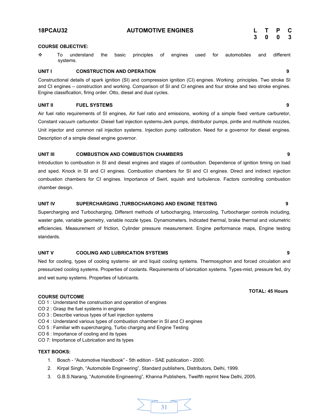$\bm{\hat{\cdot}}$  To understand the basic principles of engines used for automobiles and different

Constructional details of spark ignition (SI) and compression ignition (CI) engines. Working principles. Two stroke SI and CI engines – construction and working. Comparison of SI and CI engines and four stroke and two stroke engines. Engine classification, firing order. Otto, diesel and dual cycles.

### **UNIT II FUEL SYSTEMS 9**

**COURSE OBJECTIVE:**

systems.

Air fuel ratio requirements of SI engines, Air fuel ratio and emissions, working of a simple fixed venture carburetor, Constant vacuum carburetor. Diesel fuel injection systems-Jerk pumps, distributor pumps, pintle and multihole nozzles, Unit injector and common rail injection systems. Injection pump calibration. Need for a governor for diesel engines. Description of a simple diesel engine governor.

### **UNIT III COMBUSTION AND COMBUSTION CHAMBERS 9**

Introduction to combustion in SI and diesel engines and stages of combustion. Dependence of ignition timing on load and sped. Knock in SI and CI engines. Combustion chambers for SI and CI engines. Direct and indirect injection combustion chambers for CI engines. Importance of Swirl, squish and turbulence. Factors controlling combustion chamber design.

### **UNIT IV SUPERCHARGING ,TURBOCHARGING AND ENGINE TESTING 9**

Supercharging and Turbocharging, Different methods of turbocharging, Intercooling, Turbocharger controls including, waster gate, variable geometry, variable nozzle types. Dynamometers, Indicated thermal, brake thermal and volumetric efficiencies. Measurement of friction, Cylinder pressure measurement. Engine performance maps, Engine testing standards.

### **UNIT V COOLING AND LUBRICATION SYSTEMS 9**

Ned for cooling, types of cooling systems- air and liquid cooling systems. Thermosyphon and forced circulation and pressurized cooling systems. Properties of coolants. Requirements of lubrication systems. Types-mist, pressure fed, dry and wet sump systems. Properties of lubricants.

### **COURSE OUTCOME**

- CO 1 : Understand the construction and operation of engines
- CO 2 : Grasp the fuel systems in engines
- CO 3 : Describe various types of fuel injection systems
- CO 4 : Understand various types of combustion chamber in SI and CI engines
- CO 5 : Familiar with supercharging, Turbo charging and Engine Testing
- CO 6 : Importance of cooling and its types
- CO 7: Importance of Lubrication and its types

### **TEXT BOOKS:**

- 1. Bosch "Automotive Handbook" 5th edition SAE publication 2000.
- 2. Kirpal Singh, "Automobile Engineering", Standard publishers, Distributors, Delhi, 1999.
- 3. G.B.S.Narang, "Automobile Engineering", Khanna Publishers, Twelfth reprint New Delhi, 2005.



**3 0 0 3**

**TOTAL: 45 Hours**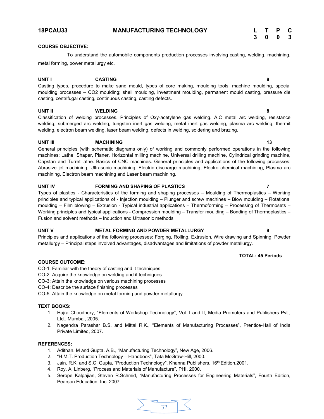| L. | $\mathbf{T}$ | P | C |
|----|--------------|---|---|
| -3 | 0            | 0 | 3 |

**TOTAL: 45 Periods**

# **COURSE OBJECTIVE:**

To understand the automobile components production processes involving casting, welding, machining, metal forming, power metallurgy etc.

# **UNIT I CASTING 8**

Casting types, procedure to make sand mould, types of core making, moulding tools, machine moulding, special moulding processes – CO2 moulding; shell moulding, investment moulding, permanent mould casting, pressure die casting, centrifugal casting, continuous casting, casting defects.

# **UNIT II WELDING 8**

Classification of welding processes. Principles of Oxy-acetylene gas welding. A.C metal arc welding, resistance welding, submerged arc welding, tungsten inert gas welding, metal inert gas welding, plasma arc welding, thermit welding, electron beam welding, laser beam welding, defects in welding, soldering and brazing.

# **UNIT III MACHINING 13**

General principles (with schematic diagrams only) of working and commonly performed operations in the following machines: Lathe, Shaper, Planer, Horizontal milling machine, Universal drilling machine, Cylindrical grinding machine, Capstan and Turret lathe. Basics of CNC machines. General principles and applications of the following processes: Abrasive jet machining, Ultrasonic machining, Electric discharge machining, Electro chemical machining, Plasma arc machining, Electron beam machining and Laser beam machining.

# **UNIT IV FORMING AND SHAPING OF PLASTICS 7**

Types of plastics - Characteristics of the forming and shaping processes – Moulding of Thermoplastics – Working principles and typical applications of - Injection moulding – Plunger and screw machines – Blow moulding – Rotational moulding – Film blowing – Extrusion - Typical industrial applications – Thermoforming – Processing of Thermosets – Working principles and typical applications - Compression moulding – Transfer moulding – Bonding of Thermoplastics – Fusion and solvent methods – Induction and Ultrasonic methods

# **UNIT V METAL FORMING AND POWDER METALLURGY 9**

Principles and applications of the following processes: Forging, Rolling, Extrusion, Wire drawing and Spinning, Powder metallurgy – Principal steps involved advantages, disadvantages and limitations of powder metallurgy.

# **COURSE OUTCOME:**

CO-1: Familiar with the theory of casting and it techniques

- CO-2: Acquire the knowledge on welding and it techniques
- CO-3: Attain the knowledge on various machining processes
- CO-4: Describe the surface finishing processes
- CO-5: Attain the knowledge on metal forming and powder metallurgy

# **TEXT BOOKS:**

- 1. Hajra Choudhury, "Elements of Workshop Technology", Vol. I and II, Media Promoters and Publishers Pvt., Ltd., Mumbai, 2005.
- 2. Nagendra Parashar B.S. and Mittal R.K., "Elements of Manufacturing Processes", Prentice-Hall of India Private Limited, 2007.

- 1. Adithan. M and Gupta. A.B., "Manufacturing Technology", New Age, 2006.
- 2. "H.M.T. Production Technology Handbook", Tata McGraw-Hill, 2000.
- 3. Jain. R.K. and S.C. Gupta, "Production Technology", Khanna Publishers. 16th Edition, 2001.
- 4. Roy. A. Linberg, "Process and Materials of Manufacture", PHI, 2000.
- 5. Serope Kalpajian, Steven R.Schmid, "Manufacturing Processes for Engineering Materials", Fourth Edition, Pearson Education, Inc. 2007.

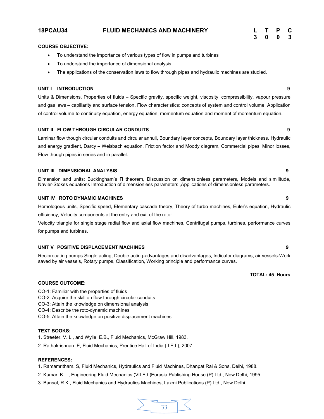# **18PCAU34 FLUID MECHANICS AND MACHINERY L T P C**

### **COURSE OBJECTIVE:**

- ∑ To understand the importance of various types of flow in pumps and turbines
- ∑ To understand the importance of dimensional analysis
- ∑ The applications of the conservation laws to flow through pipes and hydraulic machines are studied.

### **UNIT I INTRODUCTION 9**

Units & Dimensions. Properties of fluids – Specific gravity, specific weight, viscosity, compressibility, vapour pressure and gas laws – capillarity and surface tension. Flow characteristics: concepts of system and control volume. Application of control volume to continuity equation, energy equation, momentum equation and moment of momentum equation.

# **UNIT II FLOW THROUGH CIRCULAR CONDUITS 9**

Laminar flow though circular conduits and circular annuli, Boundary layer concepts, Boundary layer thickness. Hydraulic and energy gradient, Darcy – Weisbach equation, Friction factor and Moody diagram, Commercial pipes, Minor losses, Flow though pipes in series and in parallel.

### **UNIT III DIMENSIONAL ANALYSIS 9**

Dimension and units: Buckingham's П theorem, Discussion on dimensionless parameters, Models and similitude, Navier-Stokes equations Introduction of dimensionless parameters ,Applications of dimensionless parameters.

### **UNIT IV ROTO DYNAMIC MACHINES 9**

Homologous units, Specific speed, Elementary cascade theory, Theory of turbo machines, Euler's equation, Hydraulic efficiency, Velocity components at the entry and exit of the rotor.

Velocity triangle for single stage radial flow and axial flow machines, Centrifugal pumps, turbines, performance curves for pumps and turbines.

# **UNIT V POSITIVE DISPLACEMENT MACHINES 9**

Reciprocating pumps Single acting, Double acting-advantages and disadvantages, Indicator diagrams, air vessels-Work saved by air vessels, Rotary pumps, Classification, Working principle and performance curves.

# **COURSE OUTCOME:**

- CO-1: Familiar with the properties of fluids
- CO-2: Acquire the skill on flow through circular conduits
- CO-3: Attain the knowledge on dimensional analysis
- CO-4: Describe the roto-dynamic machines
- CO-5: Attain the knowledge on positive displacement machines

# **TEXT BOOKS:**

- 1. Streeter. V. L., and Wylie, E.B., Fluid Mechanics, McGraw Hill, 1983.
- 2. Rathakrishnan. E, Fluid Mechanics, Prentice Hall of India (II Ed.), 2007.

#### **REFERENCES:**

- 1. Ramamritham. S, Fluid Mechanics, Hydraulics and Fluid Machines, Dhanpat Rai & Sons, Delhi, 1988.
- 2. Kumar. K.L., Engineering Fluid Mechanics (VII Ed.)Eurasia Publishing House (P) Ltd., New Delhi, 1995.
- 3. Bansal, R.K., Fluid Mechanics and Hydraulics Machines, Laxmi Publications (P) Ltd., New Delhi.



**TOTAL: 45 Hours**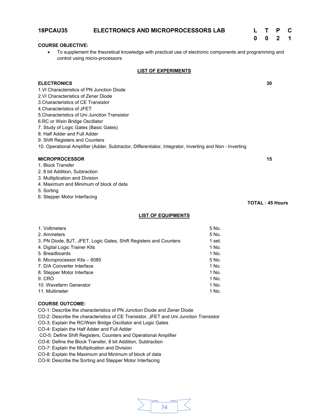|                                                                                                                                           | 0                      | n  |  |
|-------------------------------------------------------------------------------------------------------------------------------------------|------------------------|----|--|
| <b>COURSE OBJECTIVE:</b>                                                                                                                  |                        |    |  |
| To supplement the theoretical knowledge with practical use of electronic components and programming and<br>control using micro-processors |                        |    |  |
| <b>LIST OF EXPERIMENTS</b>                                                                                                                |                        |    |  |
| <b>ELECTRONICS</b>                                                                                                                        |                        | 30 |  |
| 1. VI Characteristics of PN Junction Diode                                                                                                |                        |    |  |
| 2. VI Characteristics of Zener Diode                                                                                                      |                        |    |  |
| 3. Characteristics of CE Transistor                                                                                                       |                        |    |  |
| 4. Characteristics of JFFT                                                                                                                |                        |    |  |
| 5. Characteristics of Uni Junction Transistor                                                                                             |                        |    |  |
| 6.RC or Wein Bridge Oscillator                                                                                                            |                        |    |  |
| 7. Study of Logic Gates (Basic Gates)                                                                                                     |                        |    |  |
| 8. Half Adder and Full Adder                                                                                                              |                        |    |  |
| 9. Shift Registers and Counters                                                                                                           |                        |    |  |
| 10. Operational Amplifier (Adder, Subtractor, Differentiator, Integrator, Inverting and Non - Inverting                                   |                        |    |  |
| <b>MICROPROCESSOR</b>                                                                                                                     |                        | 15 |  |
| 1. Block Transfer                                                                                                                         |                        |    |  |
| 2. 8 bit Addition, Subtraction                                                                                                            |                        |    |  |
| 3. Multiplication and Division                                                                                                            |                        |    |  |
| 4. Maximum and Minimum of block of data                                                                                                   |                        |    |  |
| 5. Sorting                                                                                                                                |                        |    |  |
| 6. Stepper Motor Interfacing                                                                                                              |                        |    |  |
|                                                                                                                                           | <b>TOTAL: 45 Hours</b> |    |  |

**18PCAU35 ELECTRONICS AND MICROPROCESSORS LAB L T P C**

# **LIST OF EQUIPMENTS**

| 1. Voltmeters                                                     | 5 No.  |
|-------------------------------------------------------------------|--------|
| 2. Ammeters                                                       | 5 No.  |
| 3. PN Diode, BJT, JFET, Logic Gates, Shift Registers and Counters | 1 set. |
| 4. Digital Logic Trainer Kits                                     | 1 No.  |
| 5. Breadboards                                                    | 1 No.  |
| 6. Microprocessor Kits – 8085                                     | 5 No.  |
| 7. D/A Converter Interface                                        | 1 No.  |
| 8. Stepper Motor Interface                                        | 1 No.  |
| 9. CRO                                                            | 1 No.  |
| 10. Wavefarm Generator                                            | 1 No.  |
| 11. Multimeter                                                    | 1 No.  |
|                                                                   |        |

# **COURSE OUTCOME:**

CO-1: Describe the characteristics of PN Junction Diode and Zener Diode

CO-2: Describe the characteristics of CE Transistor, JFET and Uni Junction Transistor

CO-3: Explain the RC/Wein Bridge Oscillator and Logic Gates

CO-4: Explain the Half Adder and Full Adder

CO-5: Define Shift Registers, Counters and Operational Amplifier

CO-6: Define the Block Transfer, 8 bit Addition, Subtraction

CO-7: Explain the Multiplication and Division

CO-8: Explain the Maximum and Minimum of block of data

CO-9: Describe the Sorting and Stepper Motor Interfacing

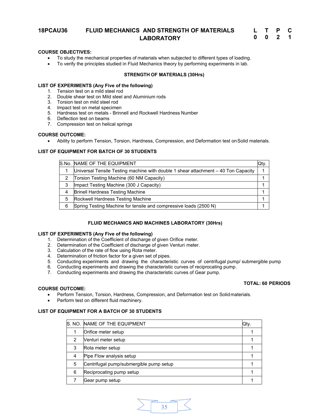# **18PCAU36 FLUID MECHANICS AND STRENGTH OF MATERIALS LABORATORY**

| L |   | Р | C |
|---|---|---|---|
| 0 | 0 | 2 | 1 |

# **COURSE OBJECTIVES:**

- ∑ To study the mechanical properties of materials when subjected to different types of loading.
- To verify the principles studied in Fluid Mechanics theory by performing experiments in lab.

# **STRENGTH OF MATERIALS (30Hrs)**

# **LIST OF EXPERIMENTS (Any Five of the following)**

- 1. Tension test on a mild steel rod
- 2. Double shear test on Mild steel and Aluminium rods
- 3. Torsion test on mild steel rod
- 4. Impact test on metal specimen
- 5. Hardness test on metals Brinnell and Rockwell Hardness Number
- 6. Deflection test on beams
- 7. Compression test on helical springs

# **COURSE OUTCOME:**

● Ability to perform Tension, Torsion, Hardness, Compression, and Deformation test on Solid materials.

# **LIST OF EQUIPMENT FOR BATCH OF 30 STUDENTS**

|   | S.No. NAME OF THE EQUIPMENT                                                         | Qty. |
|---|-------------------------------------------------------------------------------------|------|
|   | Universal Tensile Testing machine with double 1 shear attachment $-40$ Ton Capacity |      |
| 2 | Torsion Testing Machine (60 NM Capacity)                                            |      |
| 3 | Impact Testing Machine (300 J Capacity)                                             |      |
|   | <b>Brinell Hardness Testing Machine</b>                                             |      |
| 5 | Rockwell Hardness Testing Machine                                                   |      |
| 6 | Spring Testing Machine for tensile and compressive loads (2500 N)                   |      |

# **FLUID MECHANICS AND MACHINES LABORATORY (30Hrs)**

# **LIST OF EXPERIMENTS (Any Five of the following)**

- 1. Determination of the Coefficient of discharge of given Orifice meter.
- 2. Determination of the Coefficient of discharge of given Venturi meter.
- 3. Calculation of the rate of flow using Rota meter.
- 4. Determination of friction factor for a given set of pipes.
- 5. Conducting experiments and drawing the characteristic curves of centrifugal pump/ submergible pump
- 6. Conducting experiments and drawing the characteristic curves of reciprocating pump.
- 7. Conducting experiments and drawing the characteristic curves of Gear pump.

# **COURSE OUTCOME:**

- ∑ Perform Tension, Torsion, Hardness, Compression, and Deformation test on Solidmaterials.
- Perform test on different fluid machinery.

# **LIST OF EQUIPMENT FOR A BATCH OF 30 STUDENTS**

|   | S. NO. NAME OF THE EQUIPMENT            | Qty. |
|---|-----------------------------------------|------|
|   | Orifice meter setup                     |      |
| 2 | Venturi meter setup                     |      |
| 3 | Rota meter setup                        |      |
| 4 | Pipe Flow analysis setup                |      |
| 5 | Centrifugal pump/submergible pump setup |      |
| 6 | Reciprocating pump setup                |      |
|   | Gear pump setup                         |      |



**TOTAL: 60 PERIODS**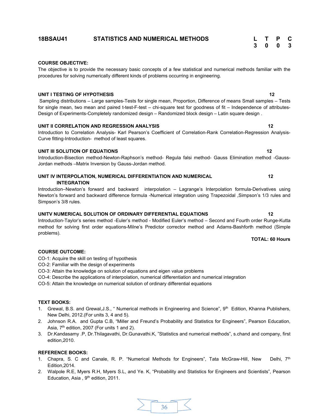# **COURSE OBJECTIVE:**

The objective is to provide the necessary basic concepts of a few statistical and numerical methods familiar with the procedures for solving numerically different kinds of problems occurring in engineering.

# **UNIT I TESTING OF HYPOTHESIS** 12

Sampling distributions – Large samples-Tests for single mean, Proportion, Difference of means Small samples – Tests for single mean, two mean and paired t-test-F-test – chi-square test for goodness of fit – Independence of attributes-Design of Experiments-Completely randomized design – Randomized block design – Latin square design .

# **UNIT II CORRELATION AND REGRESSION ANALYSIS 12**

Introduction to Correlation Analysis- Karl Pearson's Coefficient of Correlation-Rank Correlation-Regression Analysis-Curve fitting-Introduction- method of least squares.

# **UNIT III SOLUTION OF EQUATIONS** 12

Introduction-Bisection method-Newton-Raphson's method- Regula falsi method- Gauss Elimination method -Gauss-Jordan methods –Matrix Inversion by Gauss-Jordan method.

**UNIT IV INTERPOLATION, NUMERICAL DIFFERENTIATION AND NUMERICAL 12 INTEGRATION** 

Introduction–Newton's forward and backward interpolation – Lagrange's Interpolation formula-Derivatives using Newton's forward and backward difference formula -Numerical integration using Trapezoidal ,Simpson's 1/3 rules and Simpson's 3/8 rules.

# **UNITV NUMERICAL SOLUTION OF ORDINARY DIFFERENTIAL EQUATIONS 12**

Introduction-Taylor's series method -Euler's method - Modified Euler's method – Second and Fourth order Runge-Kutta method for solving first order equations-Milne's Predictor corrector method and Adams-Bashforth method (Simple problems).

# **COURSE OUTCOME:**

CO-1: Acquire the skill on testing of hypothesis

- CO-2: Familiar with the design of experiments
- CO-3: Attain the knowledge on solution of equations and eigen value problems
- CO-4: Describe the applications of interpolation, numerical differentiation and numerical integration

CO-5: Attain the knowledge on numerical solution of ordinary differential equations

# **TEXT BOOKS:**

- 1. Grewal, B.S. and Grewal, J.S., " Numerical methods in Engineering and Science", 9<sup>th</sup> Edition, Khanna Publishers, New Delhi, 2012.(For units 3, 4 and 5).
- 2. Johnson R.A. and Gupta C.B, "Miller and Freund's Probability and Statistics for Engineers", Pearson Education, Asia, 7<sup>th</sup> edition, 2007 (For units 1 and 2).
- 3. Dr.Kandasamy .P, Dr.Thilagavathi, Dr.Gunavathi.K, "Statistics and numerical methods", s.chand and company, first edition,2010.

# **REFERENCE BOOKS:**

- 1. Chapra, S. C and Canale, R. P. "Numerical Methods for Engineers", Tata McGraw-Hill, New Delhi, 7th Edition,2014.
- 2. Walpole R.E, Myers R.H, Myers S.L, and Ye. K, "Probability and Statistics for Engineers and Scientists", Pearson Education, Asia, 9<sup>th</sup> edition, 2011.

# **TOTAL: 60 Hours**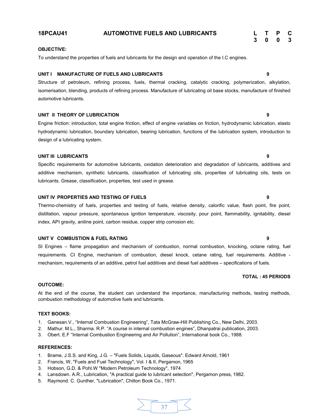# To understand the properties of fuels and lubricants for the design and operation of the I.C engines.

# **UNIT I MANUFACTURE OF FUELS AND LUBRICANTS 9**

Structure of petroleum, refining process, fuels, thermal cracking, catalytic cracking, polymerization, alkylation, isomerisation, blending, products of refining process. Manufacture of lubricating oil base stocks, manufacture of finished automotive lubricants.

# **UNIT II THEORY OF LUBRICATION 9**

Engine friction: introduction, total engine friction, effect of engine variables on friction, hydrodynamic lubrication, elasto hydrodynamic lubrication, boundary lubrication, bearing lubrication, functions of the lubrication system, introduction to design of a lubricating system.

# **UNIT III LUBRICANTS 9**

Specific requirements for automotive lubricants, oxidation deterioration and degradation of lubricants, additives and additive mechanism, synthetic lubricants, classification of lubricating oils, properties of lubricating oils, tests on lubricants. Grease, classification, properties, test used in grease.

# **UNIT IV PROPERTIES AND TESTING OF FUELS 9**

Thermo-chemistry of fuels, properties and testing of fuels, relative density, calorific value, flash point, fire point, distillation, vapour pressure, spontaneous ignition temperature, viscosity, pour point, flammability, ignitability, diesel index, API gravity, aniline point, carbon residue, copper strip corrosion etc.

# **UNIT V COMBUSTION & FUEL RATING 9**

SI Engines – flame propagation and mechanism of combustion, normal combustion, knocking, octane rating, fuel requirements. CI Engine, mechanism of combustion, diesel knock, cetane rating, fuel requirements. Additive mechanism, requirements of an additive, petrol fuel additives and diesel fuel additives – specifications of fuels.

# **OUTCOME:**

At the end of the course, the student can understand the importance, manufacturing methods, testing methods, combustion methodology of automotive fuels and lubricants.

# **TEXT BOOKS:**

- 1. Ganesan.V., "Internal Combustion Engineering", Tata McGraw-Hill Publishing Co., New Delhi, 2003.
- 2. Mathur. M.L., Sharma. R.P. "A course in internal combustion engines", Dhanpatrai publication, 2003.
- 3. Obert. E.F "Internal Combustion Engineering and Air Pollution", International book Co., 1988.

# **REFERENCES:**

- 1. Brame, J.S.S. and King, J.G. "Fuels Solids, Liquids, Gaseous". Edward Arnold, 1961
- 2. Francis, W, "Fuels and Fuel Technology", Vol. I & II, Pergamon, 1965
- 3. Hobson, G.D. & Pohl.W "Modern Petroleum Technology", 1974
- 4. Lansdown. A.R., Lubrication, "A practical guide to lubricant selection", Pergamon press, 1982.
- 5. Raymond. C. Gunther, "Lubrication", Chilton Book Co., 1971.



# **TOTAL : 45 PERIODS**

**3 0 0 3**

# **18PCAU41 AUTOMOTIVE FUELS AND LUBRICANTS L T P C**

**OBJECTIVE:**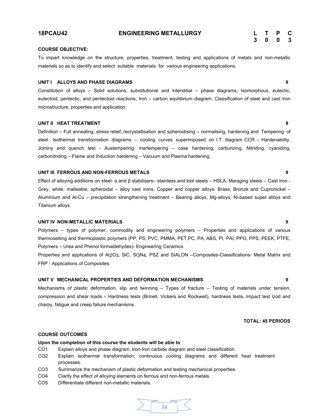# **18PCAU42 ENGINEERING METALLURGY L T P C**

# **3 0 0 3**

# **COURSE OBJECTIVE:**

To impart knowledge on the structure, properties, treatment, testing and applications of metals and non-metallic materials so as to identify and select suitable materials for various engineering applications.

### **UNIT I ALLOYS AND PHASE DIAGRAMS 9**

Constitution of alloys – Solid solutions, substitutional and interstitial – phase diagrams, Isomorphous, eutectic, eutectoid, peritectic, and peritectoid reactions, Iron – carbon equilibrium diagram. Classification of steel and cast Iron microstructure, properties and application.

# **UNIT II HEAT TREATMENT 9**

Definition – Full annealing, stress relief, recrystallisation and spheroidising – normalising, hardening and Tempering of steel. Isothermal transformation diagrams – cooling curves superimposed on I.T. diagram CCR – Hardenability, Jominy end quench test - Austempering, martempering – case hardening, carburizing, Nitriding, cyaniding, carbonitriding – Flame and Induction hardening – Vacuum and Plasma hardening.

# **UNIT III FERROUS AND NON-FERROUS METALS 9**

Effect of alloying additions on steel- α and β stabilisers– stainless and tool steels – HSLA, Maraging steels – Cast Iron - Grey, white, malleable, spheroidal – alloy cast irons, Copper and copper alloys. Brass, Bronze and Cupronickel – Aluminium and Al-Cu – precipitation strengthening treatment – Bearing alloys, Mg-alloys, Ni-based super alloys and Titanium alloys.

#### **UNIT IV NON-METALLIC MATERIALS 9**

Polymers – types of polymer, commodity and engineering polymers – Properties and applications of various thermosetting and thermoplastic polymers (PP, PS, PVC, PMMA, PET,PC, PA, ABS, PI, PAI, PPO, PPS, PEEK, PTFE, Polymers – Urea and Phenol formaldehydes)- Engineering Ceramics

Properties and applications of Al2O3, SiC, Si3N4, PSZ and SIALON –Composites-Classifications- Metal Matrix and FRP - Applications of Composites.

# **UNIT V MECHANICAL PROPERTIES AND DEFORMATION MECHANISMS 9**

Mechanisms of plastic deformation, slip and twinning – Types of fracture – Testing of materials under tension, compression and shear loads – Hardness tests (Brinell, Vickers and Rockwell), hardness tests, Impact test lzod and charpy, fatigue and creep failure mechanisms.

#### **TOTAL: 45 PERIODS**

# **COURSE OUTCOMES**

# **Upon the completion of this course the students will be able to**

- CO1 Explain alloys and phase diagram, Iron-Iron carbide diagram and steel classification.
- CO2 Explain isothermal transformation, continuous cooling diagrams and different heat treatment processes.
- CO3 Summarize the mechanism of plastic deformation and testing mechanical properties.
- CO4 Clarify the effect of alloying elements on ferrous and non-ferrous metals.
- CO5 Differentiate different non-metallic materials.

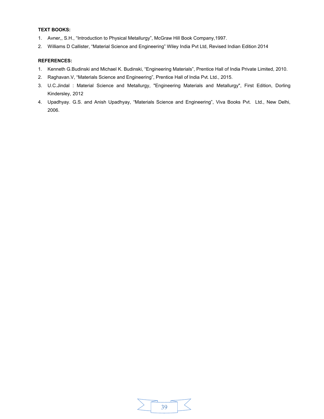# **TEXT BOOKS:**

- 1. Avner,, S.H., "Introduction to Physical Metallurgy", McGraw Hill Book Company,1997.
- 2. Williams D Callister, "Material Science and Engineering" Wiley India Pvt Ltd, Revised Indian Edition 2014

- 1. Kenneth G.Budinski and Michael K. Budinski, "Engineering Materials", Prentice Hall of India Private Limited, 2010.
- 2. Raghavan.V, "Materials Science and Engineering", Prentice Hall of India Pvt. Ltd., 2015.
- 3. U.C.Jindal : Material Science and Metallurgy, "Engineering Materials and Metallurgy", First Edition, Dorling Kindersley, 2012
- 4. Upadhyay. G.S. and Anish Upadhyay, "Materials Science and Engineering", Viva Books Pvt. Ltd., New Delhi, 2006.

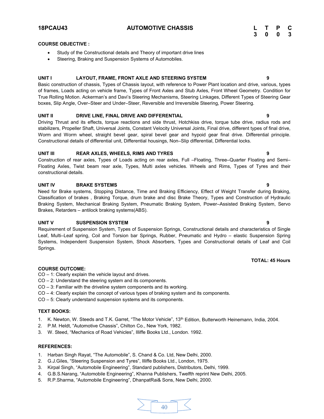**18PCAU43 AUTOMOTIVE CHASSIS L T P C**

# **COURSE OBJECTIVE :**

- Study of the Constructional details and Theory of important drive lines
- Steering, Braking and Suspension Systems of Automobiles.

# **UNIT I LAYOUT, FRAME, FRONT AXLE AND STEERING SYSTEM 9**

Basic construction of chassis, Types of Chassis layout, with reference to Power Plant location and drive, various, types of frames, Loads acting on vehicle frame, Types of Front Axles and Stub Axles, Front Wheel Geometry. Condition for True Rolling Motion. Ackerman's and Davi's Steering Mechanisms, Steering Linkages, Different Types of Steering Gear boxes, Slip Angle, Over–Steer and Under–Steer, Reversible and Irreversible Steering, Power Steering.

# **UNIT II DRIVE LINE, FINAL DRIVE AND DIFFERENTIAL 9**

Driving Thrust and its effects, torque reactions and side thrust, Hotchkiss drive, torque tube drive, radius rods and stabilizers, Propeller Shaft, Universal Joints, Constant Velocity Universal Joints, Final drive, different types of final drive, Worm and Worm wheel, straight bevel gear, spiral bevel gear and hypoid gear final drive. Differential principle. Constructional details of differential unit, Differential housings, Non–Slip differential, Differential locks.

# **UNIT III REAR AXLES, WHEELS, RIMS AND TYRES 9**

Construction of rear axles, Types of Loads acting on rear axles, Full –Floating, Three–Quarter Floating and Semi– Floating Axles, Twist beam rear axle, Types, Multi axles vehicles. Wheels and Rims, Types of Tyres and their constructional details.

# **UNIT IV BRAKE SYSTEMS 9**

Need for Brake systems, Stopping Distance, Time and Braking Efficiency, Effect of Weight Transfer during Braking, Classification of brakes , Braking Torque, drum brake and disc Brake Theory, Types and Construction of Hydraulic Braking System, Mechanical Braking System, Pneumatic Braking System, Power–Assisted Braking System, Servo Brakes, Retarders – antilock braking systems(ABS).

# **UNIT V SUSPENSION SYSTEM 9**

Requirement of Suspension System, Types of Suspension Springs, Constructional details and characteristics of Single Leaf, Multi–Leaf spring, Coil and Torsion bar Springs, Rubber, Pneumatic and Hydro – elastic Suspension Spring Systems, Independent Suspension System, Shock Absorbers, Types and Constructional details of Leaf and Coil Springs.

### **COURSE OUTCOME:**

CO – 1: Clearly explain the vehicle layout and drives.

- CO 2: Understand the steering system and its components.
- CO 3: Familiar with the driveline system components and its working.
- CO 4: Clearly explain the concept of various types of braking system and its components.
- CO 5: Clearly understand suspension systems and its components.

#### **TEXT BOOKS:**

- 1. K. Newton, W. Steeds and T.K. Garret, "The Motor Vehicle", 13<sup>th</sup> Edition, Butterworth Heinemann, India, 2004.
- 2. P.M. Heldt, "Automotive Chassis", Chilton Co., New York, 1982.
- 3. W. Steed, "Mechanics of Road Vehicles", Illiffe Books Ltd., London. 1992.

### **REFERENCES:**

- 1. Harban Singh Rayat, "The Automobile", S. Chand & Co. Ltd, New Delhi, 2000.
- 2. G.J.Giles, "Steering Suspension and Tyres", Illiffe Books Ltd., London, 1975.
- 3. Kirpal Singh, "Automobile Engineering", Standard publishers, Distributors, Delhi, 1999.
- 4. G.B.S.Narang, "Automobile Engineering", Khanna Publishers, Twelfth reprint New Delhi, 2005.
- 5. R.P.Sharma, "Automobile Engineering", DhanpatRai& Sons, New Delhi, 2000.



# **TOTAL: 45 Hours**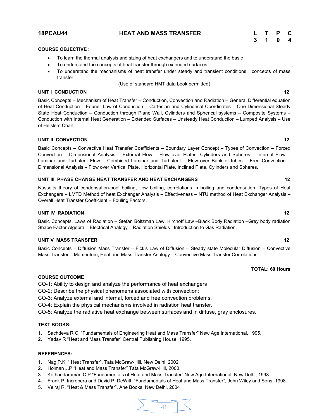# **18PCAU44 HEAT AND MASS TRANSFER L T P C**

# **3 1 0 4**

# **COURSE OBJECTIVE :**

- ∑ To learn the thermal analysis and sizing of heat exchangers and to understand the basic
- ∑ To understand the concepts of heat transfer through extended surfaces.
- To understand the mechanisms of heat transfer under steady and transient conditions. concepts of mass transfer.
	- (Use of standard HMT data book permitted)

# **UNIT I CONDUCTION 12**

Basic Concepts – Mechanism of Heat Transfer – Conduction, Convection and Radiation – General Differential equation of Heat Conduction – Fourier Law of Conduction – Cartesian and Cylindrical Coordinates – One Dimensional Steady State Heat Conduction – Conduction through Plane Wall, Cylinders and Spherical systems – Composite Systems – Conduction with Internal Heat Generation – Extended Surfaces – Unsteady Heat Conduction – Lumped Analysis – Use of Heislers Chart.

# **UNIT II CONVECTION 12**

Basic Concepts – Convective Heat Transfer Coefficients – Boundary Layer Concept – Types of Convection – Forced Convection – Dimensional Analysis – External Flow – Flow over Plates, Cylinders and Spheres – Internal Flow – Laminar and Turbulent Flow – Combined Laminar and Turbulent – Flow over Bank of tubes – Free Convection – Dimensional Analysis – Flow over Vertical Plate, Horizontal Plate, Inclined Plate, Cylinders and Spheres.

# **UNIT III PHASE CHANGE HEAT TRANSFER AND HEAT EXCHANGERS 12**

Nusselts theory of condensation-pool boiling, flow boiling, correlations in boiling and condensation. Types of Heat Exchangers – LMTD Method of heat Exchanger Analysis – Effectiveness – NTU method of Heat Exchanger Analysis – Overall Heat Transfer Coefficient – Fouling Factors.

# **UNIT IV RADIATION 12**

# Basic Concepts, Laws of Radiation – Stefan Boltzman Law, Kirchoff Law –Black Body Radiation –Grey body radiation Shape Factor Algebra – Electrical Analogy – Radiation Shields –Introduction to Gas Radiation.

# **UNIT V MASS TRANSFER 12**

Basic Concepts – Diffusion Mass Transfer – Fick's Law of Diffusion – Steady state Molecular Diffusion – Convective Mass Transfer – Momentum, Heat and Mass Transfer Analogy – Convective Mass Transfer Correlations

# **TOTAL: 60 Hours**

# **COURSE OUTCOME**

CO-1: Ability to design and analyze the performance of heat exchangers

- CO-2; Describe the physical phenomena associated with convection;
- CO-3: Analyze external and internal, forced and free convection problems.
- CO-4: Explain the physical mechanisms involved in radiation heat transfer.

CO-5: Analyze the radiative heat exchange between surfaces and in diffuse, gray enclosures.

# **TEXT BOOKS:**

- 1. Sachdeva R C, "Fundamentals of Engineering Heat and Mass Transfer" New Age International, 1995.
- 2. Yadav R "Heat and Mass Transfer" Central Publishing House, 1995.

- 1. Nag P.K, " Heat Transfer", Tata McGraw-Hill, New Delhi, 2002
- 2. Holman J.P "Heat and Mass Transfer" Tata McGraw-Hill, 2000.
- 3. Kothandaraman C.P "Fundamentals of Heat and Mass Transfer" New Age International, New Delhi, 1998
- 4. Frank P. Incropera and David P. DeWitt, "Fundamentals of Heat and Mass Transfer", John Wiley and Sons, 1998.
- 5. Velraj R, "Heat & Mass Transfer", Ane Books, New Delhi, 2004

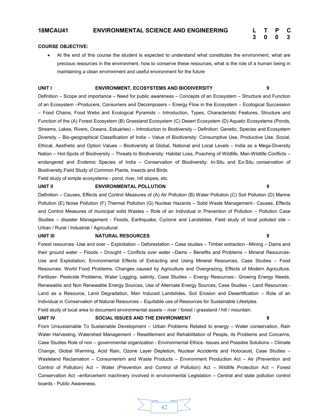# **3 0 0 3**

# **COURSE OBJECTIVE:**

● At the end of this course the student is expected to understand what constitutes the environment, what are precious resources in the environment, how to conserve these resources, what is the role of a human being in maintaining a clean environment and useful environment for the future

#### **UNIT I ENVIRONMENT, ECOSYSTEMS AND BIODIVERSITY 9**

Definition – Scope and importance – Need for public awareness – Concepts of an Ecosystem – Structure and Function of an Ecosystem –Producers, Consumers and Decomposers – Energy Flow in the Ecosystem – Ecological Succession – Food Chains, Food Webs and Ecological Pyramids – Introduction, Types, Characteristic Features, Structure and Function of the (A) Forest Ecosystem (B) Grassland Ecosystem (C) Desert Ecosystem (D) Aquatic Ecosystems (Ponds, Streams, Lakes, Rivers, Oceans, Estuaries) – Introduction to Biodiversity – Definition: Genetic, Species and Ecosystem Diversity – Bio-geographical Classification of India – Value of Biodiversity: Consumptive Use, Productive Use, Social, Ethical, Aesthetic and Option Values – Biodiversity at Global, National and Local Levels – India as a Mega-Diversity Nation – Hot-Spots of Biodiversity – Threats to Biodiversity: Habitat Loss, Poaching of Wildlife, Man-Wildlife Conflicts – endangered and Endemic Species of India – Conservation of Biodiversity: In-Situ and Ex-Situ conservation of Biodiversity.Field Study of Common Plants, Insects and Birds.

Field study of simple ecosystems - pond, river, hill slopes, etc.

#### **UNIT II ENVIRONMENTAL POLLUTION 9**

Definition – Causes, Effects and Control Measures of (A) Air Pollution (B) Water Pollution (C) Soil Pollution (D) Marine Pollution (E) Noise Pollution (F) Thermal Pollution (G) Nuclear Hazards – Solid Waste Management:- Causes, Effects and Control Measures of municipal solid Wastes – Role of an Individual in Prevention of Pollution – Pollution Case Studies – disaster Management - Floods, Earthquake, Cyclone and Landslides. Field study of local polluted site – Urban / Rural / Industrial / Agricultural.

#### **UNIT III NATURAL RESOURCES 9**

Forest resources -Use and over – Exploitation – Deforestation – Case studies – Timber extraction –Mining – Dams and their ground water – Floods – Drought – Conflicts over water –Dams – Benefits and Problems – Mineral Resources-Use and Exploitation, Environmental Effects of Extracting and Using Mineral Resources, Case Studies – Food Resources: World Food Problems, Changes caused by Agriculture and Overgrazing, Effects of Modern Agriculture, Fertilizer- Pesticide Problems, Water Logging, salinity, Case Studies – Energy Resources:- Growing Energy Needs, Renewable and Non Renewable Energy Sources, Use of Alternate Energy Sources, Case Studies – Land Resources - Land as a Resource, Land Degradation, Man Induced Landslides, Soil Erosion and Desertification – Role of an Individual in Conservation of Natural Resources – Equitable use of Resources for Sustainable Lifestyles.

Field study of local area to document environmental assets – river / forest / grassland / hill / mountain.

# **UNIT IV SOCIAL ISSUES AND THE ENVIRONMENT 9**

From Unsustainable To Sustainable Development – Urban Problems Related to energy – Water conservation, Rain Water Harvesting, Watershed Management – Resettlement and Rehabilitation of People, its Problems and Concerns, Case Studies Role of non – governmental organization - Environmental Ethics- Issues and Possible Solutions – Climate Change, Global Warming, Acid Rain, Ozone Layer Depletion, Nuclear Accidents and Holocaust, Case Studies – Wasteland Reclamation – Consumerism and Waste Products – Environment Production Act – Air (Prevention and Control of Pollution) Act – Water (Prevention and Control of Pollution) Act – Wildlife Protection Act – Forest Conservation Act –enforcement machinery involved in environmental Legislation – Central and state pollution control boards - Public Awareness.

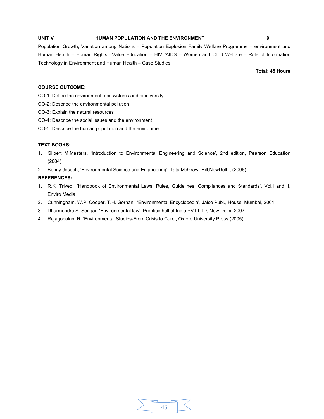# **UNIT V HUMAN POPULATION AND THE ENVIRONMENT 9**

Population Growth, Variation among Nations – Population Explosion Family Welfare Programme – environment and Human Health – Human Rights –Value Education – HIV /AIDS – Women and Child Welfare – Role of Information Technology in Environment and Human Health – Case Studies.

**Total: 45 Hours** 

# **COURSE OUTCOME:**

CO-1: Define the environment, ecosystems and biodiversity

- CO-2: Describe the environmental pollution
- CO-3: Explain the natural resources
- CO-4: Describe the social issues and the environment
- CO-5: Describe the human population and the environment

# **TEXT BOOKS:**

- 1. Gilbert M.Masters, 'Introduction to Environmental Engineering and Science', 2nd edition, Pearson Education (2004).
- 2. Benny Joseph, 'Environmental Science and Engineering', Tata McGraw- Hill,NewDelhi, (2006).

- 1. R.K. Trivedi, 'Handbook of Environmental Laws, Rules, Guidelines, Compliances and Standards', Vol.I and II, Enviro Media.
- 2. Cunningham, W.P. Cooper, T.H. Gorhani, 'Environmental Encyclopedia', Jaico Publ., House, Mumbai, 2001.
- 3. Dharmendra S. Sengar, 'Environmental law', Prentice hall of India PVT LTD, New Delhi, 2007.
- 4. Rajagopalan, R, 'Environmental Studies-From Crisis to Cure', Oxford University Press (2005)

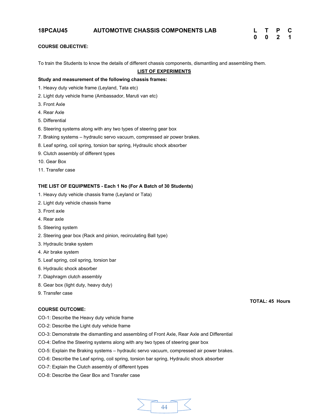# **COURSE OBJECTIVE:**

To train the Students to know the details of different chassis components, dismantling and assembling them.

# **LIST OF EXPERIMENTS**

#### **Study and measurement of the following chassis frames:**

- 1. Heavy duty vehicle frame (Leyland, Tata etc)
- 2. Light duty vehicle frame (Ambassador, Maruti van etc)
- 3. Front Axle
- 4. Rear Axle
- 5. Differential
- 6. Steering systems along with any two types of steering gear box
- 7. Braking systems hydraulic servo vacuum, compressed air power brakes.
- 8. Leaf spring, coil spring, torsion bar spring, Hydraulic shock absorber
- 9. Clutch assembly of different types
- 10. Gear Box
- 11. Transfer case

# **THE LIST OF EQUIPMENTS - Each 1 No (For A Batch of 30 Students)**

- 1. Heavy duty vehicle chassis frame (Leyland or Tata)
- 2. Light duty vehicle chassis frame
- 3. Front axle
- 4. Rear axle
- 5. Steering system
- 2. Steering gear box (Rack and pinion, recirculating Ball type)
- 3. Hydraulic brake system
- 4. Air brake system
- 5. Leaf spring, coil spring, torsion bar
- 6. Hydraulic shock absorber
- 7. Diaphragm clutch assembly
- 8. Gear box (light duty, heavy duty)
- 9. Transfer case

# **COURSE OUTCOME:**

- CO-1: Describe the Heavy duty vehicle frame
- CO-2: Describe the Light duty vehicle frame
- CO-3: Demonstrate the dismantling and assembling of Front Axle, Rear Axle and Differential
- CO-4: Define the Steering systems along with any two types of steering gear box
- CO-5: Explain the Braking systems hydraulic servo vacuum, compressed air power brakes.
- CO-6: Describe the Leaf spring, coil spring, torsion bar spring, Hydraulic shock absorber
- CO-7: Explain the Clutch assembly of different types
- CO-8: Describe the Gear Box and Transfer case



**TOTAL: 45 Hours**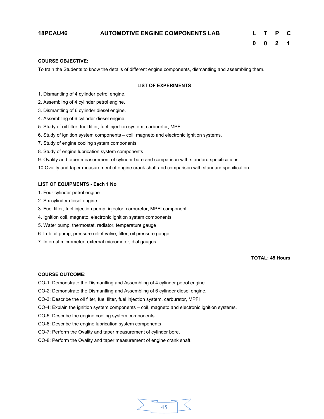# **18PCAU46 AUTOMOTIVE ENGINE COMPONENTS LAB L T P C**

# **COURSE OBJECTIVE:**

To train the Students to know the details of different engine components, dismantling and assembling them.

# **LIST OF EXPERIMENTS**

- 1. Dismantling of 4 cylinder petrol engine.
- 2. Assembling of 4 cylinder petrol engine.
- 3. Dismantling of 6 cylinder diesel engine.
- 4. Assembling of 6 cylinder diesel engine.
- 5. Study of oil filter, fuel filter, fuel injection system, carburetor, MPFI
- 6. Study of ignition system components coil, magneto and electronic ignition systems.
- 7. Study of engine cooling system components
- 8. Study of engine lubrication system components
- 9. Ovality and taper measurement of cylinder bore and comparison with standard specifications

10.Ovality and taper measurement of engine crank shaft and comparison with standard specification

# **LIST OF EQUIPMENTS - Each 1 No**

- 1. Four cylinder petrol engine
- 2. Six cylinder diesel engine
- 3. Fuel filter, fuel injection pump, injector, carburetor, MPFI component
- 4. Ignition coil, magneto, electronic ignition system components
- 5. Water pump, thermostat, radiator, temperature gauge
- 6. Lub oil pump, pressure relief valve, filter, oil pressure gauge
- 7. Internal micrometer, external micrometer, dial gauges.

**TOTAL: 45 Hours**

# **COURSE OUTCOME:**

- CO-1: Demonstrate the Dismantling and Assembling of 4 cylinder petrol engine.
- CO-2: Demonstrate the Dismantling and Assembling of 6 cylinder diesel engine.
- CO-3: Describe the oil filter, fuel filter, fuel injection system, carburetor, MPFI
- CO-4: Explain the ignition system components coil, magneto and electronic ignition systems.
- CO-5: Describe the engine cooling system components
- CO-6: Describe the engine lubrication system components
- CO-7: Perform the Ovality and taper measurement of cylinder bore.
- CO-8: Perform the Ovality and taper measurement of engine crank shaft.

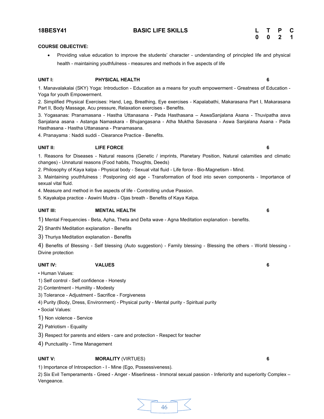# **UNIT I: PHYSICAL HEALTH 6**

1. Manavalakalai (SKY) Yoga: Introduction - Education as a means for youth empowerment - Greatness of Education - Yoga for youth Empowerment.

2. Simplified Physical Exercises: Hand, Leg, Breathing, Eye exercises - Kapalabathi, Makarasana Part I, Makarasana Part II, Body Massage, Acu pressure, Relaxation exercises - Benefits.

3. Yogasanas: Pranamasana - Hastha Uttanasana - Pada Hasthasana – AswaSanjalana Asana - Thuvipatha asva Sanjalana asana - Astanga Namaskara - Bhujangasana - Atha Muktha Savasana - Aswa Sanjalana Asana - Pada Hasthasana - Hastha Uttanasana - Pranamasana.

4. Pranayama : Naddi suddi - Clearance Practice - Benefits.

# **UNIT II: LIFE FORCE 6**

1. Reasons for Diseases - Natural reasons (Genetic / imprints, Planetary Position, Natural calamities and climatic changes) - Unnatural reasons (Food habits, Thoughts, Deeds)

2. Philosophy of Kaya kalpa - Physical body - Sexual vital fluid - Life force - Bio-Magnetism - Mind.

health - maintaining youthfulness - measures and methods in five aspects of life

3. Maintaining youthfulness : Postponing old age - Transformation of food into seven components - Importance of sexual vital fluid.

4. Measure and method in five aspects of life - Controlling undue Passion.

5. Kayakalpa practice - Aswini Mudra - Ojas breath - Benefits of Kaya Kalpa.

# **UNIT III: MENTAL HEALTH 6**

1) Mental Frequencies - Beta, Apha, Theta and Delta wave - Agna Meditation explanation - benefits.

2) Shanthi Meditation explanation - Benefits

3) Thuriya Meditation explanation - Benefits

4) Benefits of Blessing - Self blessing (Auto suggestion) - Family blessing - Blessing the others - World blessing - Divine protection

# **UNIT IV: VALUES 6**

• Human Values:

- 1) Self control Self confidence Honesty
- 2) Contentment Humility Modesty
- 3) Tolerance Adjustment Sacrifice Forgiveness
- 4) Purity (Body, Dress, Environment) Physical purity Mental purity Spiritual purity
- Social Values:

1) Non violence - Service

2) Patriotism - Equality

3) Respect for parents and elders - care and protection - Respect for teacher

4) Punctuality - Time Management

# **UNIT V: MORALITY** (VIRTUES) **6**

1) Importance of Introspection - I - Mine (Ego, Possessiveness).

2) Six Evil Temperaments - Greed - Anger - Miserliness - Immoral sexual passion - Inferiority and superiority Complex – Vengeance.

**COURSE OBJECTIVE:** 

$$
\sum \overline{46}
$$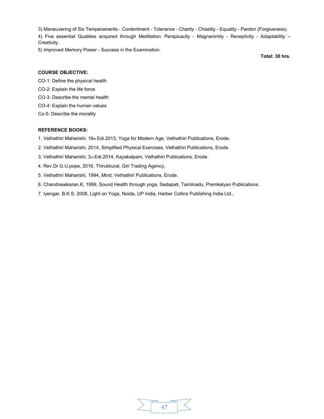3) Maneuvering of Six Temperaments - Contentment - Tolerance - Charity - Chastity - Equality - Pardon (Forgiveness). 4) Five essential Qualities acquired through Meditation: Perspicacity - Magnanimity - Receptivity - Adaptability – Creativity.

5) Improved Memory Power - Success in the Examination.

**Total: 30 hrs.** 

# **COURSE OBJECTIVE:**

CO-1: Define the physical health

- CO-2: Explain the life force
- CO-3: Describe the mental health
- CO-4: Explain the human values
- Co-5: Describe the morality

# **REFERENCE BOOKS:**

- 1. Vethathiri Maharishi, 16th Edi.2013, Yoga for Modern Age, Vethathiri Publications, Erode.
- 2. Vethathiri Maharishi, 2014, Simplified Physical Exercises, Vethathiri Publications, Erode.
- 3. Vethathiri Maharishi, 3rd Edi.2014, Kayakalpam, Vethathiri Publications, Erode.
- 4. Rev.Dr.G.U.pope, 2016, Thirukkural, Giri Trading Agency,
- 5. Vethathiri Maharishi, 1994, Mind, Vethathiri Publications, Erode.
- 6. Chandrasekaran.K, 1999, Sound Health through yoga, Sedapati, Tamilnadu, Premkalyan Publications.
- 7. Iyengar, B.K.S. 2008, Light on Yoga, Noida, UP India, Harber Collins Publishing India Ltd.,

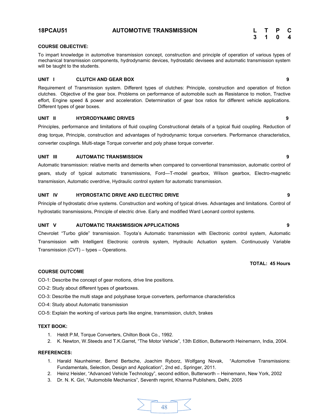# **COURSE OBJECTIVE:**

To impart knowledge in automotive transmission concept, construction and principle of operation of various types of mechanical transmission components, hydrodynamic devices, hydrostatic devisees and automatic transmission system will be taught to the students.

### **UNIT I CLUTCH AND GEAR BOX 9**

Requirement of Transmission system. Different types of clutches: Principle, construction and operation of friction clutches. Objective of the gear box. Problems on performance of automobile such as Resistance to motion, Tractive effort, Engine speed & power and acceleration. Determination of gear box ratios for different vehicle applications. Different types of gear boxes.

### **UNIT II HYDRODYNAMIC DRIVES 9**

Principles, performance and limitations of fluid coupling Constructional details of a typical fluid coupling. Reduction of drag torque, Principle, construction and advantages of hydrodynamic torque converters. Performance characteristics, converter couplings. Multi-stage Torque converter and poly phase torque converter.

# **UNIT III AUTOMATIC TRANSMISSION 9**

Automatic transmission: relative merits and demerits when compared to conventional transmission, automatic control of gears, study of typical automatic transmissions, Ford—T-model gearbox, Wilson gearbox, Electro-magnetic transmission, Automatic overdrive, Hydraulic control system for automatic transmission.

# **UNIT IV HYDROSTATIC DRIVE AND ELECTRIC DRIVE 9**

Principle of hydrostatic drive systems. Construction and working of typical drives. Advantages and limitations. Control of hydrostatic transmissions, Principle of electric drive. Early and modified Ward Leonard control systems.

#### **UNIT V AUTOMATIC TRANSMISSION APPLICATIONS 9**

Chevrolet "Turbo glide" transmission. Toyota's Automatic transmission with Electronic control system, Automatic Transmission with Intelligent Electronic controls system, Hydraulic Actuation system. Continuously Variable Transmission (CVT) – types – Operations.

# **TOTAL: 45 Hours**

# **COURSE OUTCOME**

CO-1: Describe the concept of gear motions, drive line positions.

- CO-2: Study about different types of gearboxes.
- CO-3: Describe the multi stage and polyphase torque converters, performance characteristics
- CO-4: Study about Automatic transmission

CO-5: Explain the working of various parts like engine, transmission, clutch, brakes

### **TEXT BOOK:**

- 1. Heldt P.M, Torque Converters, Chilton Book Co., 1992.
- 2. K. Newton, W.Steeds and T.K.Garret, "The Motor Vehicle", 13th Edition, Butterworth Heinemann, India, 2004.

- 1. [Harald Naunheimer,](http://www.amazon.in/s/ref=dp_byline_sr_book_1?ie=UTF8&field-author=Harald+Naunheimer&search-alias=stripbooks) [Bernd Bertsche,](http://www.amazon.in/s/ref=dp_byline_sr_book_2?ie=UTF8&field-author=Bernd+Bertsche&search-alias=stripbooks) [Joachim Ryborz,](http://www.amazon.in/s/ref=dp_byline_sr_book_3?ie=UTF8&field-author=Joachim+Ryborz&search-alias=stripbooks) [Wolfgang Novak,](http://www.amazon.in/s/ref=dp_byline_sr_book_4?ie=UTF8&field-author=Wolfgang+Novak&search-alias=stripbooks) "Automotive Transmissions: Fundamentals, Selection, Design and Application", 2nd ed., Springer, 2011.
- 2. Heinz Heisler, "Advanced Vehicle Technology", second edition, Butterworth Heinemann, New York, 2002
- 3. Dr. N. K. Giri, "Automobile Mechanics", Seventh reprint, Khanna Publishers, Delhi, 2005

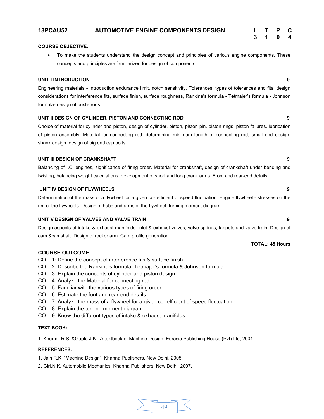# **18PCAU52 AUTOMOTIVE ENGINE COMPONENTS DESIGN L T P C**

# **COURSE OBJECTIVE:**

To make the students understand the design concept and principles of various engine components. These concepts and principles are familiarized for design of components.

# **UNIT I INTRODUCTION 9**

Engineering materials - Introduction endurance limit, notch sensitivity. Tolerances, types of tolerances and fits, design considerations for interference fits, surface finish, surface roughness, Rankine's formula - Tetmajer's formula - Johnson formula- design of push- rods.

# **UNIT II DESIGN OF CYLINDER, PISTON AND CONNECTING ROD 9**

Choice of material for cylinder and piston, design of cylinder, piston, piston pin, piston rings, piston failures, lubrication of piston assembly. Material for connecting rod, determining minimum length of connecting rod, small end design, shank design, design of big end cap bolts.

# **UNIT III DESIGN OF CRANKSHAFT 9**

Balancing of I.C. engines, significance of firing order. Material for crankshaft, design of crankshaft under bending and twisting, balancing weight calculations, development of short and long crank arms. Front and rear-end details.

# **UNIT IV DESIGN OF FLYWHEELS 9**

Determination of the mass of a flywheel for a given co- efficient of speed fluctuation. Engine flywheel - stresses on the rim of the flywheels. Design of hubs and arms of the flywheel, turning moment diagram.

#### **UNIT V DESIGN OF VALVES AND VALVE TRAIN 9**

Design aspects of intake & exhaust manifolds, inlet & exhaust valves, valve springs, tappets and valve train. Design of cam &camshaft. Design of rocker arm. Cam profile generation.

# **COURSE OUTCOME:**

- CO 1: Define the concept of interference fits & surface finish.
- CO 2: Describe the Rankine's formula, Tetmajer's formula & Johnson formula.
- CO 3: Explain the concepts of cylinder and piston design.
- CO 4: Analyze the Material for connecting rod.
- CO 5: Familiar with the various types of firing order.
- CO 6: Estimate the font and rear-end details.
- CO 7: Analyze the mass of a flywheel for a given co- efficient of speed fluctuation.
- CO 8: Explain the turning moment diagram.
- CO 9: Know the different types of intake & exhaust manifolds.

# **TEXT BOOK:**

1. Khurmi. R.S. &Gupta.J.K., A textbook of Machine Design, Eurasia Publishing House (Pvt) Ltd, 2001.

# **REFERENCES:**

- 1. Jain.R.K, "Machine Design", Khanna Publishers, New Delhi, 2005.
- 2. Giri.N.K, Automobile Mechanics, Khanna Publishers, New Delhi, 2007.



#### **TOTAL: 45 Hours**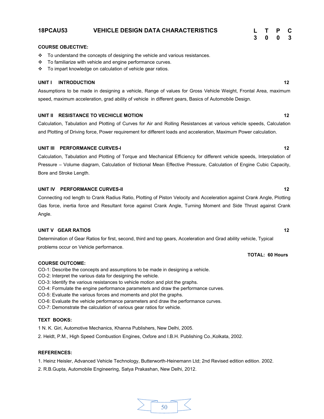# **18PCAU53 VEHICLE DESIGN DATA CHARACTERISTICS L T P C**

#### **COURSE OBJECTIVE:**

- \* To understand the concepts of designing the vehicle and various resistances.
- $\div$  To familiarize with vehicle and engine performance curves.
- \* To impart knowledge on calculation of vehicle gear ratios.

### **UNIT I INTRODUCTION 12**

Assumptions to be made in designing a vehicle, Range of values for Gross Vehicle Weight, Frontal Area, maximum speed, maximum acceleration, grad ability of vehicle in different gears, Basics of Automobile Design.

### **UNIT II RESISTANCE TO VECHICLE MOTION 12**

Calculation, Tabulation and Plotting of Curves for Air and Rolling Resistances at various vehicle speeds, Calculation and Plotting of Driving force, Power requirement for different loads and acceleration, Maximum Power calculation.

# **UNIT III PERFORMANCE CURVES-I 12**

Calculation, Tabulation and Plotting of Torque and Mechanical Efficiency for different vehicle speeds, Interpolation of Pressure – Volume diagram, Calculation of frictional Mean Effective Pressure, Calculation of Engine Cubic Capacity, Bore and Stroke Length.

# **UNIT IV PERFORMANCE CURVES-II 12**

Connecting rod length to Crank Radius Ratio, Plotting of Piston Velocity and Acceleration against Crank Angle, Plotting Gas force, inertia force and Resultant force against Crank Angle, Turning Moment and Side Thrust against Crank Angle.

# **UNIT V GEAR RATIOS** 12

Determination of Gear Ratios for first, second, third and top gears, Acceleration and Grad ability vehicle, Typical problems occur on Vehicle performance.

#### **COURSE OUTCOME:**

- CO-1: Describe the concepts and assumptions to be made in designing a vehicle.
- CO-2: Interpret the various data for designing the vehicle.
- CO-3: Identify the various resistances to vehicle motion and plot the graphs.
- CO-4: Formulate the engine performance parameters and draw the performance curves.
- CO-5: Evaluate the various forces and moments and plot the graphs.
- CO-6: Evaluate the vehicle performance parameters and draw the performance curves.
- CO-7: Demonstrate the calculation of various gear ratios for vehicle.

### **TEXT BOOKS:**

1 N. K. Giri, Automotive Mechanics, Khanna Publishers, New Delhi, 2005.

2. Heldt, P.M., High Speed Combustion Engines, Oxfore and I.B.H. Publishing Co.,Kolkata, 2002.

# **REFERENCES:**

1. Heinz Heisler, Advanced Vehicle Technology, Butterworth-Heinemann Ltd; 2nd Revised edition edition. 2002.

2. R.B.Gupta, Automobile Engineering, Satya Prakashan, New Delhi, 2012.



**TOTAL: 60 Hours**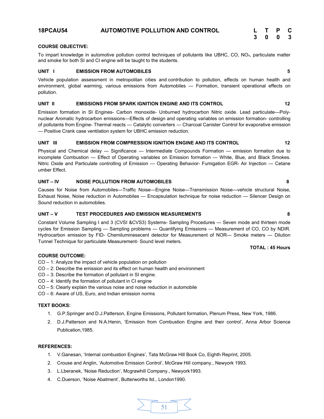# **18PCAU54 AUTOMOTIVE POLLUTION AND CONTROL L T P C**

# **3 0 0 3**

# **COURSE OBJECTIVE:**

To impart knowledge in automotive pollution control techniques of pollutants like UBHC, CO, NOx, particulate matter and smoke for both SI and CI engine will be taught to the students.

# **UNIT I EMISSION FROM AUTOMOBILES 5**

Vehicle population assessment in metropolitan cities and contribution to pollution, effects on human health and environment, global warming, various emissions from Automobiles — Formation, transient operational effects on pollution.

# **UNIT II EMISSIONS FROM SPARK IGNITION ENGINE AND ITS CONTROL 12**

Emission formation in SI Engines- Carbon monoxide- Unburned hydrocarbon Nitric oxide. Lead particulate—Polynuclear Aromatic hydrocarbon emissions—Effects of design and operating variables on emission formation- controlling of pollutants from Engine- Thermal reacts — Catalytic converters — Charcoal Canister Control for evaporative emission — Positive Crank case ventilation system for UBHC emission reduction.

# **UNIT III EMISSION FROM COMPRESSION IGNITION ENGINE AND ITS CONTROL 12**

Physical and Chemical delay — Significance — Intermediate Compounds Formation — emission formation due to incomplete Combustion — Effect of Operating variables on Emission formation — White, Blue, and Black Smokes. Nitric Oxide and Particulate controlling of Emission — Operating Behavior- Fumigation EGR- Air Injection — Cetane umber Effect.

# **UNIT – IV NOISE POLLUTION FROM AUTOMOBILES 8**

Causes for Noise from Automobiles—Traffic Noise—Engine Noise—Transmission Noise—vehicle structural Noise, Exhaust Noise, Noise reduction in Automobiles — Encapsulation technique for noise reduction — Silencer Design on Sound reduction in automobiles.

# **UNIT – V TEST PROCEDURES AND EMISSION MEASUREMENTS 8**

Constant Volume Sampling I and 3 (CVSI &CVS3) Systems- Sampling Procedures — Seven mode and thirteen mode cycles for Emission Sampling — Sampling problems — Quantifying Emissions — Measurement of CO, CO by NDIR. Hydrocarbon emission by FID- Chemiluminesecent detector for Measurement of NOR— Smoke meters — Dilution Tunnel Technique for particulate Measurement- Sound level meters.

# **TOTAL : 45 Hours**

# **COURSE OUTCOME:**

- CO 1: Analyze the impact of vehicle population on pollution
- CO 2: Describe the emission and its effect on human health and environment
- CO 3: Describe the formation of pollutant in SI engine.
- $CO 4$ : Identify the formation of pollutant in CI engine
- CO 5: Clearly explain the various noise and noise reduction in automobile
- CO 6: Aware of US, Euro, and Indian emission norms

# **TEXT BOOKS:**

- 1. G.P.Springer and D.J.Patterson, Engine Emissions, Pollutant formation, Plenum Press, New York, 1986.
- 2. D.J.Patterson and N.A.Henin, 'Emission from Combustion Engine and their control', Anna Arbor Science Publication,1985.

- 1. V.Ganesan, 'Internal combustion Engines', Tata McGraw Hill Book Co, Eighth Reprint, 2005.
- 2. Crouse and Anglin, 'Automotive Emission Control', McGraw Hill company., Newyork 1993.
- 3. L.Lberanek, 'Noise Reduction', Mcgrawhill Company., Newyork1993.
- 4. C.Duerson, 'Noise Abatment', Butterworths ltd., London1990.

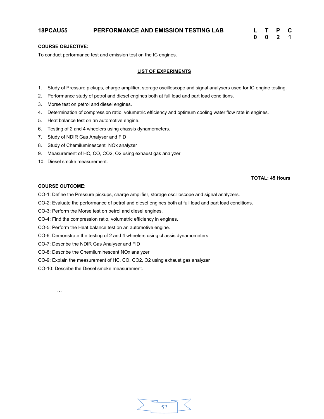# **18PCAU55 PERFORMANCE AND EMISSION TESTING LAB L T P C**

| L | т | P | С |
|---|---|---|---|
| 0 | 0 | 2 | 1 |

# **COURSE OBJECTIVE:**

To conduct performance test and emission test on the IC engines.

# **LIST OF EXPERIMENTS**

- 1. Study of Pressure pickups, charge amplifier, storage oscilloscope and signal analysers used for IC engine testing.
- 2. Performance study of petrol and diesel engines both at full load and part load conditions.
- 3. Morse test on petrol and diesel engines.
- 4. Determination of compression ratio, volumetric efficiency and optimum cooling water flow rate in engines.
- 5. Heat balance test on an automotive engine.
- 6. Testing of 2 and 4 wheelers using chassis dynamometers.
- 7. Study of NDIR Gas Analyser and FID
- 8. Study of Chemiluminescent NOx analyzer
- 9. Measurement of HC, CO, CO2, O2 using exhaust gas analyzer
- 10. Diesel smoke measurement.

# **TOTAL: 45 Hours**

# **COURSE OUTCOME:**

…

- CO-1: Define the Pressure pickups, charge amplifier, storage oscilloscope and signal analyzers.
- CO-2: Evaluate the performance of petrol and diesel engines both at full load and part load conditions.
- CO-3: Perform the Morse test on petrol and diesel engines.
- CO-4: Find the compression ratio, volumetric efficiency in engines.
- CO-5: Perform the Heat balance test on an automotive engine.
- CO-6: Demonstrate the testing of 2 and 4 wheelers using chassis dynamometers.
- CO-7: Describe the NDIR Gas Analyser and FID
- CO-8: Describe the Chemiluminescent NOx analyzer
- CO-9: Explain the measurement of HC, CO, CO2, O2 using exhaust gas analyzer
- CO-10: Describe the Diesel smoke measurement.

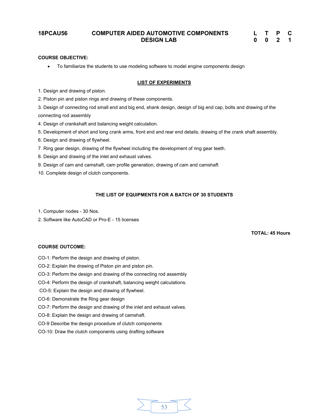# **18PCAU56 COMPUTER AIDED AUTOMOTIVE COMPONENTS DESIGN LAB**

| L | Т | P | C |
|---|---|---|---|
| 0 | 0 | 2 | 1 |

### **COURSE OBJECTIVE:**

● To familiarize the students to use modeling software to model engine components design

### **LIST OF EXPERIMENTS**

1. Design and drawing of piston.

2. Piston pin and piston rings and drawing of these components.

3. Design of connecting rod small end and big end, shank design, design of big end cap, bolts and drawing of the connecting rod assembly

4. Design of crankshaft and balancing weight calculation.

5. Development of short and long crank arms, front end and rear end details, drawing of the crank shaft assembly.

- 6. Design and drawing of flywheel.
- 7. Ring gear design, drawing of the flywheel including the development of ring gear teeth.
- 8. Design and drawing of the inlet and exhaust valves.
- 9. Design of cam and camshaft, cam profile generation, drawing of cam and camshaft
- 10. Complete design of clutch components.

# **THE LIST OF EQUIPMENTS FOR A BATCH OF 30 STUDENTS**

53

- 1. Computer nodes 30 Nos.
- 2. Software like AutoCAD or Pro-E 15 licenses

# **TOTAL: 45 Hours**

# **COURSE OUTCOME:**

CO-1: Perform the design and drawing of piston.

- CO-2: Explain the drawing of Piston pin and piston pin.
- CO-3: Perform the design and drawing of the connecting rod assembly
- CO-4: Perform the design of crankshaft, balancing weight calculations.
- CO-5: Explain the design and drawing of flywheel.
- CO-6: Demonstrate the Ring gear design
- CO-7: Perform the design and drawing of the inlet and exhaust valves.
- CO-8: Explain the design and drawing of camshaft.
- CO-9 Describe the design procedure of clutch components
- CO-10: Draw the clutch components using drafting software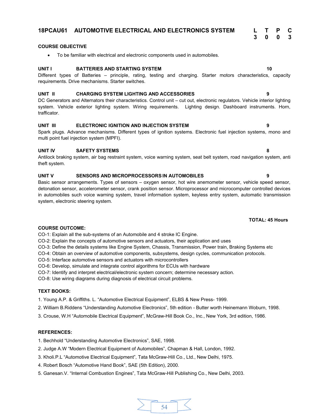# **COURSE OBJECTIVE**

● To be familiar with electrical and electronic components used in automobiles.

#### **UNIT I BATTERIES AND STARTING SYSTEM 10**

Different types of Batteries – principle, rating, testing and charging. Starter motors characteristics, capacity requirements. Drive mechanisms. Starter switches.

# **UNIT II CHARGING SYSTEM LIGHTING AND ACCESSORIES 9**

DC Generators and Alternators their characteristics. Control unit – cut out, electronic regulators. Vehicle interior lighting system. Vehicle exterior lighting system. Wiring requirements. Lighting design. Dashboard instruments. Horn, trafficator.

# **UNIT III ELECTRONIC IGNITION AND INJECTION SYSTEM 9**

Spark plugs. Advance mechanisms. Different types of ignition systems. Electronic fuel injection systems, mono and multi point fuel injection system (MPFI).

#### **UNIT IV SAFETY SYSTEMS 8**

Antilock braking system, air bag restraint system, voice warning system, seat belt system, road navigation system, anti theft system.

### **UNIT V SENSORS AND MICROPROCESSORS IN AUTOMOBILES 9**

Basic sensor arrangements. Types of sensors – oxygen sensor, hot wire anemometer sensor, vehicle speed sensor, detonation sensor, accelerometer sensor, crank position sensor. Microprocessor and microcomputer controlled devices in automobiles such voice warning system, travel information system, keyless entry system, automatic transmission system, electronic steering system.

### **COURSE OUTCOME:**

CO-1: Explain all the sub-systems of an Automobile and 4 stroke IC Engine.

CO-2: Explain the concepts of automotive sensors and actuators, their application and uses

CO-3: Define the details systems like Engine System, Chassis, Transmission, Power train, Braking Systems etc

CO-4: Obtain an overview of automotive components, subsystems, design cycles, communication protocols.

CO-5: Interface automotive sensors and actuators with microcontrollers

CO-6: Develop, simulate and integrate control algorithms for ECUs with hardware

CO-7: Identify and interpret electrical/electronic system concern; determine necessary action.

CO-8: Use wiring diagrams during diagnosis of electrical circuit problems.

# **TEXT BOOKS:**

1. Young A.P. & Griffiths. L. "Automotive Electrical Equipment", ELBS & New Press- 1999.

2. William B.Riddens "Understanding Automotive Electronics", 5th edition - Butter worth Heinemann Woburn, 1998.

3. Crouse, W.H "Automobile Electrical Equipment", McGraw-Hill Book Co., Inc., New York, 3rd edition, 1986.

# **REFERENCES:**

1. Bechhold "Understanding Automotive Electronics", SAE, 1998.

- 2. Judge A.W "Modern Electrical Equipment of Automobiles", Chapman & Hall, London, 1992.
- 3. Kholi.P.L "Automotive Electrical Equipment", Tata McGraw-Hill Co., Ltd., New Delhi, 1975.
- 4. Robert Bosch "Automotive Hand Book", SAE (5th Edition), 2000.
- 5. Ganesan.V. "Internal Combustion Engines", Tata McGraw-Hill Publishing Co., New Delhi, 2003.

**3 0 0 3**

# **TOTAL: 45 Hours**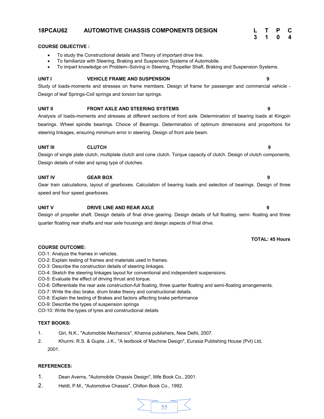# **18PCAU62 AUTOMOTIVE CHASSIS COMPONENTS DESIGN L T P C**

# **COURSE OBJECTIVE :**

- ∑ To study the Constructional details and Theory of important drive line.
- To familiarize with Steering, Braking and Suspension Systems of Automobile.
- ∑ To impart knowledge on Problem–Solving in Steering, Propeller Shaft, Braking and Suspension Systems.

# **UNIT I VEHICLE FRAME AND SUSPENSION 9**

Study of loads-moments and stresses on frame members. Design of frame for passenger and commercial vehicle - Design of leaf Springs-Coil springs and torsion bar springs.

# **UNIT II FRONT AXLE AND STEERING SYSTEMS 9**

Analysis of loads-moments and stresses at different sections of front axle. Determination of bearing loads at Kingpin bearings. Wheel spindle bearings. Choice of Bearings. Determination of optimum dimensions and proportions for steering linkages, ensuring minimum error in steering. Design of front axle beam.

#### **UNIT III CLUTCH 9**

# Design of single plate clutch, multiplate clutch and cone clutch. Torque capacity of clutch. Design of clutch components, Design details of roller and sprag type of clutches.

# **UNIT IV GEAR BOX 9**

Gear train calculations, layout of gearboxes. Calculation of bearing loads and selection of bearings. Design of three speed and four speed gearboxes.

# **UNIT V DRIVE LINE AND REAR AXLE 9**

Design of propeller shaft. Design details of final drive gearing. Design details of full floating, semi- floating and three quarter floating rear shafts and rear axle housings and design aspects of final drive.

# **COURSE OUTCOME:**

CO-1: Analyze the frames in vehicles.

- CO-2: Explain testing of frames and materials used in frames.
- CO-3: Describe the construction details of steering linkages.
- CO-4: Sketch the steering linkages layout for conventional and independent suspensions.
- CO-5: Evaluate the effect of driving thrust and torque.
- CO-6: Differentiate the rear axle construction-full floating, three quarter floating and semi-floating arrangements.
- CO-7: Write the disc brake, drum brake theory and constructional details.
- CO-8: Explain the testing of Brakes and factors affecting brake performance
- CO-9: Describe the types of suspension springs
- CO-10: Write the types of tyres and constructional details

# **TEXT BOOKS:**

- 1. Giri, N.K., "Automobile Mechanics", Khanna publishers, New Delhi, 2007.
- 2. Khurmi. R.S. & Gupta. J.K., "A textbook of Machine Design", Eurasia Publishing House (Pvt) Ltd, 2001.

# **REFERENCES:**

- 1. Dean Averns, "Automobile Chassis Design", Illife Book Co., 2001.
- 2. Heldt, P.M., "Automotive Chassis", Chilton Book Co., 1992.



**3 1 0 4**

# **TOTAL: 45 Hours**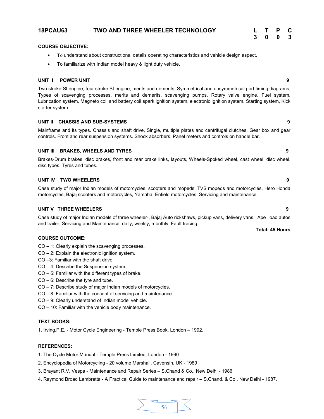# **18PCAU63 TWO AND THREE WHEELER TECHNOLOGY L T P C**

# **3 0 0 3**

# **COURSE OBJECTIVE:**

- To understand about constructional details operating characteristics and vehicle design aspect.
- To familiarize with Indian model heavy & light duty vehicle.

# **UNIT I POWER UNIT 9**

Two stroke SI engine, four stroke SI engine; merits and demerits, Symmetrical and unsymmetrical port timing diagrams, Types of scavenging processes, merits and demerits, scavenging pumps, Rotary valve engine. Fuel system, Lubrication system. Magneto coil and battery coil spark ignition system, electronic ignition system. Starting system, Kick starter system.

# **UNIT II CHASSIS AND SUB-SYSTEMS 9**

Mainframe and its types. Chassis and shaft drive, Single, multiple plates and centrifugal clutches. Gear box and gear controls. Front and rear suspension systems. Shock absorbers. Panel meters and controls on handle bar.

# **UNIT III BRAKES, WHEELS AND TYRES 9**

Brakes-Drum brakes, disc brakes, front and rear brake links, layouts, Wheels-Spoked wheel, cast wheel, disc wheel, disc types. Tyres and tubes.

#### **UNIT IV TWO WHEELERS 9**

Case study of major Indian models of motorcycles, scooters and mopeds, TVS mopeds and motorcycles, Hero Honda motorcycles, Bajaj scooters and motorcycles, Yamaha, Enfield motorcycles. Servicing and maintenance.

# **UNIT V THREE WHEELERS 9**

Case study of major Indian models of three wheeler-, Bajaj Auto rickshaws, pickup vans, delivery vans, Ape load autos and trailer, Servicing and Maintenance: daily, weekly, monthly, Fault tracing.

#### **COURSE OUTCOME:**

- CO 1: Clearly explain the scavenging processes.
- CO 2: Explain the electronic ignition system.
- CO –3: Familiar with the shaft drive.
- CO 4: Describe the Suspension system.
- CO 5: Familiar with the different types of brake.
- CO 6: Describe the tyre and tube.
- CO 7: Describe study of major Indian models of motorcycles.
- CO 8: Familiar with the concept of servicing and maintenance.
- CO 9: Clearly understand of Indian model vehicle.
- CO 10: Familiar with the vehicle body maintenance.

### **TEXT BOOKS:**

1. Irving.P.E. - Motor Cycle Engineering - Temple Press Book, London – 1992.

### **REFERENCES:**

1. The Cycle Motor Manual - Temple Press Limited, London - 1990

- 2. Encyclopedia of Motorcycling 20 volume Marshall, Cavensih, UK 1989
- 3. Brayant R.V, Vespa Maintenance and Repair Series S.Chand & Co., New Delhi 1986.
- 4. Raymond Broad Lambretta A Practical Guide to maintenance and repair S.Chand. & Co., New Delhi 1987.



**Total: 45 Hours**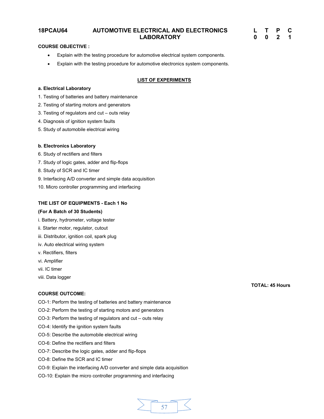# **18PCAU64 AUTOMOTIVE ELECTRICAL AND ELECTRONICS LABORATORY**

| L | T | Р | C. |
|---|---|---|----|
| 0 | 0 | 2 | 1  |

# **COURSE OBJECTIVE :**

- Explain with the testing procedure for automotive electrical system components.
- Explain with the testing procedure for automotive electronics system components.

# **LIST OF EXPERIMENTS**

# **a. Electrical Laboratory**

- 1. Testing of batteries and battery maintenance
- 2. Testing of starting motors and generators
- 3. Testing of regulators and cut outs relay
- 4. Diagnosis of ignition system faults
- 5. Study of automobile electrical wiring

# **b. Electronics Laboratory**

- 6. Study of rectifiers and filters
- 7. Study of logic gates, adder and flip-flops
- 8. Study of SCR and IC timer
- 9. Interfacing A/D converter and simple data acquisition
- 10. Micro controller programming and interfacing

# **THE LIST OF EQUIPMENTS - Each 1 No**

# **(For A Batch of 30 Students)**

- i. Battery, hydrometer, voltage tester
- ii. Starter motor, regulator, cutout
- iii. Distributor, ignition coil, spark plug
- iv. Auto electrical wiring system
- v. Rectifiers, filters
- vi. Amplifier
- vii. IC timer
- viii. Data logger

#### **COURSE OUTCOME:**

- CO-1: Perform the testing of batteries and battery maintenance
- CO-2: Perform the testing of starting motors and generators
- CO-3: Perform the testing of regulators and cut outs relay
- CO-4: Identify the ignition system faults
- CO-5: Describe the automobile electrical wiring
- CO-6: Define the rectifiers and filters
- CO-7: Describe the logic gates, adder and flip-flops
- CO-8: Define the SCR and IC timer
- CO-9: Explain the interfacing A/D converter and simple data acquisition
- CO-10: Explain the micro controller programming and interfacing



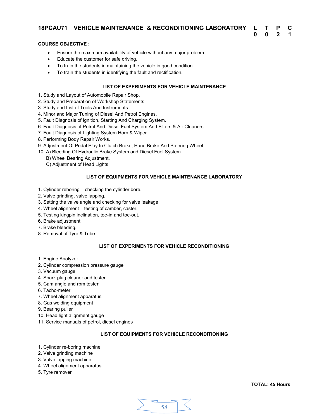# **18PCAU71 VEHICLE MAINTENANCE & RECONDITIONING LABORATORY L T P C**

# **COURSE OBJECTIVE :**

- Ensure the maximum availability of vehicle without any major problem.
- Educate the customer for safe driving.
- To train the students in maintaining the vehicle in good condition.
- To train the students in identifying the fault and rectification.

# **LIST OF EXPERIMENTS FOR VEHICLE MAINTENANCE**

- 1. Study and Layout of Automobile Repair Shop.
- 2. Study and Preparation of Workshop Statements.
- 3. Study and List of Tools And Instruments.
- 4. Minor and Major Tuning of Diesel And Petrol Engines.
- 5. Fault Diagnosis of Ignition, Starting And Charging System.
- 6. Fault Diagnosis of Petrol And Diesel Fuel System And Filters & Air Cleaners.
- 7. Fault Diagnosis of Lighting System Horn & Wiper.
- 8. Performing Body Repair Works.
- 9. Adjustment Of Pedal Play In Clutch Brake, Hand Brake And Steering Wheel.
- 10. A) Bleeding Of Hydraulic Brake System and Diesel Fuel System.
	- B) Wheel Bearing Adjustment.
	- C) Adjustment of Head Lights.

# **LIST OF EQUIPMENTS FOR VEHICLE MAINTENANCE LABORATORY**

- 1. Cylinder reboring checking the cylinder bore.
- 2. Valve grinding, valve lapping.
- 3. Setting the valve angle and checking for valve leakage
- 4. Wheel alignment testing of camber, caster.
- 5. Testing kingpin inclination, toe-in and toe-out.
- 6. Brake adjustment
- 7. Brake bleeding.
- 8. Removal of Tyre & Tube.

# **LIST OF EXPERIMENTS FOR VEHICLE RECONDITIONING**

- 1. Engine Analyzer
- 2. Cylinder compression pressure gauge
- 3. Vacuum gauge
- 4. Spark plug cleaner and tester
- 5. Cam angle and rpm tester
- 6. Tacho-meter
- 7. Wheel alignment apparatus
- 8. Gas welding equipment
- 9. Bearing puller
- 10. Head light alignment gauge
- 11. Service manuals of petrol, diesel engines

# **LIST OF EQUIPMENTS FOR VEHICLE RECONDITIONING**

- 1. Cylinder re-boring machine
- 2. Valve grinding machine
- 3. Valve lapping machine
- 4. Wheel alignment apparatus
- 5. Tyre remover

**0 0 2 1**

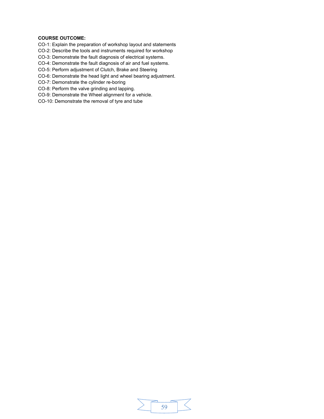# **COURSE OUTCOME:**

CO-1: Explain the preparation of workshop layout and statements

CO-2: Describe the tools and instruments required for workshop

CO-3: Demonstrate the fault diagnosis of electrical systems.

CO-4: Demonstrate the fault diagnosis of air and fuel systems.

CO-5: Perform adjustment of Clutch, Brake and Steering

CO-6: Demonstrate the head light and wheel bearing adjustment.

CO-7: Demonstrate the cylinder re-boring

CO-8: Perform the valve grinding and lapping.

CO-9: Demonstrate the Wheel alignment for a vehicle.

CO-10: Demonstrate the removal of tyre and tube

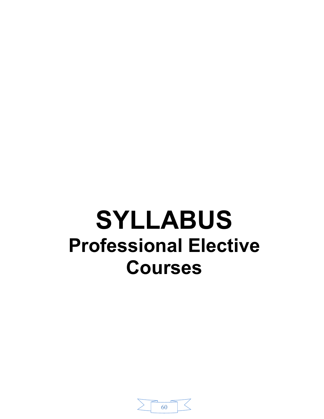# **SYLLABUS Professional Elective Courses**

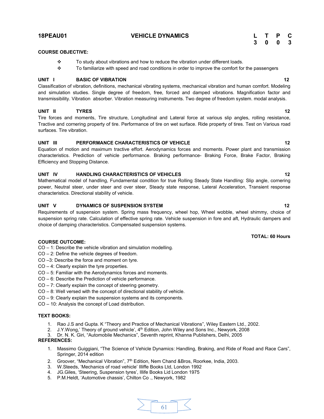# **18PEAU01 VEHICLE DYNAMICS L T P C**

# **3 0 0 3**

# **COURSE OBJECTIVE:**

- $\cdot \cdot$  To study about vibrations and how to reduce the vibration under different loads.
- $\div$  To familiarize with speed and road conditions in order to improve the comfort for the passengers

# **UNIT I BASIC OF VIBRATION 12**

Classification of vibration, definitions, mechanical vibrating systems, mechanical vibration and human comfort. Modeling and simulation studies. Single degree of freedom, free, forced and damped vibrations. Magnification factor and transmissibility. Vibration absorber. Vibration measuring instruments. Two degree of freedom system. modal analysis.

# **UNIT II TYRES 12**

Tire forces and moments, Tire structure, Longitudinal and Lateral force at various slip angles, rolling resistance, Tractive and cornering property of tire. Performance of tire on wet surface. Ride property of tires. Test on Various road surfaces. Tire vibration.

# **UNIT III PERFORMANCE CHARACTERISTICS OF VEHICLE 12**

Equation of motion and maximum tractive effort. Aerodynamics forces and moments. Power plant and transmission characteristics. Prediction of vehicle performance. Braking performance- Braking Force, Brake Factor, Braking Efficiency and Stopping Distance.

# **UNIT IV HANDLING CHARACTERISTICS OF VEHICLES 12**

Mathematical model of handling, Fundamental condition for true Rolling Steady State Handling: Slip angle, cornering power, Neutral steer, under steer and over steer, Steady state response, Lateral Acceleration, Transient response characteristics. Directional stability of vehicle.

# **UNIT V DYNAMICS OF SUSPENSION SYSTEM 12**

Requirements of suspension system. Spring mass frequency, wheel hop, Wheel wobble, wheel shimmy, choice of suspension spring rate. Calculation of effective spring rate. Vehicle suspension in fore and aft, Hydraulic dampers and choice of damping characteristics. Compensated suspension systems.

# **COURSE OUTCOME:**

- CO 1: Describe the vehicle vibration and simulation modelling.
- CO 2: Define the vehicle degrees of freedom.
- CO –3: Describe the force and moment on tyre.
- CO 4: Clearly explain the tyre properties.
- CO 5: Familiar with the Aerodynamics forces and moments.
- CO 6: Describe the Prediction of vehicle performance.
- CO 7: Clearly explain the concept of steering geometry.
- CO 8: Well versed with the concept of directional stability of vehicle.
- CO 9: Clearly explain the suspension systems and its components.
- CO 10: Analysis the concept of Load distribution.

# **TEXT BOOKS:**

- 1. Rao J.S and Gupta. K "Theory and Practice of Mechanical Vibrations", Wiley Eastern Ltd., 2002.
- 2. J.Y.Wong,' Theory of ground vehicle',  $4<sup>th</sup>$  Edition, John Wiley and Sons Inc., Newyork, 2008
- 3. Dr. N. K. Giri, "Automobile Mechanics", Seventh reprint, Khanna Publishers, Delhi, 2005 **REFERENCES:**
	- 1. [Massimo Guiggiani,](http://www.amazon.in/Massimo-Guiggiani/e/B00I8R4AWG/ref=dp_byline_cont_book_1) "The Science of Vehicle Dynamics: Handling, Braking, and Ride of Road and Race Cars", Springer, 2014 edition
	- 2. Groover, "Mechanical Vibration", 7<sup>th</sup> Edition, Nem Chand &Bros, Roorkee, India, 2003.
	- 3. W.Steeds, 'Mechanics of road vehicle' Illiffe Books Ltd, London 1992
	- 4. JG.Giles, 'Steering, Suspension tyres', Illife Books Lid London 1975
	- 5. P.M.Heldt, 'Automotive chassis', Chilton Co ., Newyork, 1982



#### **TOTAL: 60 Hours**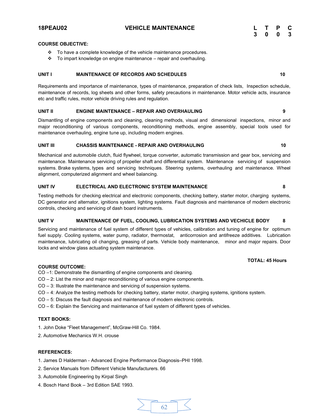**18PEAU02 VEHICLE MAINTENANCE L T P C**

# **COURSE OBJECTIVE:**

- \* To have a complete knowledge of the vehicle maintenance procedures.
- $\cdot \cdot$  To impart knowledge on engine maintenance repair and overhauling.

# **UNIT I** MAINTENANCE OF RECORDS AND SCHEDULES **10**

Requirements and importance of maintenance, types of maintenance, preparation of check lists, Inspection schedule, maintenance of records, log sheets and other forms, safety precautions in maintenance. Motor vehicle acts, insurance etc and traffic rules, motor vehicle driving rules and regulation.

# **UNIT II ENGINE MAINTENANCE – REPAIR AND OVERHAULING 9**

Dismantling of engine components and cleaning, cleaning methods, visual and dimensional inspections, minor and major reconditioning of various components, reconditioning methods, engine assembly, special tools used for maintenance overhauling, engine tune up, including modern engines.

# **UNIT III CHASSIS MAINTENANCE - REPAIR AND OVERHAULING 10**

Mechanical and automobile clutch, fluid flywheel, torque converter, automatic transmission and gear box, servicing and maintenance. Maintenance servicing of propeller shaft and differential system. Maintenance servicing of suspension systems. Brake systems, types and servicing techniques. Steering systems, overhauling and maintenance. Wheel alignment, computerized alignment and wheel balancing.

# **UNIT IV ELECTRICAL AND ELECTRONIC SYSTEM MAINTENANCE 8**

Testing methods for checking electrical and electronic components, checking battery, starter motor, charging systems, DC generator and alternator, ignitions system, lighting systems. Fault diagnosis and maintenance of modern electronic controls, checking and servicing of dash board instruments.

# **UNIT V MAINTENANCE OF FUEL, COOLING, LUBRICATION SYSTEMS AND VECHICLE BODY 8**

Servicing and maintenance of fuel system of different types of vehicles, calibration and tuning of engine for optimum fuel supply. Cooling systems, water pump, radiator, thermostat, anticorrosion and antifreeze additives. Lubrication maintenance, lubricating oil changing, greasing of parts. Vehicle body maintenance, minor and major repairs. Door locks and window glass actuating system maintenance.

# **TOTAL: 45 Hours**

# **COURSE OUTCOME:**

- CO –1: Demonstrate the dismantling of engine components and cleaning.
- CO 2: List the minor and major reconditioning of various engine components.
- CO 3: Illustrate the maintenance and servicing of suspension systems.
- CO 4: Analyze the testing methods for checking battery, starter motor, charging systems, ignitions system.
- CO 5: Discuss the fault diagnosis and maintenance of modern electronic controls.
- CO 6: Explain the Servicing and maintenance of fuel system of different types of vehicles.

# **TEXT BOOKS:**

- 1. John Doke "Fleet Management", McGraw-Hill Co. 1984.
- 2. Automotive Mechanics W.H. crouse

- 1. James D Halderman Advanced Engine Performance Diagnosis–PHI 1998.
- 2. Service Manuals from Different Vehicle Manufacturers. 66
- 3. Automobile Engineering by Kirpal Singh
- 4. Bosch Hand Book 3rd Edition SAE 1993.

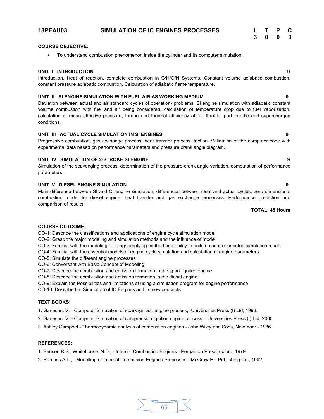# **18PEAU03 SIMULATION OF IC ENGINES PROCESSES**

| L | Т | P | С |
|---|---|---|---|
| 3 | 0 | 0 | 3 |

# **COURSE OBJECTIVE:**

● To understand combustion phenomenon inside the cylinder and its computer simulation.

# **UNIT I INTRODUCTION 9**

Introduction. Heat of reaction, complete combustion in C/H/O/N Systems, Constant volume adiabatic combustion, constant pressure adiabatic combustion. Calculation of adiabatic flame temperature.

# **UNIT II SI ENGINE SIMULATION WITH FUEL AIR AS WORKING MEDIUM 9**

Deviation between actual and air standard cycles of operation- problems, SI engine simulation with adiabatic constant volume combustion with fuel and air being considered, calculation of temperature drop due to fuel vaporization, calculation of mean effective pressure, torque and thermal efficiency at full throttle, part throttle and supercharged conditions.

# **UNIT III ACTUAL CYCLE SIMULATION IN SI ENGINES 9**

Progressive combustion; gas exchange process, heat transfer process, friction. Validation of the computer code with experimental data based on performance parameters and pressure crank angle diagram.

# **UNIT IV SIMULATION OF 2-STROKE SI ENGINE 9**

Simulation of the scavenging process, determination of the pressure-crank angle variation, computation of performance parameters.

# **UNIT V DIESEL ENGINE SIMULATION 9**

Main difference between SI and CI engine simulation, differences between ideal and actual cycles, zero dimensional combustion model for diesel engine, heat transfer and gas exchange processes. Performance prediction and comparison of results.

# **TOTAL: 45 Hours**

# **COURSE OUTCOME:**

CO-1: Describe the classifications and applications of engine cycle simulation model

CO-2: Grasp the major modeling and simulation methods and the influence of model

CO-3: Familiar with the modeling of filling/ emptying method and ability to build up control-oriented simulation model

CO-4: Familiar with the essential models of engine cycle simulation and calculation of engine parameters

- CO-5: Simulate the different engine processes
- CO-6: Conversant with Basic Concept of Modeling
- CO-7: Describe the combustion and emission formation in the spark ignited engine
- CO-8: Describe the combustion and emission formation in the diesel engine
- CO-9: Explain the Possibilities and limitations of using a simulation program for engine performance

CO-10: Describe the Simulation of IC Engines and its new concepts

# **TEXT BOOKS:**

1. Ganesan. V. - Computer Simulation of spark ignition engine process, -Universities Press (I) Ltd, 1996.

- 2. Ganesan. V. Computer Simulation of compression ignition engine process Universities Press (I) Ltd, 2000.
- 3. Ashley Campbel Thermodynamic analysis of combustion engines John Wiley and Sons, New York 1986.

- 1. Benson.R.S., Whitehouse. N.D., Internal Combustion Engines Pergamon Press, oxford, 1979
- 2. Ramoss.A.L., Modelling of Internal Combusion Engines Processes McGraw-Hill Publishing Co., 1992

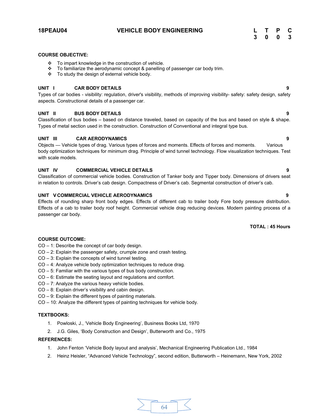# **18PEAU04 VEHICLE BODY ENGINEERING L T P C**

# **COURSE OBJECTIVE:**

- v To impart knowledge in the construction of vehicle.
- \* To familiarize the aerodynamic concept & panelling of passenger car body trim.
- $\div$  To study the design of external vehicle body.

# **UNIT I CAR BODY DETAILS 9**

Types of car bodies - visibility: regulation, driver's visibility, methods of improving visibility- safety: safety design, safety aspects. Constructional details of a passenger car.

# **UNIT II BUS BODY DETAILS 9**

Classification of bus bodies – based on distance traveled, based on capacity of the bus and based on style & shape. Types of metal section used in the construction. Construction of Conventional and integral type bus.

# **UNIT III CAR AERODYNAMICS 9**

Objects — Vehicle types of drag. Various types of forces and moments. Effects of forces and moments. Various body optimization techniques for minimum drag. Principle of wind tunnel technology. Flow visualization techniques. Test with scale models.

# **UNIT IV COMMERCIAL VEHICLE DETAILS 9**

Classification of commercial vehicle bodies. Construction of Tanker body and Tipper body. Dimensions of drivers seat in relation to controls. Driver's cab design. Compactness of Driver's cab. Segmental construction of driver's cab.

# **UNIT V COMMERCIAL VEHICLE AERODYNAMICS 9**

Effects of rounding sharp front body edges. Effects of different cab to trailer body Fore body pressure distribution. Effects of a cab to trailer body roof height. Commercial vehicle drag reducing devices. Modern painting process of a passenger car body.

# **TOTAL : 45 Hours**

# **COURSE OUTCOME:**

CO – 1: Describe the concept of car body design.

- CO 2: Explain the passenger safety, crumple zone and crash testing.
- CO 3: Explain the concepts of wind tunnel testing.
- CO 4: Analyze vehicle body optimization techniques to reduce drag.
- CO 5: Familiar with the various types of bus body construction.
- CO 6: Estimate the seating layout and regulations and comfort.
- CO 7: Analyze the various heavy vehicle bodies.
- CO 8: Explain driver's visibility and cabin design.
- CO 9: Explain the different types of painting materials.
- CO 10: Analyze the different types of painting techniques for vehicle body.

# **TEXTBOOKS:**

- 1. Powloski, J., 'Vehicle Body Engineering', Business Books Ltd, 1970
- 2. J.G. Giles, 'Body Construction and Design', Butterworth and Co., 1975

- 1. John Fenton 'Vehicle Body layout and analysis', Mechanical Engineering Publication Ltd., 1984
- 2. Heinz Heisler, "Advanced Vehicle Technology", second edition, Butterworth Heinemann, New York, 2002

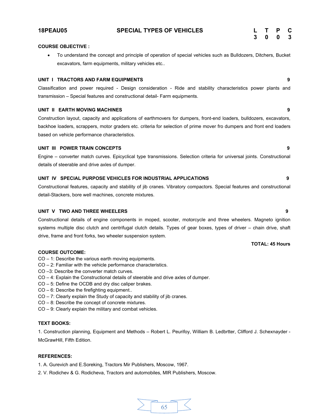#### **COURSE OBJECTIVE :**

∑ To understand the concept and principle of operation of special vehicles such as Bulldozers, Ditchers, Bucket excavators, farm equipments, military vehicles etc..

#### **UNIT I TRACTORS AND FARM EQUIPMENTS 9**

Classification and power required - Design consideration - Ride and stability characteristics power plants and transmission – Special features and constructional detail- Farm equipments.

#### **UNIT II EARTH MOVING MACHINES 9**

Construction layout, capacity and applications of earthmovers for dumpers, front-end loaders, bulldozers, excavators, backhoe loaders, scrappers, motor graders etc. criteria for selection of prime mover fro dumpers and front end loaders based on vehicle performance characteristics.

# **UNIT III POWER TRAIN CONCEPTS 9**

Engine – converter match curves. Epicyclical type transmissions. Selection criteria for universal joints. Constructional details of steerable and drive axles of dumper.

#### **UNIT IV SPECIAL PURPOSE VEHICLES FOR INDUSTRIAL APPLICATIONS 9**

Constructional features, capacity and stability of jib cranes. Vibratory compactors. Special features and constructional detail-Stackers, bore well machines, concrete mixtures.

# **UNIT V TWO AND THREE WHEELERS 9**

Constructional details of engine components in moped, scooter, motorcycle and three wheelers. Magneto ignition systems multiple disc clutch and centrifugal clutch details. Types of gear boxes, types of driver – chain drive, shaft drive, frame and front forks, two wheeler suspension system.

#### **COURSE OUTCOME:**

- CO 1: Describe the various earth moving equipments.
- CO 2: Familiar with the vehicle performance characteristics.
- CO –3: Describe the converter match curves.
- CO 4: Explain the Constructional details of steerable and drive axles of dumper.
- CO 5: Define the OCDB and dry disc caliper brakes.
- CO 6: Describe the firefighting equipment..
- CO 7: Clearly explain the Study of capacity and stability of jib cranes.
- CO 8: Describe the concept of concrete mixtures.
- CO 9: Clearly explain the military and combat vehicles.

#### **TEXT BOOKS:**

1. Construction planning, Equipment and Methods – Robert L. Peurifoy, William B. Ledbrtter, Clifford J. Schexnayder - McGrawHill, Fifth Edition.

#### **REFERENCES:**

1. A. Gurevich and E.Soreking, Tractors Mir Publishers, Moscow, 1967.

2. V. Rodichev & G. Rodicheva, Tractors and automobiles, MIR Publishers, Moscow.

**TOTAL: 45 Hours**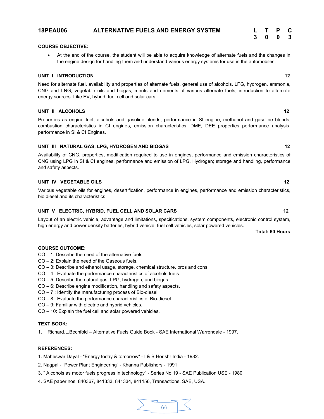# **18PEAU06 ALTERNATIVE FUELS AND ENERGY SYSTEM L T P C**

# **COURSE OBJECTIVE:**

∑ At the end of the course, the student will be able to acquire knowledge of alternate fuels and the changes in the engine design for handling them and understand various energy systems for use in the automobiles.

### **UNIT I INTRODUCTION 12**

Need for alternate fuel, availability and properties of alternate fuels, general use of alcohols, LPG, hydrogen, ammonia, CNG and LNG, vegetable oils and biogas, merits and demerits of various alternate fuels, introduction to alternate energy sources. Like EV, hybrid, fuel cell and solar cars.

# **UNIT II ALCOHOLS 12**

Properties as engine fuel, alcohols and gasoline blends, performance in SI engine, methanol and gasoline blends, combustion characteristics in CI engines, emission characteristics, DME, DEE properties performance analysis, performance in SI & CI Engines.

# UNIT III NATURAL GAS, LPG, HYDROGEN AND BIOGAS 12

Availability of CNG, properties, modification required to use in engines, performance and emission characteristics of CNG using LPG in SI & CI engines, performance and emission of LPG. Hydrogen; storage and handling, performance and safety aspects.

# **UNIT IV VEGETABLE OILS** 12

Various vegetable oils for engines, desertification, performance in engines, performance and emission characteristics, bio diesel and its characteristics

# UNIT V ELECTRIC, HYBRID, FUEL CELL AND SOLAR CARS **12** 12

Layout of an electric vehicle, advantage and limitations, specifications, system components, electronic control system, high energy and power density batteries, hybrid vehicle, fuel cell vehicles, solar powered vehicles.

#### **COURSE OUTCOME:**

- CO 1: Describe the need of the alternative fuels
- CO 2: Explain the need of the Gaseous fuels.
- CO 3: Describe and ethanol usage, storage, chemical structure, pros and cons.
- CO 4 : Evaluate the performance characteristics of alcohols fuels
- CO 5: Describe the natural gas, LPG, hydrogen, and biogas.
- CO 6: Describe engine modification, handling and safety aspects.
- CO 7 : Identify the manufacturing process of Bio-diesel
- CO 8 : Evaluate the performance characteristics of Bio-diesel
- CO 9: Familiar with electric and hybrid vehicles.
- CO 10: Explain the fuel cell and solar powered vehicles.

# **TEXT BOOK:**

1. Richard.L.Bechfold – Alternative Fuels Guide Book - SAE International Warrendale - 1997.

# **REFERENCES:**

1. Maheswar Dayal - "Energy today & tomorrow" - I & B Horishr India - 1982.

- 2. Nagpal "Power Plant Engineering" Khanna Publishers 1991.
- 3. " Alcohols as motor fuels progress in technology" Series No.19 SAE Publication USE 1980.
- 4. SAE paper nos. 840367, 841333, 841334, 841156, Transactions, SAE, USA.



# **Total: 60 Hours**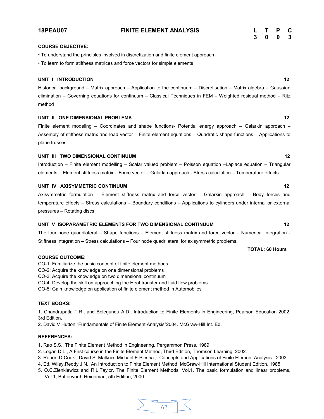**18PEAU07 FINITE ELEMENT ANALYSIS L T P C**

# **COURSE OBJECTIVE:**

• To understand the principles involved in discretization and finite element approach

• To learn to form stiffness matrices and force vectors for simple elements

#### **UNIT I INTRODUCTION 12**

Historical background – Matrix approach – Application to the continuum – Discretisation – Matrix algebra – Gaussian elimination – Governing equations for continuum – Classical Techniques in FEM – Weighted residual method – Ritz method

# **UNIT II ONE DIMENSIONAL PROBLEMS** 12

Finite element modeling – Coordinates and shape functions- Potential energy approach – Galarkin approach – Assembly of stiffness matrix and load vector – Finite element equations – Quadratic shape functions – Applications to plane trusses

### **UNIT III TWO DIMENSIONAL CONTINUUM 12**

Introduction – Finite element modelling – Scalar valued problem – Poisson equation –Laplace equation – Triangular elements – Element stiffness matrix – Force vector – Galarkin approach - Stress calculation – Temperature effects

# **UNIT IV AXISYMMETRIC CONTINUUM 12**

Axisymmetric formulation – Element stiffness matrix and force vector – Galarkin approach – Body forces and temperature effects – Stress calculations – Boundary conditions – Applications to cylinders under internal or external pressures – Rotating discs

# **UNIT V ISOPARAMETRIC ELEMENTS FOR TWO DIMENSIONAL CONTINUUM 12**

The four node quadrilateral – Shape functions – Element stiffness matrix and force vector – Numerical integration - Stiffness integration – Stress calculations – Four node quadrilateral for axisymmetric problems.

# **TOTAL: 60 Hours**

#### **COURSE OUTCOME:**

CO-1: Familiarize the basic concept of finite element methods

- CO-2: Acquire the knowledge on one dimensional problems
- CO-3: Acquire the knowledge on two dimensional continuum

CO-4: Develop the skill on approaching the Heat transfer and fluid flow problems.

CO-5: Gain knowledge on application of finite element method in Automobiles

# **TEXT BOOKS:**

1. Chandrupatla T.R., and Belegundu A.D., Introduction to Finite Elements in Engineering, Pearson Education 2002, 3rd Edition.

2. David V Hutton "Fundamentals of Finite Element Analysis"2004. McGraw-Hill Int. Ed.

#### **REFERENCES:**

1. Rao S.S., The Finite Element Method in Engineering, Pergammon Press, 1989

- 2. Logan D.L., A First course in the Finite Element Method, Third Edition, Thomson Learning, 2002.
- 3. Robert D.Cook., David.S, Malkucs Michael E Plesha , "Concepts and Applications of Finite Element Analysis", 2003.
- 4. Ed. Wiley.Reddy J.N., An Introduction to Finite Element Method, McGraw-Hill International Student Edition, 1985.
- 5. O.C.Zienkiewicz and R.L.Taylor, The Finite Element Methods, Vol.1. The basic formulation and linear problems, Vol.1, Butterworth Heineman, 5th Edition, 2000.

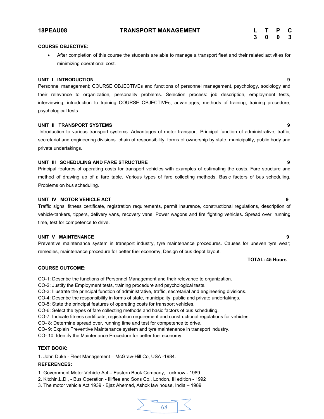## **COURSE OBJECTIVE:**

● After completion of this course the students are able to manage a transport fleet and their related activities for minimizing operational cost.

### **UNIT I INTRODUCTION 9**

Personnel management; COURSE OBJECTIVEs and functions of personnel management, psychology, sociology and their relevance to organization, personality problems. Selection process: job description, employment tests, interviewing, introduction to training COURSE OBJECTIVEs, advantages, methods of training, training procedure, psychological tests.

# **UNIT II TRANSPORT SYSTEMS 9**

Introduction to various transport systems. Advantages of motor transport. Principal function of administrative, traffic, secretarial and engineering divisions. chain of responsibility, forms of ownership by state, municipality, public body and private undertakings.

# **UNIT III SCHEDULING AND FARE STRUCTURE 9**

Principal features of operating costs for transport vehicles with examples of estimating the costs. Fare structure and method of drawing up of a fare table. Various types of fare collecting methods. Basic factors of bus scheduling. Problems on bus scheduling.

### **UNIT IV MOTOR VEHICLE ACT 9**

Traffic signs, fitness certificate, registration requirements, permit insurance, constructional regulations, description of vehicle-tankers, tippers, delivery vans, recovery vans, Power wagons and fire fighting vehicles. Spread over, running time, test for competence to drive.

### **UNIT V MAINTENANCE 9**

Preventive maintenance system in transport industry, tyre maintenance procedures. Causes for uneven tyre wear; remedies, maintenance procedure for better fuel economy, Design of bus depot layout.

## **TOTAL: 45 Hours**

# **COURSE OUTCOME:**

- CO-1: Describe the functions of Personnel Management and their relevance to organization.
- CO-2: Justify the Employment tests, training procedure and psychological tests.
- CO-3: Illustrate the principal function of administrative, traffic, secretarial and engineering divisions.
- CO-4: Describe the responsibility in forms of state, municipality, public and private undertakings.
- CO-5: State the principal features of operating costs for transport vehicles.
- CO-6: Select the types of fare collecting methods and basic factors of bus scheduling.
- CO-7: Indicate fitness certificate, registration requirement and constructional regulations for vehicles.
- CO- 8: Determine spread over, running time and test for competence to drive.

CO- 9: Explain Preventive Maintenance system and tyre maintenance in transport industry.

CO- 10: Identify the Maintenance Procedure for better fuel economy.

# **TEXT BOOK:**

1. John Duke - Fleet Management – McGraw-Hill Co, USA -1984.

### **REFERENCES:**

1. Government Motor Vehicle Act – Eastern Book Company, Lucknow - 1989

2. Kitchin.L.D., - Bus Operation - Illiffee and Sons Co., London, III edition - 1992

3. The motor vehicle Act 1939 - Ejaz Ahemad, Ashok law house, India – 1989

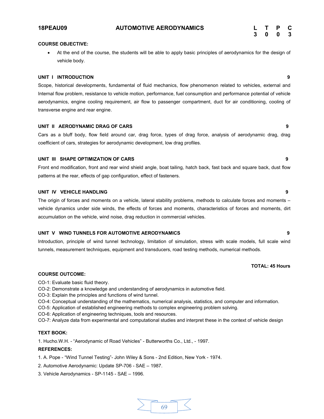# **COURSE OBJECTIVE:**

At the end of the course, the students will be able to apply basic principles of aerodynamics for the design of vehicle body.

### **UNIT I INTRODUCTION 9**

Scope, historical developments, fundamental of fluid mechanics, flow phenomenon related to vehicles, external and Internal flow problem, resistance to vehicle motion, performance, fuel consumption and performance potential of vehicle aerodynamics, engine cooling requirement, air flow to passenger compartment, duct for air conditioning, cooling of transverse engine and rear engine.

# **UNIT II AERODYNAMIC DRAG OF CARS 9**

Cars as a bluff body, flow field around car, drag force, types of drag force, analysis of aerodynamic drag, drag coefficient of cars, strategies for aerodynamic development, low drag profiles.

## **UNIT III SHAPE OPTIMIZATION OF CARS 9**

Front end modification, front and rear wind shield angle, boat tailing, hatch back, fast back and square back, dust flow patterns at the rear, effects of gap configuration, effect of fasteners.

# **UNIT IV VEHICLE HANDLING 9**

The origin of forces and moments on a vehicle, lateral stability problems, methods to calculate forces and moments – vehicle dynamics under side winds, the effects of forces and moments, characteristics of forces and moments, dirt accumulation on the vehicle, wind noise, drag reduction in commercial vehicles.

### **UNIT V WIND TUNNELS FOR AUTOMOTIVE AERODYNAMICS 9**

Introduction, principle of wind tunnel technology, limitation of simulation, stress with scale models, full scale wind tunnels, measurement techniques, equipment and transducers, road testing methods, numerical methods.

# **TOTAL: 45 Hours**

## **COURSE OUTCOME:**

CO-1: Evaluate basic fluid theory.

- CO-2: Demonstrate a knowledge and understanding of aerodynamics in automotive field.
- CO-3: Explain the principles and functions of wind tunnel.
- CO-4: Conceptual understanding of the mathematics, numerical analysis, statistics, and computer and information.
- CO-5: Application of established engineering methods to complex engineering problem solving.
- CO-6: Application of engineering techniques, tools and resources.
- CO-7: Analyze data from experimental and computational studies and interpret these in the context of vehicle design

# **TEXT BOOK:**

1. Hucho.W.H. - "Aerodynamic of Road Vehicles" - Butterworths Co., Ltd., - 1997.

- 1. A. Pope "Wind Tunnel Testing"- John Wiley & Sons 2nd Edition, New York 1974.
- 2. Automotive Aerodynamic: Update SP-706 SAE 1987.
- 3. Vehicle Aerodynamics SP-1145 SAE 1996.

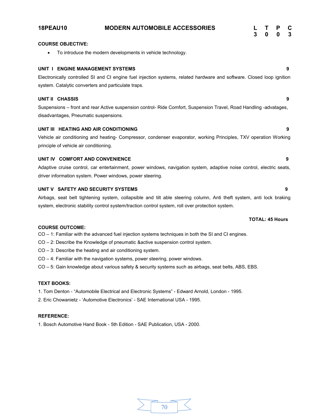| <b>18PEAU10</b>          | <b>MODERN AUTOMOBILE ACCESSORIES</b>                                                                                                                                                                                       | 3 | Τ<br>$\mathbf{0}$ | $\mathbf 0$            | C<br>3 |
|--------------------------|----------------------------------------------------------------------------------------------------------------------------------------------------------------------------------------------------------------------------|---|-------------------|------------------------|--------|
| <b>COURSE OBJECTIVE:</b> |                                                                                                                                                                                                                            |   |                   |                        |        |
| $\bullet$                | To introduce the modern developments in vehicle technology.                                                                                                                                                                |   |                   |                        |        |
|                          | UNIT I ENGINE MANAGEMENT SYSTEMS                                                                                                                                                                                           |   |                   |                        | 9      |
|                          | Electronically controlled SI and CI engine fuel injection systems, related hardware and software. Closed loop ignition<br>system. Catalytic converters and particulate traps.                                              |   |                   |                        |        |
| UNIT II CHASSIS          | Suspensions - front and rear Active suspension control- Ride Comfort, Suspension Travel, Road Handling -advatages,<br>disadvantages, Pneumatic suspensions.                                                                |   |                   |                        | 9      |
|                          | UNIT III HEATING AND AIR CONDITIONING<br>Vehicle air conditioning and heating- Compressor, condenser evaporator, working Principles, TXV operation Working<br>principle of vehicle air conditioning.                       |   |                   |                        | 9      |
|                          | UNIT IV COMFORT AND CONVENIENCE                                                                                                                                                                                            |   |                   |                        | 9      |
|                          | Adaptive cruise control, car entertainment, power windows, navigation system, adaptive noise control, electric seats,<br>driver information system. Power windows, power steering.                                         |   |                   |                        |        |
|                          | UNIT V SAFETY AND SECURITY SYSTEMS                                                                                                                                                                                         |   |                   |                        | 9      |
|                          | Airbags, seat belt tightening system, collapsible and tilt able steering column, Anti theft system, anti lock braking<br>system, electronic stability control system/traction control system, roll over protection system. |   |                   |                        |        |
|                          |                                                                                                                                                                                                                            |   |                   | <b>TOTAL: 45 Hours</b> |        |
| <b>COURSE OUTCOME:</b>   | CO - 1: Familiar with the advanced fuel injection systems techniques in both the SI and CI engines.<br>CO - 2: Describe the Knowledge of pneumatic &active suspension control system.                                      |   |                   |                        |        |

- 
- CO 3: Describe the heating and air conditioning system.
- CO 4: Familiar with the navigation systems, power steering, power windows.
- CO 5: Gain knowledge about various safety & security systems such as airbags, seat belts, ABS, EBS.

# **TEXT BOOKS:**

1. Tom Denton - "Automobile Electrical and Electronic Systems" - Edward Arnold, London - 1995.

2. Eric Chowanietz - 'Automotive Electronics' - SAE International USA - 1995.

# **REFERENCE:**

1. Bosch Automotive Hand Book - 5th Edition - SAE Publication, USA - 2000.

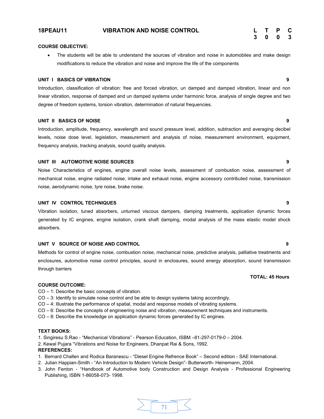| L  | т | P | C |
|----|---|---|---|
| -3 | 0 | 0 | 3 |

# **COURSE OBJECTIVE:**

The students will be able to understand the sources of vibration and noise in automobiles and make design modifications to reduce the vibration and noise and improve the life of the components

### **UNIT I BASICS OF VIBRATION 9**

Introduction, classification of vibration: free and forced vibration, un damped and damped vibration, linear and non linear vibration, response of damped and un damped systems under harmonic force, analysis of single degree and two degree of freedom systems, torsion vibration, determination of natural frequencies.

### **UNIT II BASICS OF NOISE 9**

Introduction, amplitude, frequency, wavelength and sound pressure level, addition, subtraction and averaging decibel levels, noise dose level, legislation, measurement and analysis of noise, measurement environment, equipment, frequency analysis, tracking analysis, sound quality analysis.

# **UNIT III AUTOMOTIVE NOISE SOURCES 9**

Noise Characteristics of engines, engine overall noise levels, assessment of combustion noise, assessment of mechanical noise, engine radiated noise, intake and exhaust noise, engine accessory contributed noise, transmission noise, aerodynamic noise, tyre noise, brake noise.

# **UNIT IV CONTROL TECHNIQUES 9**

Vibration isolation, tuned absorbers, unturned viscous dampers, damping treatments, application dynamic forces generated by IC engines, engine isolation, crank shaft damping, modal analysis of the mass elastic model shock absorbers.

# **UNIT V SOURCE OF NOISE AND CONTROL 9**

Methods for control of engine noise, combustion noise, mechanical noise, predictive analysis, palliative treatments and enclosures, automotive noise control principles, sound in enclosures, sound energy absorption, sound transmission through barriers

# **COURSE OUTCOME:**

- CO 1: Describe the basic concepts of vibration.
- CO 3: Identify to simulate noise control and be able to design systems taking accordingly.
- CO 4: Illustrate the performance of spatial, modal and response models of vibrating systems.
- CO 6: Describe the concepts of engineering noise and vibration, measurement techniques and instruments.
- CO 8: Describe the knowledge on application dynamic forces generated by IC engines.

# **TEXT BOOKS:**

- 1. Singiresu S.Rao "Mechanical Vibrations" Pearson Education, ISBM –81-297-0179-0 2004.
- 2. Kewal Pujara "Vibrations and Noise for Engineers, Dhanpat Rai & Sons, 1992.

# **REFERENCES:**

- 1. Bernard Challen and Rodica Baranescu "Diesel Engine Refrence Book" Second edition SAE International.
- 2. Julian Happian-Smith "An Introduction to Modern Vehicle Design"- Butterworth- Heinemann, 2004.
- 3. John Fenton "Handbook of Automotive body Construction and Design Analysis Professional Engineering Publishing, ISBN 1-86058-073- 1998.

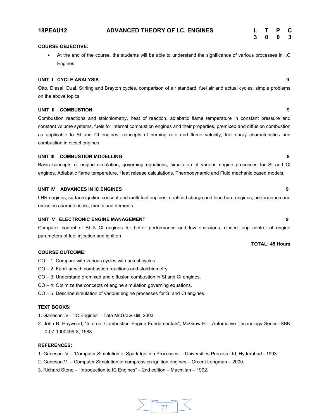# **18PEAU12 ADVANCED THEORY OF I.C. ENGINES L T P C**

# **COURSE OBJECTIVE:**

● At the end of the course, the students will be able to understand the significance of various processes in I.C Engines.

### **UNIT I CYCLE ANALYSIS 9**

Otto, Diesel, Dual, Stirling and Brayton cycles, comparison of air standard, fuel air and actual cycles, simple problems on the above topics.

# **UNIT II COMBUSTION 9**

Combustion reactions and stoichiometry, heat of reaction, adiabatic flame temperature in constant pressure and constant volume systems, fuels for internal combustion engines and their properties, premixed and diffusion combustion as applicable to SI and CI engines, concepts of burning rate and flame velocity, fuel spray characteristics and combustion in diesel engines.

# **UNIT III COMBUSTION MODELLING 9**

Basic concepts of engine simulation, governing equations, simulation of various engine processes for SI and CI engines. Adiabatic flame temperature, Heat release calculations. Thermodynamic and Fluid mechanic based models.

# **UNIT IV ADVANCES IN IC ENGINES 9**

LHR engines, surface ignition concept and multi fuel engines, stratified charge and lean burn engines, performance and emission characteristics, merits and demerits.

### **UNIT V ELECTRONIC ENGINE MANAGEMENT 9**

Computer control of SI & CI engines for better performance and low emissions, closed loop control of engine parameters of fuel injection and ignition

# **COURSE OUTCOME:**

- CO 1: Compare with various cycles with actual cycles..
- CO 2: Familiar with combustion reactions and stoichiometry.
- CO 3: Understand premixed and diffusion combustion in SI and CI engines.
- CO 4: Optimize the concepts of engine simulation governing equations.
- CO 5: Describe simulation of various engine processes for SI and CI engines.

# **TEXT BOOKS:**

- 1. Ganesan .V "IC Engines" Tata McGraw-Hill, 2003.
- 2. John B. Haywood, "Internal Combustion Engine Fundamentals", McGraw-Hill Automotive Technology Series ISBN 0-07-1000499-8, 1988.

## **REFERENCES:**

- 1. Ganesan .V 'Computer Simulation of Spark Ignition Processes' Universities Process Ltd, Hyderabad 1993.
- 2. Ganesan.V. Computer Simulation of compression ignition engines Orcent Longman 2000.
- 3. Richard Stone "Introduction to IC Engines" 2nd edition Macmilan 1992.

**3 0 0 3**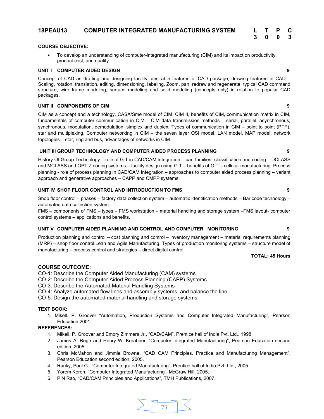# **18PEAU13 COMPUTER INTEGRATED MANUFACTURING SYSTEM L T P C**

# **COURSE OBJECTIVE:**

To develop an understanding of computer-integrated manufacturing (CIM) and its impact on productivity, product cost, and quality.

# **UNIT I COMPUTER AIDED DESIGN 9**

Concept of CAD as drafting and designing facility, desirable features of CAD package, drawing features in CAD – Scaling, rotation, translation, editing, dimensioning, labeling, Zoom, pan, redraw and regenerate, typical CAD command structure, wire frame modeling, surface modeling and solid modeling (concepts only) in relation to popular CAD packages.

# **UNIT II COMPONENTS OF CIM 9**

CIM as a concept and a technology, CASA/Sme model of CIM, CIM II, benefits of CIM, communication matrix in CIM, fundamentals of computer communication in CIM – CIM data transmission methods – serial, parallel, asynchronous, synchronous, modulation, demodulation, simplex and duplex. Types of communication in CIM – point to point (PTP), star and multiplexing. Computer networking in CIM – the seven layer OSI model, LAN model, MAP model, network topologies – star, ring and bus, advantages of networks in CIM

# **UNIT III GROUP TECHNOLOGY AND COMPUTER AIDED PROCESS PLANNING 9**

History Of Group Technology – role of G.T in CAD/CAM Integration – part families- classification and coding – DCLASS and MCLASS and OPTIZ coding systems – facility design using G.T – benefits of G.T – cellular manufacturing. Process planning - role of process planning in CAD/CAM Integration – approaches to computer aided process planning – variant approach and generative approaches – CAPP and CMPP systems.

# **UNIT IV SHOP FLOOR CONTROL AND INTRODUCTION TO FMS 9**

Shop floor control – phases – factory data collection system – automatic identification methods – Bar code technology – automated data collection system.

FMS – components of FMS – types – FMS workstation – material handling and storage system –FMS layout- computer control systems – applications and benefits.

# **UNIT V COMPUTER AIDED PLANNING AND CONTROL AND COMPUTER MONITORING 9**

Production planning and control – cost planning and control – inventory management – material requirements planning (MRP) – shop floor control.Lean and Agile Manufacturing. Types of production monitoring systems – structure model of manufacturing – process control and strategies – direct digital control.

# **TOTAL: 45 Hours**

# **COURSE OUTCOME:**

CO-1: Describe the Computer Aided Manufacturing (CAM) systems

CO-2: Describe the Computer Aided Process Planning (CAPP) Systems

CO-3: Describe the Automated Material Handling Systems

CO-4: Analyze automated flow lines and assembly systems, and balance the line.

CO-5: Design the automated material handling and storage systems

# **TEXT BOOK:**

1. Mikell. P. Groover "Automation, Production Systems and Computer Integrated Manufacturing", Pearson Education 2001.

- 1. Mikell. P. Groover and Emory Zimmers Jr., "CAD/CAM", Prentice hall of India Pvt. Ltd., 1998.
- 2. James A. Regh and Henry W. Kreabber, "Computer Integrated Manufacturing", Pearson Education second edition, 2005.
- 3. Chris McMahon and Jimmie Browne, "CAD CAM Principles, Practice and Manufacturing Management", Pearson Education second edition, 2005.
- 4. Ranky, Paul G., "Computer Integrated Manufacturing", Prentice hall of India Pvt. Ltd., 2005.
- 5. Yorem Koren, "Computer Integrated Manufacturing", McGraw Hill, 2005.
- 6. P N Rao, "CAD/CAM Principles and Applications", TMH Publications, 2007.



| 3 | 0 | 0 | - 3 |
|---|---|---|-----|
|   |   |   |     |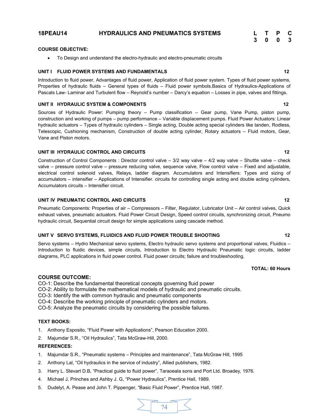# **18PEAU14 HYDRAULICS AND PNEUMATICS SYSTEMS L T P C**

# **3 0 0 3**

# **COURSE OBJECTIVE:**

● To Design and understand the electro-hydraulic and electro-pneumatic circuits

# **UNIT I** FLUID POWER SYSTEMS AND FUNDAMENTALS 12

Introduction to fluid power, Advantages of fluid power, Application of fluid power system. Types of fluid power systems, Properties of hydraulic fluids – General types of fluids – Fluid power symbols.Basics of Hydraulics-Applications of Pascals Law- Laminar and Turbulent flow – Reynold's number – Darcy's equation – Losses in pipe, valves and fittings.

# **UNIT II HYDRAULIC SYSTEM & COMPONENTS 12**

Sources of Hydraulic Power: Pumping theory – Pump classification – Gear pump, Vane Pump, piston pump, construction and working of pumps – pump performance – Variable displacement pumps. Fluid Power Actuators: Linear hydraulic actuators – Types of hydraulic cylinders – Single acting, Double acting special cylinders like tanden, Rodless, Telescopic, Cushioning mechanism, Construction of double acting cylinder, Rotary actuators – Fluid motors, Gear, Vane and Piston motors.

# **UNIT III HYDRAULIC CONTROL AND CIRCUITS 12**

Construction of Control Components : Director control valve – 3/2 way valve – 4/2 way valve – Shuttle valve – check valve – pressure control valve – pressure reducing valve, sequence valve, Flow control valve – Fixed and adjustable, electrical control solenoid valves, Relays, ladder diagram. Accumulators and Intensifiers: Types and sizing of accumulators – intensifier – Applications of Intensifier. circuits for controlling single acting and double acting cylinders, Accumulators circuits – Intensifier circuit.

# **UNIT IV PNEUMATIC CONTROL AND CIRCUITS 12**

Pneumatic Components: Properties of air – Compressors – Filter, Regulator, Lubricator Unit – Air control valves, Quick exhaust valves, pneumatic actuators. Fluid Power Circuit Design, Speed control circuits, synchronizing circuit, Pneumo hydraulic circuit, Sequential circuit design for simple applications using cascade method.

# **UNIT V SERVO SYSTEMS, FLUIDICS AND FLUID POWER TROUBLE SHOOTING 12**

Servo systems – Hydro Mechanical servo systems, Electro hydraulic servo systems and proportional valves, Fluidics – Introduction to fluidic devices, simple circuits, Introduction to Electro Hydraulic Pneumatic logic circuits, ladder diagrams, PLC applications in fluid power control. Fluid power circuits; failure and troubleshooting.

# **TOTAL: 60 Hours**

# **COURSE OUTCOME:**

CO-1: Describe the fundamental theoretical concepts governing fluid power

- CO-2: Ability to formulate the mathematical models of hydraulic and pneumatic circuits.
- CO-3: Identify the with common hydraulic and pneumatic components
- CO-4: Describe the working principle of pneumatic cylinders and motors.

CO-5: Analyze the pneumatic circuits by considering the possible failures.

# **TEXT BOOKS:**

- 1. Anthony Esposito, "Fluid Power with Applications", Pearson Education 2000.
- 2. Majumdar S.R., "Oil Hydraulics", Tata McGraw-Hill, 2000.

- 1. Majumdar S.R., "Pneumatic systems Principles and maintenance", Tata McGraw Hill, 1995
- 2. Anthony Lal, "Oil hydraulics in the service of industry", Allied publishers, 1982.
- 3. Harry L. Stevart D.B, "Practical guide to fluid power", Taraoeala sons and Port Ltd. Broadey, 1976.
- 4. Michael J, Prinches and Ashby J. G, "Power Hydraulics", Prentice Hall, 1989.
- 5. Dudelyt, A. Pease and John T. Pippenger, "Basic Fluid Power", Prentice Hall, 1987.

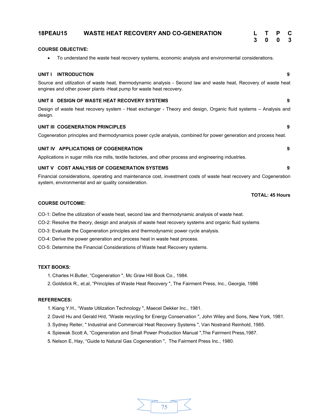# **COURSE OBJECTIVE:** ∑ To understand the waste heat recovery systems, economic analysis and environmental considerations. **UNIT I INTRODUCTION 9** Source and utilization of waste heat, thermodynamic analysis - Second law and waste heat, Recovery of waste heat engines and other power plants -Heat pump for waste heat recovery. **UNIT II DESIGN OF WASTE HEAT RECOVERY SYSTEMS 9** Design of waste heat recovery system - Heat exchanger - Theory and design, Organic fluid systems – Analysis and design. **UNIT III COGENERATION PRINCIPLES 9** Cogeneration principles and thermodynamics power cycle analysis, combined for power generation and process heat. **UNIT IV APPLICATIONS OF COGENERATION 9** Applications in sugar mills rice mills, textile factories, and other process and engineering industries. **UNIT V COST ANALYSIS OF COGENERATION SYSTEMS 9 18PEAU15 WASTE HEAT RECOVERY AND CO-GENERATION L T P C 3 0 0 3**

Financial considerations, operating and maintenance cost, investment costs of waste heat recovery and Cogeneration system, environmental and air quality consideration.

**TOTAL: 45 Hours**

# **COURSE OUTCOME:**

CO-1: Define the utilization of waste heat, second law and thermodynamic analysis of waste heat.

CO-2: Resolve the theory, design and analysis of waste heat recovery systems and organic fluid systems

CO-3: Evaluate the Cogeneration principles and thermodynamic power cycle analysis.

CO-4: Derive the power generation and process heat in waste heat process.

CO-5: Determine the Financial Considerations of Waste heat Recovery systems.

# **TEXT BOOKS:**

1. Charles H.Butler, "Cogeneration ", Mc Graw Hill Book Co., 1984.

2. Goldstick R., et.al, "Principles of Waste Heat Recovery ", The Fairment Press, Inc., Georgia, 1986

# **REFERENCES:**

1. Kiang Y.H., "Waste Utilization Technology ", Maecel Dekker Inc., 1981.

2. David Hu and Gerald Hrd, "Waste recycling for Energy Conservation ", John Wiley and Sons, New York, 1981.

3. Sydney Reiter, " Industrial and Commercial Heat Recovery Systems ", Van Nostrand Reinhold, 1985.

4. Spiewak Scott A, "Cogeneration and Small Power Production Manual ",The Fairment Press,1987.

5. Nelson E, Hay, "Guide to Natural Gas Cogeneration ", The Fairment Press Inc., 1980.

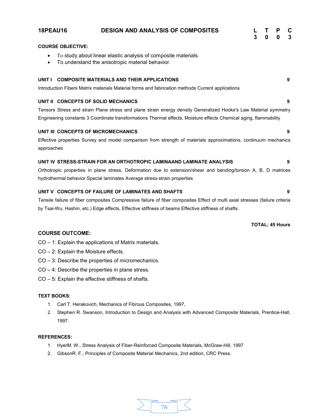| <b>18PEAU16</b> | <b>DESIGN AND ANALYSIS OF COMPOSITES</b>                                                                           | 3 | <sup>0</sup> | P<br>$\mathbf{0}$ | C<br>3 |
|-----------------|--------------------------------------------------------------------------------------------------------------------|---|--------------|-------------------|--------|
|                 | <b>COURSE OBJECTIVE:</b>                                                                                           |   |              |                   |        |
| $\bullet$       | To study about linear elastic analysis of composite materials.<br>To understand the anisotropic material behavior. |   |              |                   |        |
| UNIT I          | <b>COMPOSITE MATERIALS AND THEIR APPLICATIONS</b>                                                                  |   |              |                   | 9      |
|                 | Introduction Fibers Matrix materials Material forms and fabrication methods Current applications                   |   |              |                   |        |
|                 | UNIT II CONCEPTS OF SOLID MECHANICS                                                                                |   |              |                   | 9      |
|                 | Tensors Stress and strain Plane stress and plane strain energy density Generalized Hooke's Law Material symmetry   |   |              |                   |        |
|                 | Engineering constants 3 Coordinate transformations Thermal effects, Moisture effects Chemical aging, flammability  |   |              |                   |        |
|                 | UNIT III CONCEPTS OF MICROMECHANICS                                                                                |   |              |                   | 9      |
| approaches      | Effective properties Survey and model comparison from strength of materials approximations, continuum mechanics    |   |              |                   |        |
|                 | UNIT IV STRESS-STRAIN FOR AN ORTHOTROPIC LAMINAAND LAMINATE ANALYSIS                                               |   |              |                   | 9      |
|                 | Orthotropic properties in plane stress, Deformation due to extension/shear and bending/torsion A, B, D matrices    |   |              |                   |        |
|                 | hydrothermal behavior Special laminates Average stress-strain properties                                           |   |              |                   |        |
|                 | UNIT V CONCEPTS OF FAILURE OF LAMINATES AND SHAFTS                                                                 |   |              |                   | 9      |

Tensile failure of fiber composites Compressive failure of fiber composites Effect of multi axial stresses (failure criteria by Tsai-Wu, Hashin, etc.) Edge effects, Effective stiffness of beams Effective stiffness of shafts.

**TOTAL: 45 Hours**

# **COURSE OUTCOME:**

CO – 1: Explain the applications of Matrix materials.

- CO 2: Explain the Moisture effects.
- CO 3: Describe the properties of micromechanics.
- CO 4: Describe the properties in plane stress.
- CO 5: Explain the effective stiffness of shafts.

# **TEXT BOOKS:**

- 1. Carl T. Herakovich, Mechanics of Fibrous Composites, 1997,
- 2. Stephen R. Swanson, Introduction to Design and Analysis with Advanced Composite Materials, Prentice-Hall, 1997.

- 1. HyerM. W., Stress Analysis of Fiber-Reinforced Composite Materials, McGraw-Hill, 1997
- 2. GibsonR. F., Principles of Composite Material Mechanics, 2nd edition, CRC Press.

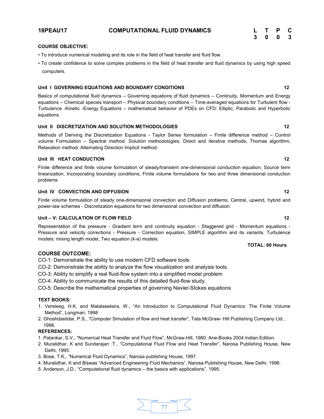# **COURSE OBJECTIVE:**

- To introduce numerical modeling and its role in the field of heat transfer and fluid flow.
- To create confidence to solve complex problems in the field of heat transfer and fluid dynamics by using high speed computers.

# Unit I GOVERNING EQUATIONS AND BOUNDARY CONDITIONS **12**

Basics of computational fluid dynamics – Governing equations of fluid dynamics – Continuity, Momentum and Energy equations – Chemical species transport – Physical boundary conditions – Time-averaged equations for Turbulent flow - Turbulence -Kinetic -Energy Equations – mathematical behavior of PDEs on CFD: Elliptic, Parabolic and Hyperbolic equations.

# Unit II DISCRETIZATION AND SOLUTION METHODOLOGIES **12**

Methods of Deriving the Discretization Equations - Taylor Series formulation – Finite difference method – Control volume Formulation – Spectral method. Solution methodologies: Direct and iterative methods, Thomas algorithm, Relaxation method, Alternating Direction Implicit method.

# **Unit III HEAT CONDUCTION** 12

Finite difference and finite volume formulation of steady/transient one-dimensional conduction equation, Source term linearization, Incorporating boundary conditions, Finite volume formulations for two and three dimensional conduction problems

# **Unit IV CONVECTION AND DIFFUSION 12**

Finite volume formulation of steady one-dimensional convection and Diffusion problems, Central, upwind, hybrid and power-law schemes - Discretization equations for two dimensional convection and diffusion.

# **Unit – V: CALCULATION OF FLOW FIELD 12**

Representation of the pressure - Gradient term and continuity equation - Staggered grid - Momentum equations - Pressure and velocity corrections - Pressure - Correction equation, SIMPLE algorithm and its variants. Turbulence models: mixing length model, Two equation (k-e) models.

# **COURSE OUTCOME:**

CO-1: Demonstrate the ability to use modern CFD software tools

- CO-2: Demonstrate the ability to analyze the flow visualization and analysis tools.
- CO-3: Ability to simplify a real fluid-flow system into a simplified model problem
- CO-4: Ability to communicate the results of this detailed fluid-flow study.

CO-5: Describe the mathematical properties of governing Navier-Stokes equations

# **TEXT BOOKS:**

- 1. Versteeg, H.K, and Malalasekera, W., "An Introduction to Computational Fluid Dynamics: The Finite Volume Method", Longman, 1998
- 2. Ghoshdastidar, P.S., "Computer Simulation of flow and heat transfer", Tata McGraw- Hill Publishing Company Ltd., 1998.

# **REFERENCES:**

- 1. Patankar, S.V., "Numerical Heat Transfer and Fluid Flow", McGraw-Hill, 1980. Ane-Books 2004 Indian Edition.
- 2. Muralidhar, K and Sundarajan .T., "Computational Fluid Flow and Heat Transfer", Narosa Publishing House, New Delhi, 1995.
- 3. Bose, T.K., "Numerical Fluid Dynamics", Narosa publishing House, 1997.
- 4. Muralidhar, K and Biswas "Advanced Engineering Fluid Mechanics", Narosa Publishing House, New Delhi, 1996.
- 5. Anderson, J.D., "Computational fluid dynamics the basics with applications", 1995.

| L | $\mathbf{T}$ | P | C |
|---|--------------|---|---|
| 3 | 0            | 0 | 3 |

$$
\sum \frac{1}{77}
$$

# **TOTAL: 60 Hours**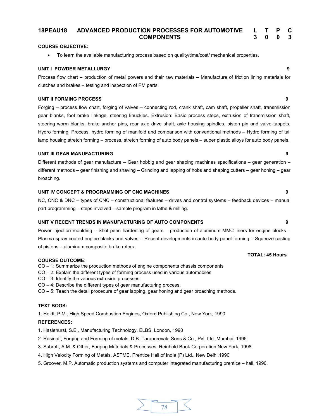### **18PEAU18 ADVANCED PRODUCTION PROCESSES FOR AUTOMOTIVE COMPONENTS L T P C 3 0 0 3**

# **COURSE OBJECTIVE:**

∑ To learn the available manufacturing process based on quality/time/cost/ mechanical properties.

### **UNIT I POWDER METALLURGY 9**

Process flow chart – production of metal powers and their raw materials – Manufacture of friction lining materials for clutches and brakes – testing and inspection of PM parts.

# **UNIT II FORMING PROCESS 9**

Forging – process flow chart, forging of valves – connecting rod, crank shaft, cam shaft, propeller shaft, transmission gear blanks, foot brake linkage, steering knuckles. Extrusion: Basic process steps, extrusion of transmission shaft, steering worm blanks, brake anchor pins, rear axle drive shaft, axle housing spindles, piston pin and valve tappets. Hydro forming: Process, hydro forming of manifold and comparison with conventional methods – Hydro forming of tail lamp housing stretch forming – process, stretch forming of auto body panels – super plastic alloys for auto body panels.

# **UNIT III GEAR MANUFACTURING 9**

Different methods of gear manufacture – Gear hobbig and gear shaping machines specifications – gear generation – different methods – gear finishing and shaving – Grinding and lapping of hobs and shaping cutters – gear honing – gear broaching.

# **UNIT IV CONCEPT & PROGRAMMING OF CNC MACHINES 9**

NC, CNC & DNC – types of CNC – constructional features – drives and control systems – feedback devices – manual part programming – steps involved – sample program in lathe & milling.

# **UNIT V RECENT TRENDS IN MANUFACTURING OF AUTO COMPONENTS 9**

Power injection moulding – Shot peen hardening of gears – production of aluminum MMC liners for engine blocks – Plasma spray coated engine blacks and valves – Recent developments in auto body panel forming – Squeeze casting of pistons – aluminum composite brake rotors.

### **COURSE OUTCOME:**

- CO 1: Summarize the production methods of engine components chassis components
- CO 2: Explain the different types of forming process used in various automobiles.
- CO 3: Identify the various extrusion processes.
- CO 4: Describe the different types of gear manufacturing process.
- CO 5: Teach the detail procedure of gear lapping, gear honing and gear broaching methods.

# **TEXT BOOK:**

1. Heldt, P.M., High Speed Combustion Engines, Oxford Publishing Co., New York, 1990

# **REFERENCES:**

1. Haslehurst, S.E., Manufacturing Technology, ELBS, London, 1990

- 2. Rusinoff, Forging and Forming of metals, D.B. Taraporevala Sons & Co., Pvt. Ltd.,Mumbai, 1995.
- 3. Subroff, A.M. & Other, Forging Materials & Processes, Reinhold Book Corporation,New York, 1998.
- 4. High Velocity Forming of Metals, ASTME, Prentice Hall of India (P) Ltd., New Delhi,1990
- 5. Groover. M.P. Automatic production systems and computer integrated manufacturing prentice hall, 1990.

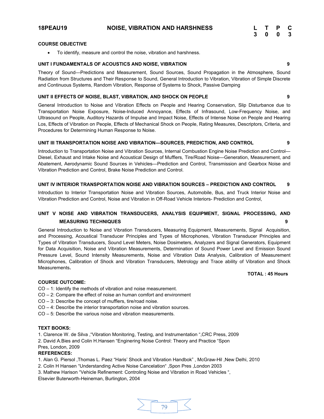# **18PEAU19 NOISE, VIBRATION AND HARSHNESS L T P C**

# **COURSE OBJECTIVE**

● To identify, measure and control the noise, vibration and harshness.

# **UNIT I FUNDAMENTALS OF ACOUSTICS AND NOISE, VIBRATION 9**

Theory of Sound—Predictions and Measurement, Sound Sources, Sound Propagation in the Atmosphere, Sound Radiation from Structures and Their Response to Sound, General Introduction to Vibration, Vibration of Simple Discrete and Continuous Systems, Random Vibration, Response of Systems to Shock, Passive Damping

# **UNIT II EFFECTS OF NOISE, BLAST, VIBRATION, AND SHOCK ON PEOPLE 9**

General Introduction to Noise and Vibration Effects on People and Hearing Conservation, Slip Disturbance due to Transportation Noise Exposure, Noise-Induced Annoyance, Effects of Infrasound, Low-Frequency Noise, and Ultrasound on People, Auditory Hazards of Impulse and Impact Noise, Effects of Intense Noise on People and Hearing Los, Effects of Vibration on People, Effects of Mechanical Shock on People, Rating Measures, Descriptors, Criteria, and Procedures for Determining Human Response to Noise.

# **UNIT III TRANSPORTATION NOISE AND VIBRATION—SOURCES, PREDICTION, AND CONTROL 9**

Introduction to Transportation Noise and Vibration Sources, Internal Combustion Engine Noise Prediction and Control— Diesel, Exhaust and Intake Noise and Acoustical Design of Mufflers, Tire/Road Noise—Generation, Measurement, and Abatement, Aerodynamic Sound Sources in Vehicles—Prediction and Control, Transmission and Gearbox Noise and Vibration Prediction and Control, Brake Noise Prediction and Control.

# **UNIT IV INTERIOR TRANSPORTATION NOISE AND VIBRATION SOURCES – PREDICTION AND CONTROL 9**

Introduction to Interior Transportation Noise and Vibration Sources, Automobile, Bus, and Truck Interior Noise and Vibration Prediction and Control, Noise and Vibration in Off-Road Vehicle Interiors- Prediction and Control,

# **UNIT V NOISE AND VIBRATION TRANSDUCERS, ANALYSIS EQUIPMENT, SIGNAL PROCESSING, AND MEASURING TECHNIQUES 9**

General Introduction to Noise and Vibration Transducers, Measuring Equipment, Measurements, Signal Acquisition, and Processing, Acoustical Transducer Principles and Types of Microphones, Vibration Transducer Principles and Types of Vibration Transducers, Sound Level Meters, Noise Dosimeters, Analyzers and Signal Generators, Equipment for Data Acquisition, Noise and Vibration Measurements, Determination of Sound Power Level and Emission Sound Pressure Level, Sound Intensity Measurements, Noise and Vibration Data Analysis, Calibration of Measurement Microphones, Calibration of Shock and Vibration Transducers, Metrology and Trace ability of Vibration and Shock Measurements**.**

**TOTAL : 45 Hours**

# **COURSE OUTCOME:**

- CO 1: Identify the methods of vibration and noise measurement.
- CO 2: Compare the effect of noise an human comfort and environment
- CO 3: Describe the concept of mufflers, tire/road noise.
- CO 4: Describe the interior transportation noise and vibration sources.
- CO 5: Describe the various noise and vibration measurements.

### **TEXT BOOKS:**

1. Clarence W. de Silva ,"Vibration Monitoring, Testing, and Instrumentation ",CRC Press, 2009

2. David A.Bies and Colin H.Hansen "Enginering Noise Control: Theory and Practice "Spon

### Pres, London, 2009

# **REFERENCES:**

- 1. Alan G. Piersol ,Thomas L. Paez "Haris' Shock and Vibration Handbok" , McGraw-Hil ,New Delhi, 2010
- 2. Colin H Hansen "Understanding Active Noise Cancelation" ,Spon Pres ,London 2003
- 3. Mathew Harison "Vehicle Refinement: Controling Noise and Vibration in Road Vehicles ",

Elsevier Buterworth-Heineman, Burlington, 2004

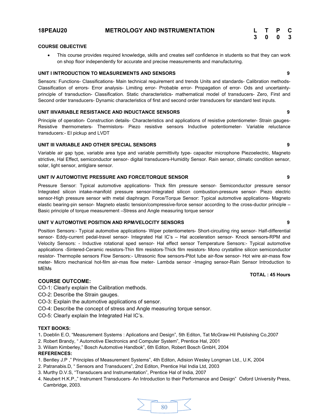| L | $\mathbf{T}$ | P | С |
|---|--------------|---|---|
| 3 | 0            | 0 | 3 |

# **COURSE OBJECTIVE**

∑ This course provides required knowledge, skills and creates self confidence in students so that they can work on shop floor independently for accurate and precise measurements and manufacturing.

# **UNIT I INTRODUCTION TO MEASUREMENTS AND SENSORS 9**

Sensors: Functions- Classifications- Main technical requirement and trends Units and standards- Calibration methods-Classification of errors- Error analysis- Limiting error- Probable error- Propagation of error- Ods and uncertaintyprinciple of transduction- Classification. Static characteristics- mathematical model of transducers- Zero, First and Second order transducers- Dynamic characteristics of first and second order transducers for standard test inputs.

### **UNIT IIIVARIABLE RESISTANCE AND INDUCTANCE SENSORS 9**

Principle of operation- Construction details- Characteristics and applications of resistive potentiometer- Strain gauges-Resistive thermometers- Thermistors- Piezo resistive sensors Inductive potentiometer- Variable reluctance transducers:- EI pickup and LVDT

### **UNIT III VARIABLE AND OTHER SPECIAL SENSORS 9**

Variable air gap type, variable area type and variable permittivity type- capacitor microphone Piezoelectric, Magneto strictive, Hal Effect, semiconductor sensor- digital transducers-Humidity Sensor. Rain sensor, climatic condition sensor, solar, light sensor, antiglare sensor.

# **UNIT IV AUTOMOTIVE PRESSURE AND FORCE/TORQUE SENSOR 9**

Pressure Sensor: Typical automotive applications- Thick film pressure sensor- Semiconductor pressure sensor Integrated silicon intake-manifold pressure sensor-Integrated silicon combustion-pressure sensor- Piezo electric sensor-High pressure sensor with metal diaphragm. Force/Torque Sensor: Typical automotive applications- Magneto elastic bearing-pin sensor- Magneto elastic tension/compressive-force sensor according to the cross-ductor principle – Basic principle of torque measurement –Stress and Angle measuring torque sensor

### **UNIT V AUTOMOTIVE POSITION AND RPM/VELOCITY SENSORS 9**

Position Sensors:- Typical automotive applications- Wiper potentiometers- Short-circuiting ring sensor- Half-differential sensor- Eddy-current pedal-travel sensor- Integrated Hal IC's – Hal acceleration sensor- Knock sensors-RPM and Velocity Sensors: - Inductive rotational sped sensor- Hal effect sensor Temperature Sensors:- Typical automotive applications -Sintered-Ceramic resistors-Thin film resistors-Thick film resistors- Mono crystalline silicon semiconductor resistor- Thermopile sensors Flow Sensors:- Ultrasonic flow sensors-Pitot tube air-flow sensor- Hot wire air-mass flow meter- Micro mechanical hot-film air-mas flow meter- Lambda sensor -Imaging sensor-Rain Sensor Introduction to MEMs

# **TOTAL : 45 Hours**

# **COURSE OUTCOME:**

CO-1: Clearly explain the Calibration methods.

- CO-2: Describe the Strain gauges.
- CO-3: Explain the automotive applications of sensor.
- CO-4: Describe the concept of stress and Angle measuring torque sensor.

CO-5: Clearly explain the Integrated Hal IC's.

# **TEXT BOOKS:**

- 1**.** Doeblin E.O, "Measurement Systems : Aplications and Design", 5th Editon, Tat McGraw-Hil Publishing Co,2007
- 2. Robert Brandy, " Automotive Electronics and Computer System", Prentice Hal, 2001
- 3. Wiliam Kimberley," Bosch Automotive Handbok", 6th Editon, Robert Bosch GmbH, 2004

- 1. Bentley J.P ," Principles of Measurement Systems", 4th Editon, Adision Wesley Longman Ltd., U.K, 2004
- 2. Patranabis.D, " Sensors and Transducers", 2nd Editon, Prentice Hal India Ltd, 2003
- 3. Murthy D.V.S, "Transducers and Instrumentation", Prentice Hal of India, 2007
- 4. Neubert H.K.P.," Instrument Transducers- An Introduction to their Performance and Design" Oxford University Press, Cambridge, 2003.

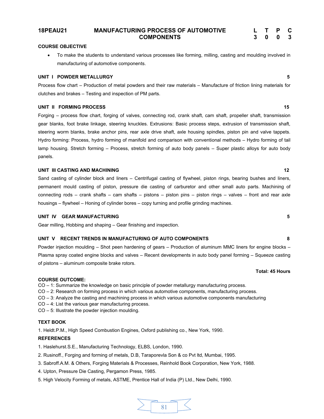**18PEAU21 MANUFACTURING PROCESS OF AUTOMOTIVE COMPONENTS**

# **COURSE OBJECTIVE**

∑ To make the students to understand various processes like forming, milling, casting and moulding involved in manufacturing of automotive components.

# **UNIT I POWDER METALLURGY 5**

Process flow chart – Production of metal powders and their raw materials – Manufacture of friction lining materials for clutches and brakes – Testing and inspection of PM parts.

# **UNIT II FORMING PROCESS** 15

Forging – process flow chart, forging of valves, connecting rod, crank shaft, cam shaft, propeller shaft, transmission gear blanks, foot brake linkage, steering knuckles. Extrusions: Basic process steps, extrusion of transmission shaft, steering worm blanks, brake anchor pins, rear axle drive shaft, axle housing spindles, piston pin and valve tappets. Hydro forming: Process, hydro forming of manifold and comparison with conventional methods – Hydro forming of tail lamp housing. Stretch forming – Process, stretch forming of auto body panels – Super plastic alloys for auto body panels.

# **UNIT III CASTING AND MACHINING 12**

Sand casting of cylinder block and liners – Centrifugal casting of flywheel, piston rings, bearing bushes and liners, permanent mould casting of piston, pressure die casting of carburetor and other small auto parts. Machining of connecting rods – crank shafts – cam shafts – pistons – piston pins – piston rings – valves – front and rear axle housings – flywheel – Honing of cylinder bores – copy turning and profile grinding machines.

# **UNIT IV GEAR MANUFACTURING 5**

Gear milling, Hobbing and shaping – Gear finishing and inspection.

# **UNIT V RECENT TRENDS IN MANUFACTURING OF AUTO COMPONENTS 8**

Powder injection moulding – Shot peen hardening of gears – Production of aluminum MMC liners for engine blocks – Plasma spray coated engine blocks and valves – Recent developments in auto body panel forming – Squeeze casting of pistons – aluminum composite brake rotors.

# **COURSE OUTCOME:**

CO – 1: Summarize the knowledge on basic principle of powder metallurgy manufacturing process.

- CO 2: Research on forming process in which various automotive components, manufacturing process.
- CO 3: Analyze the casting and machining process in which various automotive components manufacturing
- CO 4: List the various gear manufacturing process.
- CO 5: Illustrate the powder injection moulding.

# **TEXT BOOK**

1. Heldt.P.M., High Speed Combustion Engines, Oxford publishing co., New York, 1990.

# **REFERENCES**

1. Haslehurst.S.E., Manufacturing Technology, ELBS, London, 1990.

- 2. Rusinoff., Forging and forming of metals, D.B, Taraporevla Son & co Pvt ltd, Mumbai, 1995.
- 3. Sabroff.A.M. & Others, Forging Materials & Processes, Reinhold Book Corporation, New York, 1988.
- 4. Upton, Pressure Die Casting, Pergamon Press, 1985.
- 5. High Velocity Forming of metals, ASTME, Prentice Hall of India (P) Ltd., New Delhi, 1990.



**Total: 45 Hours**

**L T P C 3 0 0 3**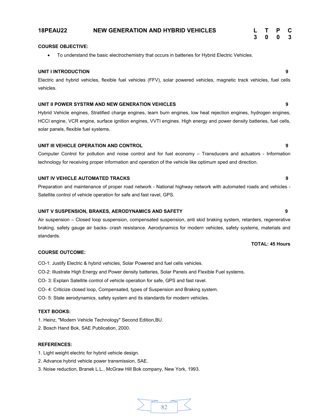# **18PEAU22 NEW GENERATION AND HYBRID VEHICLES L T P C**

# **3 0 0 3**

# **COURSE OBJECTIVE:**

∑ To understand the basic electrochemistry that occurs in batteries for Hybrid Electric Vehicles.

# **UNIT I INTRODUCTION 9**

Electric and hybrid vehicles, flexible fuel vehicles (FFV), solar powered vehicles, magnetic track vehicles, fuel cells vehicles.

# **UNIT II POWER SYSTRM AND NEW GENERATION VEHICLES 9**

Hybrid Vehicle engines, Stratified charge engines, learn burn engines, low heat rejection engines, hydrogen engines, HCCI engine, VCR engine, surface ignition engines, VVTI engines. High energy and power density batteries, fuel cells, solar panels, flexible fuel systems.

# **UNIT III VEHICLE OPERATION AND CONTROL 9**

Computer Control for pollution and noise control and for fuel economy – Transducers and actuators - Information technology for receiving proper information and operation of the vehicle like optimum sped and direction.

# **UNIT IV VEHICLE AUTOMATED TRACKS 9**

Preparation and maintenance of proper road network - National highway network with automated roads and vehicles - Satellite control of vehicle operation for safe and fast ravel, GPS.

# **UNIT V SUSPENSION, BRAKES, AERODYNAMICS AND SAFETY 9**

Air suspension – Closed loop suspension, compensated suspension, anti skid braking system, retarders, regenerative braking, safety gauge air backs- crash resistance. Aerodynamics for modern vehicles, safety systems, materials and standards.

# **COURSE OUTCOME:**

- CO-1: Justify Electric & hybrid vehicles, Solar Powered and fuel cells vehicles.
- CO-2: Illustrate High Energy and Power density batteries, Solar Panels and Flexible Fuel systems.
- CO- 3: Explain Satellite control of vehicle operation for safe, GPS and fast ravel.
- CO- 4: Criticize closed loop, Compensated, types of Suspension and Braking system.
- CO- 5: State aerodynamics, safety system and its standards for modern vehicles.

# **TEXT BOOKS:**

- 1. Heinz, "Modern Vehicle Technology" Second Edition,BU.
- 2. Bosch Hand Bok, SAE Publication, 2000.

# **REFERENCES:**

- 1. Light weight electric for hybrid vehicle design.
- 2. Advance hybrid vehicle power transmission, SAE.
- 3. Noise reduction, Branek L.L., McGraw Hill Bok company, New York, 1993.

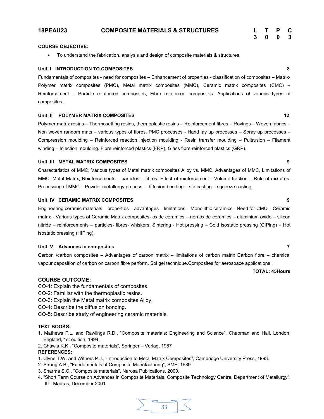# **COURSE OBJECTIVE:**

∑ To understand the fabrication, analysis and design of composite materials & structures.

### **Unit I INTRODUCTION TO COMPOSITES 8**

Fundamentals of composites - need for composites – Enhancement of properties - classification of composites – Matrix-Polymer matrix composites (PMC), Metal matrix composites (MMC), Ceramic matrix composites (CMC) – Reinforcement – Particle reinforced composites, Fibre reinforced composites. Applications of various types of composites.

### **Unit II POLYMER MATRIX COMPOSITES 12**

Polymer matrix resins – Thermosetting resins, thermoplastic resins – Reinforcement fibres – Rovings – Woven fabrics – Non woven random mats – various types of fibres. PMC processes - Hand lay up processes – Spray up processes – Compression moulding – Reinforced reaction injection moulding - Resin transfer moulding – Pultrusion – Filament winding – Injection moulding. Fibre reinforced plastics (FRP), Glass fibre reinforced plastics (GRP).

### **Unit III METAL MATRIX COMPOSITES 9**

Characteristics of MMC, Various types of Metal matrix composites Alloy vs. MMC, Advantages of MMC, Limitations of MMC, Metal Matrix, Reinforcements – particles – fibres. Effect of reinforcement - Volume fraction – Rule of mixtures. Processing of MMC – Powder metallurgy process – diffusion bonding – stir casting – squeeze casting.

# **Unit IV CERAMIC MATRIX COMPOSITES 9**

Engineering ceramic materials – properties – advantages – limitations – Monolithic ceramics - Need for CMC – Ceramic matrix - Various types of Ceramic Matrix composites- oxide ceramics – non oxide ceramics – aluminium oxide – silicon nitride – reinforcements – particles- fibres- whiskers. Sintering - Hot pressing – Cold isostatic pressing (CIPing) – Hot isostatic pressing (HIPing).

## **Unit V Advances in composites 7**

Carbon /carbon composites – Advantages of carbon matrix – limitations of carbon matrix Carbon fibre – chemical vapour deposition of carbon on carbon fibre perform. Sol gel technique.Composites for aerospace applications.

# **TOTAL: 45Hours**

## **COURSE OUTCOME:**

CO-1: Explain the fundamentals of composites.

- CO-2: Familiar with the thermoplastic resins.
- CO-3: Explain the Metal matrix composites Alloy.
- CO-4: Describe the diffusion bonding.
- CO-5: Describe study of engineering ceramic materials

# **TEXT BOOKS:**

- 1. Mathews F.L. and Rawlings R.D., "Composite materials: Engineering and Science", Chapman and Hall, London, England, 1st edition, 1994.
- 2. Chawla K.K., "Composite materials", Springer Verlag, 1987 **REFERENCES:**
- 1. Clyne T.W. and Withers P.J., "Introduction to Metal Matrix Composites", Cambridge University Press, 1993.
- 2. Strong A.B., "Fundamentals of Composite Manufacturing", SME, 1989.
- 3. Sharma S.C., "Composite materials", Narosa Publications, 2000.
- 4. "Short Term Course on Advances in Composite Materials, Composite Technology Centre, Department of Metallurgy", IIT- Madras, December 2001.

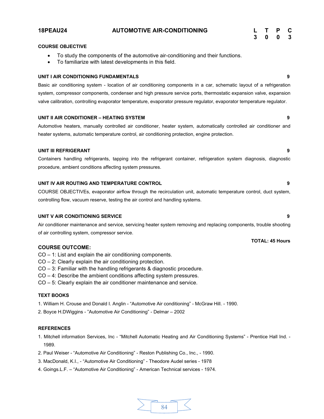# **18PEAU24 AUTOMOTIVE AIR-CONDITIONING**

| L | Т | P | C |
|---|---|---|---|
| 3 | 0 | 0 | 3 |

# **COURSE OBJECTIVE**

- ∑ To study the components of the automotive air-conditioning and their functions.
- To familiarize with latest developments in this field.

# **UNIT I AIR CONDITIONING FUNDAMENTALS 9**

Basic air conditioning system - location of air conditioning components in a car, schematic layout of a refrigeration system, compressor components, condenser and high pressure service ports, thermostatic expansion valve, expansion valve calibration, controlling evaporator temperature, evaporator pressure regulator, evaporator temperature regulator.

# **UNIT II AIR CONDITIONER – HEATING SYSTEM 9**

Automotive heaters, manually controlled air conditioner, heater system, automatically controlled air conditioner and heater systems, automatic temperature control, air conditioning protection, engine protection.

# **UNIT III REFRIGERANT 9**

Containers handling refrigerants, tapping into the refrigerant container, refrigeration system diagnosis, diagnostic procedure, ambient conditions affecting system pressures.

# **UNIT IV AIR ROUTING AND TEMPERATURE CONTROL 9**

COURSE OBJECTIVEs, evaporator airflow through the recirculation unit, automatic temperature control, duct system, controlling flow, vacuum reserve, testing the air control and handling systems.

# **UNIT V AIR CONDITIONING SERVICE 9**

Air conditioner maintenance and service, servicing heater system removing and replacing components, trouble shooting of air controlling system, compressor service.

# **COURSE OUTCOME:**

- CO 1: List and explain the air conditioning components.
- CO 2: Clearly explain the air conditioning protection.
- CO 3: Familiar with the handling refrigerants & diagnostic procedure.
- CO 4: Describe the ambient conditions affecting system pressures.
- CO 5: Clearly explain the air conditioner maintenance and service.

# **TEXT BOOKS**

1. William H. Crouse and Donald I. Anglin - "Automotive Air conditioning" - McGraw Hill. - 1990.

2. Boyce H.DWiggins - "Automotive Air Conditioning" - Delmar – 2002

# **REFERENCES**

1. Mitchell information Services, Inc - "Mitchell Automatic Heating and Air Conditioning Systems" - Prentice Hall Ind. - 1989.

- 2. Paul Weiser "Automotive Air Conditioning" Reston Publishing Co., Inc., 1990.
- 3. MacDonald, K.I., "Automotive Air Conditioning" Theodore Audel series 1978
- 4. Goings.L.F. "Automotive Air Conditioning" American Technical services 1974.

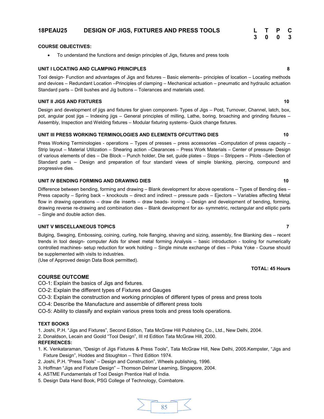# **18PEAU25 DESIGN OF JIGS, FIXTURES AND PRESS TOOLS L T P C**

# **COURSE OBJECTIVES:**

∑ To understand the functions and design principles of Jigs, fixtures and press tools

# **UNIT I LOCATING AND CLAMPING PRINCIPLES 8**

Tool design- Function and advantages of Jigs and fixtures – Basic elements– principles of location – Locating methods and devices – Redundant Location –Principles of clamping – Mechanical actuation – pneumatic and hydraulic actuation Standard parts – Drill bushes and Jig buttons – Tolerances and materials used.

# **UNIT II JIGS AND FIXTURES 10**

Design and development of jigs and fixtures for given component- Types of Jigs – Post, Turnover, Channel, latch, box, pot, angular post jigs – Indexing jigs – General principles of milling, Lathe, boring, broaching and grinding fixtures – Assembly, Inspection and Welding fixtures – Modular fixturing systems- Quick change fixtures.

# UNIT III PRESS WORKING TERMINOLOGIES AND ELEMENTS OFCUTTING DIES **10**

Press Working Terminologies - operations – Types of presses – press accessories –Computation of press capacity – Strip layout – Material Utilization – Shearing action –Clearances – Press Work Materials – Center of pressure- Design of various elements of dies – Die Block – Punch holder, Die set, guide plates – Stops – Strippers – Pilots –Selection of Standard parts – Design and preparation of four standard views of simple blanking, piercing, compound and progressive dies.

# **UNIT IV BENDING FORMING AND DRAWING DIES** 10

Difference between bending, forming and drawing – Blank development for above operations – Types of Bending dies – Press capacity – Spring back – knockouts – direct and indirect – pressure pads – Ejectors – Variables affecting Metal flow in drawing operations – draw die inserts – draw beads- ironing – Design and development of bending, forming, drawing reverse re-drawing and combination dies – Blank development for ax- symmetric, rectangular and elliptic parts – Single and double action dies.

# **UNIT V MISCELLANEOUS TOPICS 7**

Bulging, Swaging, Embossing, coining, curling, hole flanging, shaving and sizing, assembly, fine Blanking dies – recent trends in tool design- computer Aids for sheet metal forming Analysis – basic introduction - tooling for numerically controlled machines- setup reduction for work holding – Single minute exchange of dies – Poka Yoke - Course should be supplemented with visits to industries.

(Use of Approved design Data Book permitted).

# **COURSE OUTCOME**

CO-1: Explain the basics of Jigs and fixtures.

- CO-2: Explain the different types of Fixtures and Gauges
- CO-3: Explain the construction and working principles of different types of press and press tools
- CO-4: Describe the Manufacture and assemble of different press tools

CO-5: Ability to classify and explain various press tools and press tools operations.

# **TEXT BOOKS**

1. Joshi, P.H. "Jigs and Fixtures", Second Edition, Tata McGraw Hill Publishing Co., Ltd., New Delhi, 2004.

2. Donaldson, Lecain and Goold "Tool Design", III rd Edition Tata McGraw Hill, 2000.

# **REFERENCES:**

- 1. K. Venkataraman, "Design of Jigs Fixtures & Press Tools", Tata McGraw Hill, New Delhi, 2005.Kempster, "Jigs and Fixture Design", Hoddes and Stoughton – Third Edition 1974.
- 2. Joshi, P.H. "Press Tools" Design and Construction", Wheels publishing, 1996.
- 3. Hoffman "Jigs and Fixture Design" Thomson Delmar Learning, Singapore, 2004.
- 4. ASTME Fundamentals of Tool Design Prentice Hall of India.
- 5. Design Data Hand Book, PSG College of Technology, Coimbatore.

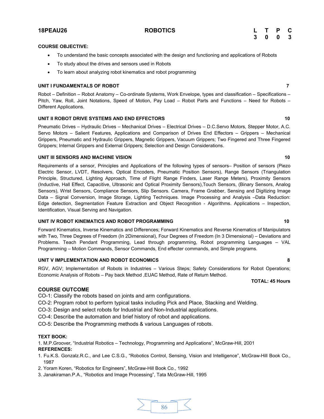# **COURSE OBJECTIVE:**

- ∑ To understand the basic concepts associated with the design and functioning and applications of Robots
- To study about the drives and sensors used in Robots
- ∑ To learn about analyzing robot kinematics and robot programming

# **UNIT I FUNDAMENTALS OF ROBOT 7**

Robot – Definition – Robot Anatomy – Co-ordinate Systems, Work Envelope, types and classification – Specifications – Pitch, Yaw, Roll, Joint Notations, Speed of Motion, Pay Load – Robot Parts and Functions – Need for Robots – Different Applications.

# **UNIT II ROBOT DRIVE SYSTEMS AND END EFFECTORS 10**

Pneumatic Drives – Hydraulic Drives – Mechanical Drives – Electrical Drives – D.C.Servo Motors, Stepper Motor, A.C. Servo Motors – Salient Features, Applications and Comparison of Drives End Effectors – Grippers – Mechanical Grippers, Pneumatic and Hydraulic Grippers, Magnetic Grippers, Vacuum Grippers; Two Fingered and Three Fingered Grippers; Internal Grippers and External Grippers; Selection and Design Considerations.

# **UNIT III SENSORS AND MACHINE VISION 10**

Requirements of a sensor, Principles and Applications of the following types of sensors– Position of sensors (Piezo Electric Sensor, LVDT, Resolvers, Optical Encoders, Pneumatic Position Sensors), Range Sensors (Triangulation Principle, Structured, Lighting Approach, Time of Flight Range Finders, Laser Range Meters), Proximity Sensors (Inductive, Hall Effect, Capacitive, Ultrasonic and Optical Proximity Sensors),Touch Sensors, (Binary Sensors, Analog Sensors), Wrist Sensors, Compliance Sensors, Slip Sensors. Camera, Frame Grabber, Sensing and Digitizing Image Data – Signal Conversion, Image Storage, Lighting Techniques. Image Processing and Analysis –Data Reduction: Edge detection, Segmentation Feature Extraction and Object Recognition - Algorithms. Applications – Inspection, Identification, Visual Serving and Navigation.

# **UNIT IV ROBOT KINEMATICS AND ROBOT PROGRAMMING 10** 10

Forward Kinematics, Inverse Kinematics and Differences; Forward Kinematics and Reverse Kinematics of Manipulators with Two, Three Degrees of Freedom (In 2Dimensional), Four Degrees of Freedom (In 3 Dimensional) – Deviations and Problems. Teach Pendant Programming, Lead through programming, Robot programming Languages – VAL Programming – Motion Commands, Sensor Commands, End effecter commands, and Simple programs.

### **UNIT V IMPLEMENTATION AND ROBOT ECONOMICS 8**

RGV, AGV; Implementation of Robots in Industries – Various Steps; Safety Considerations for Robot Operations; Economic Analysis of Robots – Pay back Method ,EUAC Method, Rate of Return Method.

# **COURSE OUTCOME**

CO-1: Classify the robots based on joints and arm configurations.

- CO-2: Program robot to perform typical tasks including Pick and Place, Stacking and Welding.
- CO-3: Design and select robots for Industrial and Non-Industrial applications.
- CO-4: Describe the automation and brief history of robot and applications.

CO-5: Describe the Programming methods & various Languages of robots.

# **TEXT BOOK:**

1. M.P.Groover, "Industrial Robotics – Technology, Programming and Applications", McGraw-Hill, 2001 **REFERENCES:**

- 1. Fu.K.S. Gonzalz.R.C., and Lee C.S.G., "Robotics Control, Sensing, Vision and Intelligence", McGraw-Hill Book Co., 1987
- 2. Yoram Koren, "Robotics for Engineers", McGraw-Hill Book Co., 1992
- 3. Janakiraman.P.A., "Robotics and Image Processing", Tata McGraw-Hill, 1995

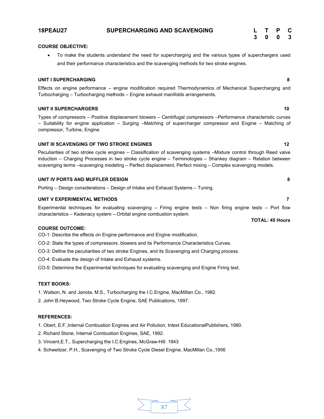# and their performance characteristics and the scavenging methods for two stroke engines.

To make the students understand the need for supercharging and the various types of superchargers used

# **UNIT I SUPERCHARGING 8**

**COURSE OBJECTIVE:**

Effects on engine performance – engine modification required Thermodynamics of Mechanical Supercharging and Turbocharging – Turbocharging methods – Engine exhaust manifolds arrangements.

# **UNIT II SUPERCHARGERS 10**

Types of compressors – Positive displacement blowers – Centrifugal compressors –Performance characteristic curves – Suitability for engine application – Surging –Matching of supercharger compressor and Engine – Matching of compressor, Turbine, Engine.

# **UNIT III SCAVENGING OF TWO STROKE ENGINES** 12

Peculiarities of two stroke cycle engines – Classification of scavenging systems –Mixture control through Reed valve induction – Charging Processes in two stroke cycle engine – Terminologies – Shankey diagram – Relation between scavenging terms –scavenging modeling – Perfect displacement, Perfect mixing – Complex scavenging models.

# **UNIT IV PORTS AND MUFFLER DESIGN 8**

Porting – Design considerations – Design of Intake and Exhaust Systems – Tuning.

# **UNIT V EXPERIMENTAL METHODS 7**

Experimental techniques for evaluating scavenging – Firing engine tests – Non firing engine tests – Port flow characteristics – Kadenacy system – Orbital engine combustion system.

# **COURSE OUTCOME:**

CO-1: Describe the effects on Engine performance and Engine modification.

- CO-2: State the types of compressors, blowers and its Performance Characteristics Curves.
- CO-3: Define the peculiarities of two stroke Engines, and its Scavenging and Charging process.

CO-4: Evaluate the design of Intake and Exhaust systems.

CO-5: Determine the Experimental techniques for evaluating scavenging and Engine Firing test.

# **TEXT BOOKS:**

1. Watson, N. and Janota, M.S., Turbocharging the I.C.Engine, MacMillan Co., 1982.

2. John B.Heywood, Two Stroke Cycle Engine, SAE Publications, 1997.

# **REFERENCES:**

- 1. Obert, E.F.,Internal Combustion Engines and Air Pollution, Intext EducationalPublishers, 1980.
- 2. Richard Stone, Internal Combustion Engines, SAE, 1992.
- 3. Vincent,E.T., Supercharging the I.C.Engines, McGraw-Hill. 1943
- 4. Schweitzer, P.H., Scavenging of Two Stroke Cycle Diesel Engine, MacMillan Co.,1956



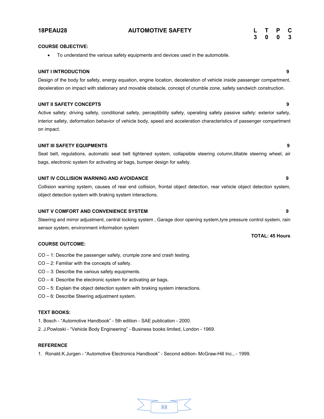# **UNIT I INTRODUCTION 9**

Design of the body for safety, energy equation, engine location, deceleration of vehicle inside passenger compartment, deceleration on impact with stationary and movable obstacle, concept of crumble zone, safety sandwich construction.

# **UNIT II SAFETY CONCEPTS 9**

**COURSE OBJECTIVE:**

Active safety: driving safety, conditional safety, perceptibility safety, operating safety passive safety: exterior safety, interior safety, deformation behavior of vehicle body, speed and acceleration characteristics of passenger compartment on impact.

# **UNIT III SAFETY EQUIPMENTS 9**

Seat belt, regulations, automatic seat belt tightened system, collapsible steering column,tiltable steering wheel, air bags, electronic system for activating air bags, bumper design for safety.

# **UNIT IV COLLISION WARNING AND AVOIDANCE 9**

Collision warning system, causes of rear end collision, frontal object detection, rear vehicle object detection system, object detection system with braking system interactions.

# **UNIT V COMFORT AND CONVENIENCE SYSTEM 9**

Steering and mirror adjustment, central locking system , Garage door opening system,tyre pressure control system, rain sensor system, environment information system

# **COURSE OUTCOME:**

- CO 1: Describe the passenger safety, crumple zone and crash testing.
- CO 2: Familiar with the concepts of safety.
- CO 3: Describe the various safety equipments.
- CO 4: Describe the electronic system for activating air bags.
- CO 5: Explain the object detection system with braking system interactions.
- CO 6: Describe Steering adjustment system.

# **TEXT BOOKS:**

- 1. Bosch "Automotive Handbook" 5th edition SAE publication 2000.
- 2. J.Powloski "Vehicle Body Engineering" Business books limited, London 1969.

# **REFERENCE**

1. Ronald.K.Jurgen - "Automotive Electronics Handbook" - Second edition- McGraw-Hill Inc., - 1999.

● To understand the various safety equipments and devices used in the automobile.

# 88

**18PEAU28 AUTOMOTIVE SAFETY L T P C 3 0 0 3**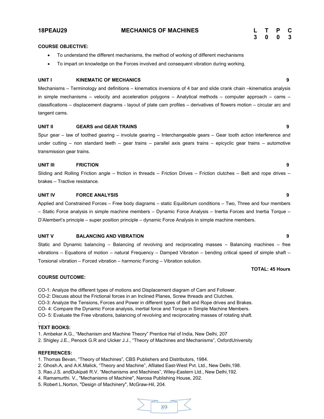# **18PEAU29 MECHANICS OF MACHINES L T P C**

| L | Т | Р | C |
|---|---|---|---|
| 3 | 0 | 0 | 3 |

# **COURSE OBJECTIVE:**

- ∑ To understand the different mechanisms, the method of working of different mechanisms
- To impart on knowledge on the Forces involved and consequent vibration during working.

# **UNIT I KINEMATIC OF MECHANICS 9**

Mechanisms – Terminology and definitions – kinematics inversions of 4 bar and slide crank chain –kinematics analysis in simple mechanisms – velocity and acceleration polygons – Analytical methods – computer approach – cams – classifications – displacement diagrams - layout of plate cam profiles – derivatives of flowers motion – circular arc and tangent cams.

# **UNIT II GEARS and GEAR TRAINS 9**

Spur gear – law of toothed gearing – involute gearing – Interchangeable gears – Gear tooth action interference and under cutting – non standard teeth – gear trains – parallel axis gears trains – epicyclic gear trains – automotive transmission gear trains.

# **UNIT III FRICTION 9**

Sliding and Rolling Friction angle – friction in threads – Friction Drives – Friction clutches – Belt and rope drives – brakes – Tractive resistance.

# **UNIT IV FORCE ANALYSIS 9**

Applied and Constrained Forces – Free body diagrams – static Equilibrium conditions – Two, Three and four members – Static Force analysis in simple machine members – Dynamic Force Analysis – Inertia Forces and Inertia Torque – D'Alembert's principle – super position principle – dynamic Force Analysis in simple machine members.

# **UNIT V BALANCING AND VIBRATION 9**

Static and Dynamic balancing – Balancing of revolving and reciprocating masses – Balancing machines – free vibrations – Equations of motion – natural Frequency – Damped Vibration – bending critical speed of simple shaft – Torsional vibration – Forced vibration – harmonic Forcing – Vibration solution.

# **TOTAL: 45 Hours**

# **COURSE OUTCOME:**

CO-1: Analyze the different types of motions and Displacement diagram of Cam and Follower. CO-2: Discuss about the Frictional forces in an Inclined Planes, Screw threads and Clutches. CO-3: Analyze the Tensions, Forces and Power in different types of Belt and Rope drives and Brakes. CO- 4: Compare the Dynamic Force analysis, inertial force and Torque in Simple Machine Members. CO- 5: Evaluate the Free vibrations, balancing of revolving and reciprocating masses of rotating shaft.

### **TEXT BOOKS:**

.

1. Ambekar A.G., "Mechanism and Machine Theory" Prentice Hal of India, New Delhi, 207

2. Shigley J.E., Penock G.R and Uicker J.J., "Theory of Machines and Mechanisms", OxfordUniversity

## **REFERENCES:**

1. Thomas Bevan, "Theory of Machines", CBS Publishers and Distributors, 1984.

- 2. Ghosh.A, and A.K.Malick, "Theory and Machine", Afilated East-West Pvt. Ltd., New Delhi,198.
- 3. Rao.J.S. andDukipati R.V. "Mechanisms and Machines", Wiley-Eastern Ltd., New Delhi,192.
- 4. Ramamurthi. V., "Mechanisms of Machine", Narosa Publishing House, 202.
- 5. Robert L.Norton, "Design of Machinery", McGraw-Hil, 204.

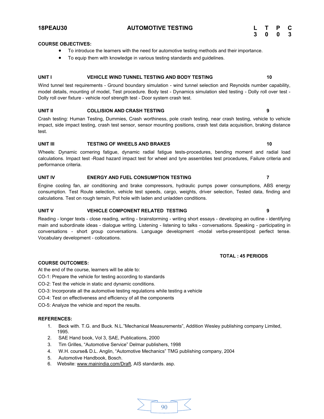# **18PEAU30 AUTOMOTIVE TESTING L T P C**

**3 0 0 3**

# **COURSE OBJECTIVES:**

- To introduce the learners with the need for automotive testing methods and their importance.
- To equip them with knowledge in various testing standards and guidelines.

# **UNIT I VEHICLE WIND TUNNEL TESTING AND BODY TESTING 10**

Wind tunnel test requirements - Ground boundary simulation - wind tunnel selection and Reynolds number capability, model details, mounting of model, Test procedure. Body test - Dynamics simulation sled testing - Dolly roll over test - Dolly roll over fixture - vehicle roof strength test - Door system crash test.

### **UNIT II COLLISION AND CRASH TESTING 9**

Crash testing: Human Testing, Dummies, Crash worthiness, pole crash testing, near crash testing, vehicle to vehicle impact, side impact testing, crash test sensor, sensor mounting positions, crash test data acquisition, braking distance test.

### **UNIT III TESTING OF WHEELS AND BRAKES 10**

Wheels: Dynamic cornering fatigue, dynamic radial fatigue tests-procedures, bending moment and radial load calculations. Impact test -Road hazard impact test for wheel and tyre assemblies test procedures, Failure criteria and performance criteria.

# **UNIT IV ENERGY AND FUEL CONSUMPTION TESTING 7**

Engine cooling fan, air conditioning and brake compressors, hydraulic pumps power consumptions, ABS energy consumption. Test Route selection, vehicle test speeds, cargo, weights, driver selection, Tested data, finding and calculations. Test on rough terrain, Pot hole with laden and unladden conditions.

# **UNIT V VEHICLE COMPONENT RELATED TESTING 9**

Reading - longer texts - close reading, writing - brainstorming - writing short essays - developing an outline - identifying main and subordinate ideas - dialogue writing. Listening - listening to talks - conversations. Speaking - participating in conversations - short group conversations. Language development -modal verbs-present/post perfect tense. Vocabulary development - collocations.

# **TOTAL : 45 PERIODS**

# **COURSE OUTCOMES:**

At the end of the course, learners will be able to:

- CO-1: Prepare the vehicle for testing according to standards
- CO-2: Test the vehicle in static and dynamic conditions.
- CO-3: Incorporate all the automotive testing regulations while testing a vehicle
- CO-4: Test on effectiveness and efficiency of all the components

CO-5: Analyze the vehicle and report the results.

- 1. Beck with. T.G. and Buck. N.L."Mechanical Measurements", Addition Wesley publishing company Limited, 1995.
- 2. SAE Hand book, Vol 3, SAE, Publications, 2000
- 3. Tim Grilles, "Automotive Service" Delmar publishers, 1998
- 4. W.H. course& D.L. Anglin, "Automotive Mechanics" TMG publishing company, 2004
- 5. Automotive Handbook, Bosch.
- 6. Website[: www.mainindia.com/Draft,](http://www.mainindia.com/Draft) AIS standards. asp.

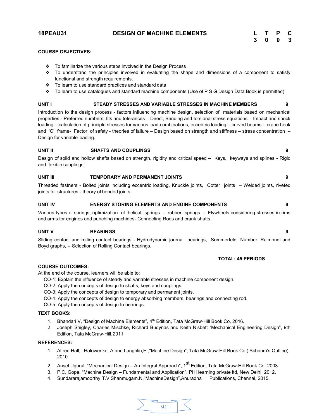# **18PEAU31 DESIGN OF MACHINE ELEMENTS**

| L | т | Р | C |
|---|---|---|---|
| 3 | 0 | 0 | 3 |

# **COURSE OBJECTIVES:**

- \* To familiarize the various steps involved in the Design Process
- $\div$  To understand the principles involved in evaluating the shape and dimensions of a component to satisfy functional and strength requirements.
- $\div$  To learn to use standard practices and standard data
- v To learn to use catalogues and standard machine components (Use of P S G Design Data Book is permitted)

# **UNIT I STEADY STRESSES AND VARIABLE STRESSES IN MACHINE MEMBERS 9**

Introduction to the design process - factors influencing machine design, selection of materials based on mechanical properties - Preferred numbers, fits and tolerances – Direct, Bending and torsional stress equations – Impact and shock loading – calculation of principle stresses for various load combinations, eccentric loading – curved beams – crane hook and 'C' frame- Factor of safety - theories of failure – Design based on strength and stiffness – stress concentration – Design for variable loading.

# **UNIT II SHAFTS AND COUPLINGS 9**

Design of solid and hollow shafts based on strength, rigidity and critical speed – Keys, keyways and splines - Rigid and flexible couplings.

# **UNIT III TEMPORARY AND PERMANENT JOINTS 9**

Threaded fastners - Bolted joints including eccentric loading, Knuckle joints, Cotter joints – Welded joints, riveted joints for structures - theory of bonded joints.

# **UNIT IV ENERGY STORING ELEMENTS AND ENGINE COMPONENTS 9**

Various types of springs, optimization of helical springs - rubber springs - Flywheels considering stresses in rims and arms for engines and punching machines- Connecting Rods and crank shafts.

# **UNIT V BEARINGS 9**

Sliding contact and rolling contact bearings - Hydrodynamic journal bearings, Sommerfeld Number, Raimondi and Boyd graphs, -- Selection of Rolling Contact bearings.

# **TOTAL: 45 PERIODS**

# **COURSE OUTCOMES:**

At the end of the course, learners will be able to:

CO-1: Explain the influence of steady and variable stresses in machine component design.

CO-2: Apply the concepts of design to shafts, keys and couplings.

CO-3: Apply the concepts of design to temporary and permanent joints.

CO-4: Apply the concepts of design to energy absorbing members, bearings and connecting rod.

CO-5: Apply the concepts of design to bearings.

# **TEXT BOOKS:**

- 1. Bhandari V, "Design of Machine Elements", 4<sup>th</sup> Edition, Tata McGraw-Hill Book Co, 2016.
- 2. Joseph Shigley, Charles Mischke, Richard Budynas and Keith Nisbett "Mechanical Engineering Design", 9th Edition, Tata McGraw-Hill,2011

- 1. Alfred Hall, Halowenko, A and Laughlin,H.,"Machine Design", Tata McGraw-Hill Book Co.( Schaum's Outline), 2010
- 2. Ansel Ugural, "Mechanical Design An Integral Approach", 1<sup>st</sup> Edition, Tata McGraw-Hill Book Co, 2003.
- 3. P.C. Gope, "Machine Design Fundamental and Application", PHI learning private ltd, New Delhi, 2012.
- 4. Sundararajamoorthy T.V.Shanmugam.N,"MachineDesign",Anuradha Publications, Chennai, 2015.

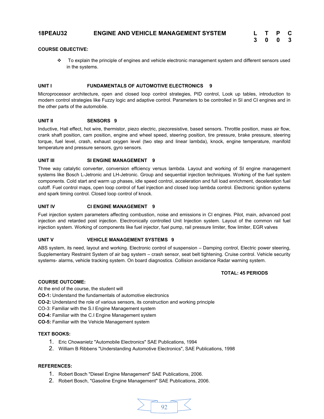# **18PEAU32 ENGINE AND VEHICLE MANAGEMENT SYSTEM L T P C**

| L | т | P | С |
|---|---|---|---|
| 3 | 0 | 0 | 3 |

# **COURSE OBJECTIVE:**

v To explain the principle of engines and vehicle electronic management system and different sensors used in the systems.

# **UNIT I FUNDAMENTALS OF AUTOMOTIVE ELECTRONICS 9**

Microprocessor architecture, open and closed loop control strategies, PID control, Look up tables, introduction to modern control strategies like Fuzzy logic and adaptive control. Parameters to be controlled in SI and CI engines and in the other parts of the automobile.

# **UNIT II SENSORS 9**

Inductive, Hall effect, hot wire, thermistor, piezo electric, piezoresistive, based sensors. Throttle position, mass air flow, crank shaft position, cam position, engine and wheel speed, steering position, tire pressure, brake pressure, steering torque, fuel level, crash, exhaust oxygen level (two step and linear lambda), knock, engine temperature, manifold temperature and pressure sensors, gyro sensors.

# **UNIT III SI ENGINE MANAGEMENT 9**

Three way catalytic converter, conversion effciency versus lambda. Layout and working of SI engine management systems like Bosch L-Jetronic and LH-Jetronic. Group and sequential injection techniques. Working of the fuel system components. Cold start and warm up phases, idle speed control, acceleration and full load enrichment, deceleration fuel cutoff. Fuel control maps, open loop control of fuel injection and closed loop lambda control. Electronic ignition systems and spark timing control. Closed loop control of knock.

# **UNIT IV CI ENGINE MANAGEMENT 9**

Fuel injection system parameters affecting combustion, noise and emissions in CI engines. Pilot, main, advanced post injection and retarded post injection. Electronically controlled Unit Injection system. Layout of the common rail fuel injection system. Working of components like fuel injector, fuel pump, rail pressure limiter, flow limiter, EGR valves

# **UNIT V VEHICLE MANAGEMENT SYSTEMS 9**

ABS system, its need, layout and working. Electronic control of suspension – Damping control, Electric power steering, Supplementary Restraint System of air bag system – crash sensor, seat belt tightening. Cruise control. Vehicle security systems- alarms, vehicle tracking system. On board diagnostics. Collision avoidance Radar warning system.

# **TOTAL: 45 PERIODS**

# **COURSE OUTCOME:**

At the end of the course, the student will

**CO-1:** Understand the fundamentals of automotive electronics

- **CO-2:** Understand the role of various sensors, its construction and working principle
- CO-3: Familiar with the S.I Engine Management system
- **CO-4:** Familiar with the C.I Engine Management system

**CO-5:** Familiar with the Vehicle Management system

# **TEXT BOOKS:**

- 1. Eric Chowanietz "Automobile Electronics" SAE Publications, 1994
- 2. William B Ribbens "Understanding Automotive Electronics", SAE Publications, 1998

- 1. Robert Bosch "Diesel Engine Management" SAE Publications, 2006.
- 2. Robert Bosch, "Gasoline Engine Management" SAE Publications, 2006.

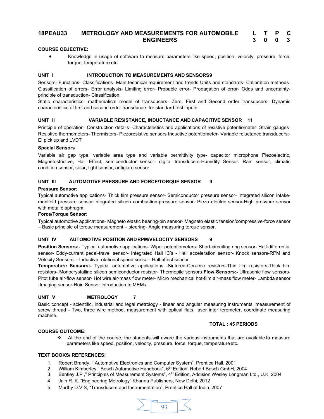### **18PEAU33 METROLOGY AND MEASUREMENTS FOR AUTOMOBILE ENGINEERS L T P C 3 0 0 3**

# **COURSE OBJECTIVE:**

● Knowledge in usage of software to measure parameters like speed, position, velocity, pressure, force, torque, temperature etc

# **UNIT I INTRODUCTION TO MEASUREMENTS AND SENSORS9**

Sensors: Functions- Classifications- Main technical requirement and trends Units and standards- Calibration methods-Classification of errors- Error analysis- Limiting error- Probable error- Propagation of error- Odds and uncertaintyprinciple of transduction- Classification.

Static characteristics- mathematical model of transducers- Zero, First and Second order transducers- Dynamic characteristics of first and second order transducers for standard test inputs.

# **UNIT II VARIABLE RESISTANCE, INDUCTANCE AND CAPACITIVE SENSOR 11**

Principle of operation- Construction details- Characteristics and applications of resistive potentiometer- Strain gauges-Resistive thermometers- Thermistors- Piezoresistive sensors Inductive potentiometer- Variable reluctance transducers:- EI pick up and LVDT

# **Special Sensors**

Variable air gap type, variable area type and variable permittivity type- capacitor microphone Piezoelectric, Magnetostrictive, Hall Effect, semiconductor sensor- digital transducers-Humidity Sensor. Rain sensor, climatic condition sensor, solar, light sensor, antiglare sensor.

# **UNIT III AUTOMOTIVE PRESSURE AND FORCE/TORQUE SENSOR 9**

# **Pressure Sensor:**

Typical automotive applications- Thick film pressure sensor- Semiconductor pressure sensor- Integrated silicon intakemanifold pressure sensor-Integrated silicon combustion-pressure sensor- Piezo electric sensor-High pressure sensor with metal diaphragm.

# **Force/Torque Sensor:**

Typical automotive applications- Magneto elastic bearing-pin sensor- Magneto elastic tension/compressive-force sensor – Basic principle of torque measurement – steering- Angle measuring torque sensor.

# **UNIT IV AUTOMOTIVE POSITION ANDRPM/VELOCITY SENSORS 9**

**Position Sensors:-** Typical automotive applications- Wiper potentiometers- Short-circuiting ring sensor- Half-differential sensor- Eddy-current pedal-travel sensor- Integrated Hall IC's - Hall acceleration sensor- Knock sensors-RPM and Velocity Sensors: - Inductive rotational speed sensor- Hall effect sensor

**Temperature Sensors:-** Typical automotive applications -Sintered-Ceramic resistors-Thin film resistors-Thick film resistors- Monocrystalline silicon semiconductor resistor- Thermopile sensors **Flow Sensors:-** Ultrasonic flow sensors-Pitot tube air-flow sensor- Hot wire air-mass flow meter- Micro mechanical hot-film air-mass flow meter- Lambda sensor -Imaging sensor-Rain Sensor Introduction to MEMs

# **UNIT V METROLOGY 7**

Basic concept - scientific, industrial and legal metrology - linear and angular measuring instruments, measurement of screw thread - Two, three wire method, measurement with optical flats, laser inter ferometer, coordinate measuring machine.

# **TOTAL : 45 PERIODS**

# **COURSE OUTCOME:**

 $\cdot \cdot$  At the end of the course, the students will aware the various instruments that are available to measure parameters like speed, position, velocity, pressure, force, torque, temperature etc.

# **TEXT BOOKS/ REFERENCES:**

- 1. Robert Brandy, " Automotive Electronics and Computer System", Prentice Hall, 2001
- 2. William Kimberley," Bosch Automotive Handbook", 6<sup>th</sup> Edition, Robert Bosch GmbH, 2004
- 3. Bentley J.P ," Principles of Measurement Systems", 4<sup>th</sup> Edition, Addision Wesley Longman Ltd., U.K, 2004
- 4. Jain R. K. "Engineering Metrology" Khanna Publishers, New Delhi, 2012
- 5. Murthy D.V.S, "Transducers and Instrumentation", Prentice Hall of India, 2007

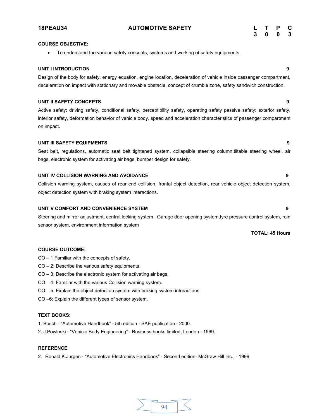# **18PEAU34 AUTOMOTIVE SAFETY L T P C**

## **COURSE OBJECTIVE:**

∑ To understand the various safety concepts, systems and working of safety equipments.

# **UNIT I INTRODUCTION 9**

# Design of the body for safety, energy equation, engine location, deceleration of vehicle inside passenger compartment, deceleration on impact with stationary and movable obstacle, concept of crumble zone, safety sandwich construction.

# **UNIT II SAFETY CONCEPTS 9**

Active safety: driving safety, conditional safety, perceptibility safety, operating safety passive safety: exterior safety, interior safety, deformation behavior of vehicle body, speed and acceleration characteristics of passenger compartment on impact.

# **UNIT III SAFETY EQUIPMENTS 9**

Seat belt, regulations, automatic seat belt tightened system, collapsible steering column,tiltable steering wheel, air bags, electronic system for activating air bags, bumper design for safety.

# **UNIT IV COLLISION WARNING AND AVOIDANCE 9**

Collision warning system, causes of rear end collision, frontal object detection, rear vehicle object detection system, object detection system with braking system interactions.

# **UNIT V COMFORT AND CONVENIENCE SYSTEM 9**

Steering and mirror adjustment, central locking system , Garage door opening system,tyre pressure control system, rain sensor system, environment information system

# **COURSE OUTCOME:**

CO – 1 Familiar with the concepts of safety.

- CO 2: Describe the various safety equipments.
- CO 3: Describe the electronic system for activating air bags.
- CO 4: Familiar with the various Collision warning system.
- CO 5: Explain the object detection system with braking system interactions.
- CO –6: Explain the different types of sensor system.

# **TEXT BOOKS:**

- 1. Bosch "Automotive Handbook" 5th edition SAE publication 2000.
- 2. J.Powloski "Vehicle Body Engineering" Business books limited, London 1969.

# **REFERENCE**

2. Ronald.K.Jurgen - "Automotive Electronics Handbook" - Second edition- McGraw-Hill Inc., - 1999.

94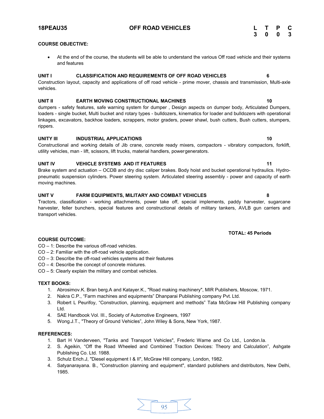■ At the end of the course, the students will be able to understand the various Off road vehicle and their systems

Construction layout, capacity and applications of off road vehicle - prime mover, chassis and transmission, Multi-axle vehicles.

# **UNIT II EARTH MOVING CONSTRUCTIONAL MACHINES 10**

dumpers - safety features, safe warning system for dumper , Design aspects on dumper body, Articulated Dumpers, loaders - single bucket, Multi bucket and rotary types - bulldozers, kinematics for loader and bulldozers with operational linkages, excavators, backhoe loaders, scrappers, motor graders, power shawl, bush cutters, Bush cutters, stumpers, rippers.

# **UNITY III INDUSTRIAL APPLICATIONS 10**

Constructional and working details of Jib crane, concrete ready mixers, compactors - vibratory compactors, forklift, utility vehicles, man - lift, scissors, lift trucks, material handlers, powergenerators.

# **UNIT IV VEHICLE SYSTEMS AND IT FEATURES 11**

Brake system and actuation – OCDB and dry disc caliper brakes. Body hoist and bucket operational hydraulics. Hydropneumatic suspension cylinders. Power steering system. Articulated steering assembly - power and capacity of earth moving machines.

# **UNIT V FARM EQUIPMENTS, MILITARY AND COMBAT VEHICLES 8**

Tractors, classification - working attachments, power take off, special implements, paddy harvester, sugarcane harvester, feller bunchers, special features and constructional details of military tankers, AVLB gun carriers and transport vehicles.

# **COURSE OUTCOME:**

- CO 1: Describe the various off-road vehicles.
- CO 2: Familiar with the off-road vehicle application.
- CO 3: Describe the off-road vehicles systems ad their features
- CO 4: Describe the concept of concrete mixtures.
- CO 5: Clearly explain the military and combat vehicles.

# **TEXT BOOKS:**

- 1. Abrosimov.K. Bran berg.A and Katayer.K., "Road making machinery", MIR Publishers, Moscow, 1971.
- 2. Nakra C.P., "Farm machines and equipments" Dhanparai Publishing company Pvt. Ltd.
- 3. Robert L Peurifoy, "Construction, planning, equipment and methods" Tata McGraw Hill Publishing company Ltd.
- 4. SAE Handbook Vol. III., Society of Automotive Engineers, 1997
- 5. Wong.J.T., "Theory of Ground Vehicles", John Wiley & Sons, New York, 1987.

# **REFERENCES:**

- 1. Bart H Vanderveen, "Tanks and Transport Vehicles", Frederic Warne and Co Ltd., London.Ia.
- 2. S. Ageikin, "Off the Road Wheeled and Combined Traction Devices: Theory and Calculation", Ashgate Publishing Co. Ltd. 1988.
- 3. Schulz Erich.J, "Diesel equipment I & II", McGraw Hill company, London, 1982.
- 4. Satyanarayana. B., "Construction planning and equipment", standard publishers and distributors, New Delhi, 1985.

**COURSE OBJECTIVE:**

and features

**3 0 0 3**

# **TOTAL: 45 Periods**

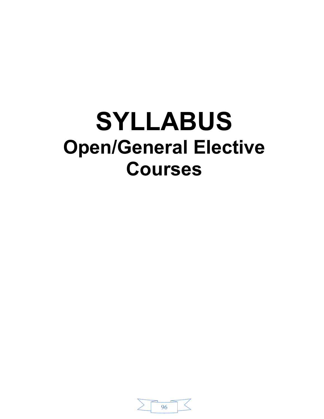# **SYLLABUS Open/General Elective Courses**

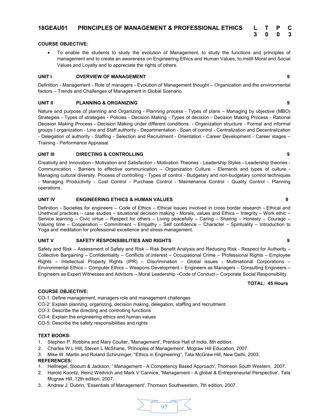# **COURSE OBJECTIVE:**

To enable the students to study the evolution of Management, to study the functions and principles of management and to create an awareness on Engineering Ethics and Human Values, to instill Moral and Social Values and Loyalty and to appreciate the rights of others.

# **UNIT I** OVERVIEW OF MANAGEMENT **CONSUMITER 9**

Definition - Management - Role of managers - Evolution of Management thought – Organization and the environmental factors – Trends and Challenges of Management in Global Scenario.

# **UNIT II PLANNING & ORGANIZING 9**

Nature and purpose of planning and Organizing - Planning process - Types of plans – Managing by objective (MBO) Strategies - Types of strategies - Policies - Decision Making - Types of decision - Decision Making Process - Rational Decision Making Process - Decision Making under different conditions. - Organization structure - Formal and informal groups I organization - Line and Staff authority - Departmentation - Span of control - Centralization and Decentralization - Delegation of authority - Staffing - Selection and Recruitment - Orientation - Career Development - Career stages – Training - Performance Appraisal.

# **UNIT III DIRECTING & CONTROLLING 9**

Creativity and Innovation - Motivation and Satisfaction - Motivation Theories - Leadership Styles - Leadership theories - Communication - Barriers to effective communication – Organization Culture - Elements and types of culture - Managing cultural diversity. Process of controlling - Types of control - Budgetary and non-budgetary control techniques - Managing Productivity - Cost Control - Purchase Control - Maintenance Control - Quality Control - Planning operations.

# **UNIT IV ENGINEERING ETHICS & HUMAN VALUES 9**

Definition - Societies for engineers – Code of Ethics – Ethical Issues involved in cross border research - Ethical and Unethical practices – case studies – situational decision making - Morals, values and Ethics – Integrity – Work ethic – Service learning – Civic virtue – Respect for others – Living peacefully – Caring – Sharing – Honesty – Courage – Valuing time – Cooperation – Commitment – Empathy – Self confidence – Character – Spirituality – Introduction to Yoga and meditation for professional excellence and stress management.

# **UNIT V SAFETY RESPONSIBILITIES AND RIGHTS 9**

Safety and Risk – Assessment of Safety and Risk – Risk Benefit Analysis and Reducing Risk - Respect for Authority – Collective Bargaining – Confidentiality – Conflicts of Interest – Occupational Crime – Professional Rights – Employee Rights – Intellectual Property Rights (IPR) – Discrimination – Global issues - Multinational Corporations – Environmental Ethics – Computer Ethics – Weapons Development – Engineers as Managers – Consulting Engineers – Engineers as Expert Witnesses and Advisors – Moral Leadership –Code of Conduct – Corporate Social Responsibility.

### **TOTAL: 45 Hours**

# **COURSE OBJECTIVE:**

CO-1: Define management, managers role and management challenges

- CO-2: Explain planning, organizing, decision making, delegation, staffing and recruitment
- CO-3: Describe the directing and controlling functions
- CO-4: Explain the engineering ethics and human values

CO-5: Describe the safety responsibilities and rights

# **TEXT BOOKS:**

- 1. Stephen P. Robbins and Mary Coulter, 'Management', Prentice Hall of India, 8th edition.
- 2. Charles W L Hill, Steven L McShane, 'Principles of Management', Mcgraw Hill Education, 2007.
- 3. Mike W. Martin and Roland Schinzinger, "Ethics in Engineering", Tata McGraw Hill, New Delhi, 2003. **REFERENCES:**
- 1. Hellriegel, Slocum & Jackson, ' Management A Competency Based Approach', Thomson South Western, 2007.
- 2. Harold Koontz, Heinz Weihrich and Mark V Cannice, 'Management A global & Entrepreneurial Perspective', Tata Mcgraw Hill, 12th edition, 2007.
- 3. Andrew J. Dubrin, 'Essentials of Management', Thomson Southwestern, 7th edition, 2007.



**3 0 0 3**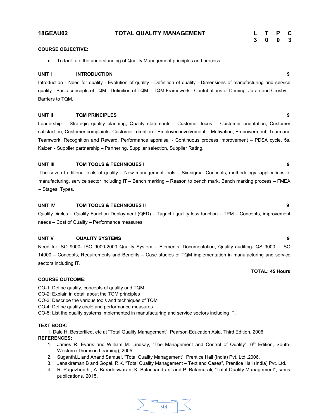# **18GEAU02 TOTAL QUALITY MANAGEMENT L T P C**

# **COURSE OBJECTIVE:**

● To facilitate the understanding of Quality Management principles and process.

# **UNIT I INTRODUCTION 9**

Introduction - Need for quality - Evolution of quality - Definition of quality - Dimensions of manufacturing and service quality - Basic concepts of TQM - Definition of TQM – TQM Framework - Contributions of Deming, Juran and Crosby – Barriers to TQM.

# **UNIT II TQM PRINCIPLES 9**

Leadership – Strategic quality planning, Quality statements - Customer focus – Customer orientation, Customer satisfaction, Customer complaints, Customer retention - Employee involvement – Motivation, Empowerment, Team and Teamwork, Recognition and Reward, Performance appraisal - Continuous process improvement – PDSA cycle, 5s, Kaizen - Supplier partnership – Partnering, Supplier selection, Supplier Rating.

# **UNIT III TQM TOOLS & TECHNIQUES I 9**

The seven traditional tools of quality – New management tools – Six-sigma: Concepts, methodology, applications to manufacturing, service sector including IT – Bench marking – Reason to bench mark, Bench marking process – FMEA – Stages, Types.

# **UNIT IV TQM TOOLS & TECHNIQUES II 9**

Quality circles – Quality Function Deployment (QFD) – Taguchi quality loss function – TPM – Concepts, improvement needs – Cost of Quality – Performance measures.

# **UNIT V QUALITY SYSTEMS 9**

Need for ISO 9000- ISO 9000-2000 Quality System – Elements, Documentation, Quality auditing- QS 9000 – ISO 14000 – Concepts, Requirements and Benefits – Case studies of TQM implementation in manufacturing and service sectors including IT.

# **TOTAL: 45 Hours**

# **COURSE OUTCOME:**

- CO-1: Define quality, concepts of quality and TQM
- CO-2: Explain in detail about the TQM principles
- CO-3: Describe the various tools and techniques of TQM
- CO-4: Define quality circle and performance measures

CO-5: List the quality systems implemented in manufacturing and service sectors including IT.

# **TEXT BOOK:**

1. Dale H. Besterfiled, etc at "Total Quality Management", Pearson Education Asia, Third Edition, 2006.

- **REFERENCES:**
	- 1. James R. Evans and William M. Lindsay, "The Management and Control of Quality", 6th Edition, South-Western (Thomson Learning), 2005.
	- 2. Suganthi,L and Anand Samuel, "Total Quality Management", Prentice Hall (India) Pvt. Ltd.,2006.
	- 3. Janakiraman,B and Gopal, R.K, "Total Quality Management Text and Cases", Prentice Hall (India) Pvt. Ltd.
	- 4. R. Pugazhenthi, A. Baradeswaran, K. Balachandran, and P. Balamurali, "Total Quality Management", sams publications, 2015.

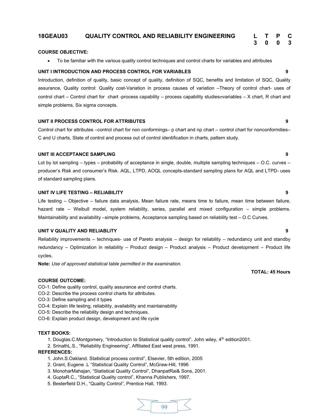# **18GEAU03 QUALITY CONTROL AND RELIABILITY ENGINEERING L T P C**

# **COURSE OBJECTIVE:**

● To be familiar with the various quality control techniques and control charts for variables and attributes

# **UNIT I INTRODUCTION AND PROCESS CONTROL FOR VARIABLES 9**

Introduction, definition of quality, basic concept of quality, definition of SQC, benefits and limitation of SQC, Quality assurance, Quality control: Quality cost-Variation in process causes of variation –Theory of control chart- uses of control chart – Control chart for chart -process capability – process capability studies ovariables – X chart, R chart and simple problems, Six sigma concepts.

# **UNIT II PROCESS CONTROL FOR ATTRIBUTES 9**

Control chart for attributes –control chart for non conformings– p chart and np chart – control chart for nonconformities– C and U charts, State of control and process out of control identification in charts, pattern study.

# **UNIT III ACCEPTANCE SAMPLING 9**

Lot by lot sampling – types – probability of acceptance in single, double, multiple sampling techniques – O.C. curves – producer's Risk and consumer's Risk. AQL, LTPD, AOQL concepts-standard sampling plans for AQL and LTPD- uses of standard sampling plans.

### **UNIT IV LIFE TESTING – RELIABILITY 9**

Life testing – Objective – failure data analysis, Mean failure rate, means time to failure, mean time between failure, hazard rate – Weibull model, system reliability, series, parallel and mixed configuration – simple problems. Maintainability and availability –simple problems, Acceptance sampling based on reliability test – O.C Curves.

# **UNIT V QUALITY AND RELIABLITY 9**

Reliability improvements – techniques- use of Pareto analysis – design for reliability – redundancy unit and standby redundancy – Optimization in reliability – Product design – Product analysis – Product development – Product life cycles.

**Note:** *Use of approved statistical table permitted in the examination.*

# **COURSE OUTCOME:**

- CO-1: Define quality control, quality assurance and control charts.
- CO-2: Describe the process control charts for attributes.
- CO-3: Define sampling and it types
- CO-4: Explain life testing, reliability, availability and maintainability
- CO-5: Describe the reliability design and techniques.
- CO-6: Explain product design, development and life cycle

### **TEXT BOOKS:**

- 1. Douglas.C.Montgomery, "Introduction to Statistical quality control", John wiley, 4<sup>th</sup> edition2001.
- 2. SrinathL.S., "Reliability Engineering", Affiliated East west press, 1991.

# **REFERENCES:**

- 1. John.S.Oakland. Statistical process control", Elsevier, 5th edition, 2005
- 2. Grant, Eugene .L "Statistical Quality Control", McGraw-Hill, 1996
- 3. MonoharMahajan, "Statistical Quality Control", DhanpatRai& Sons, 2001.
- 4. GuptaR.C., "Statistical Quality control", Khanna Publishers, 1997.
- 5. Besterfield D.H., "Quality Control", Prentice Hall, 1993.



# **TOTAL: 45 Hours**

**3 0 0 3**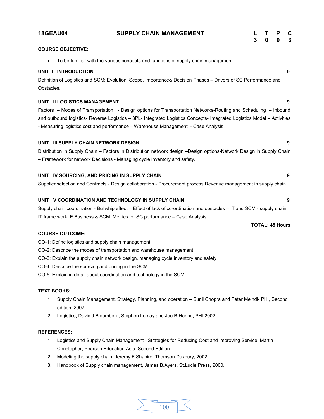|            | <b>18GEAU04</b>                                                                                                         | <b>SUPPLY CHAIN MANAGEMENT</b> |  | 3 | $\mathbf 0$            | P<br>$\bf{0}$ | C<br>$\mathbf{3}$ |
|------------|-------------------------------------------------------------------------------------------------------------------------|--------------------------------|--|---|------------------------|---------------|-------------------|
|            | <b>COURSE OBJECTIVE:</b>                                                                                                |                                |  |   |                        |               |                   |
|            | To be familiar with the various concepts and functions of supply chain management.                                      |                                |  |   |                        |               |                   |
|            | UNIT I INTRODUCTION                                                                                                     |                                |  |   |                        |               | 9                 |
| Obstacles. | Definition of Logistics and SCM: Evolution, Scope, Importance& Decision Phases - Drivers of SC Performance and          |                                |  |   |                        |               |                   |
|            | UNIT II LOGISTICS MANAGEMENT                                                                                            |                                |  |   |                        |               | 9                 |
|            | Factors – Modes of Transportation - Design options for Transportation Networks-Routing and Scheduling – Inbound         |                                |  |   |                        |               |                   |
|            | and outbound logistics- Reverse Logistics - 3PL- Integrated Logistics Concepts- Integrated Logistics Model - Activities |                                |  |   |                        |               |                   |
|            | - Measuring logistics cost and performance - Warehouse Management - Case Analysis.                                      |                                |  |   |                        |               |                   |
|            | UNIT III SUPPLY CHAIN NETWORK DESIGN                                                                                    |                                |  |   |                        |               | 9                 |
|            | Distribution in Supply Chain - Factors in Distribution network design -Design options-Network Design in Supply Chain    |                                |  |   |                        |               |                   |
|            | - Framework for network Decisions - Managing cycle inventory and safety.                                                |                                |  |   |                        |               |                   |
|            | UNIT IV SOURCING, AND PRICING IN SUPPLY CHAIN                                                                           |                                |  |   |                        |               | 9                 |
|            | Supplier selection and Contracts - Design collaboration - Procurement process. Revenue management in supply chain.      |                                |  |   |                        |               |                   |
|            | UNIT V COORDINATION AND TECHNOLOGY IN SUPPLY CHAIN                                                                      |                                |  |   |                        |               | 9                 |
|            | Supply chain coordination - Bullwhip effect - Effect of lack of co-ordination and obstacles - IT and SCM - supply chain |                                |  |   |                        |               |                   |
|            | IT frame work, E Business & SCM, Metrics for SC performance - Case Analysis                                             |                                |  |   |                        |               |                   |
|            |                                                                                                                         |                                |  |   | <b>TOTAL: 45 Hours</b> |               |                   |
|            | <b>COURSE OUTCOME:</b>                                                                                                  |                                |  |   |                        |               |                   |
|            | CO-1: Define logistics and supply chain management                                                                      |                                |  |   |                        |               |                   |
|            | CO-2: Describe the modes of transportation and warehouse management                                                     |                                |  |   |                        |               |                   |

CO-3: Explain the supply chain network design, managing cycle inventory and safety

CO-4: Describe the sourcing and pricing in the SCM

CO-5: Explain in detail about coordination and technology in the SCM

# **TEXT BOOKS:**

- 1. Supply Chain Management, Strategy, Planning, and operation Sunil Chopra and Peter Meindl- PHI, Second edition, 2007
- 2. Logistics, David J.Bloomberg, Stephen Lemay and Joe B.Hanna, PHI 2002

- 1. Logistics and Supply Chain Management –Strategies for Reducing Cost and Improving Service. Martin Christopher, Pearson Education Asia, Second Edition.
- 2. Modeling the supply chain, Jeremy F.Shapiro, Thomson Duxbury, 2002.
- **3.** Handbook of Supply chain management, James B.Ayers, St.Lucle Press, 2000.

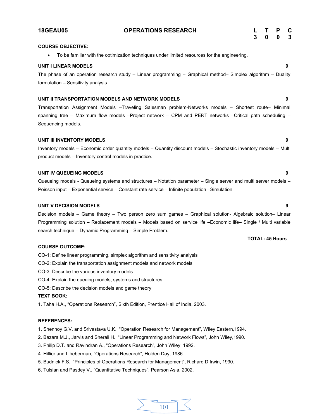| <b>COURSE OBJECTIVE:</b>                                                                     |   |
|----------------------------------------------------------------------------------------------|---|
| To be familiar with the optimization techniques under limited resources for the engineering. |   |
| UNIT I LINEAR MODELS                                                                         | o |

The phase of an operation research study – Linear programming – Graphical method– Simplex algorithm – Duality formulation – Sensitivity analysis.

# **UNIT II TRANSPORTATION MODELS AND NETWORK MODELS 9**

Transportation Assignment Models –Traveling Salesman problem-Networks models – Shortest route– Minimal spanning tree – Maximum flow models -Project network – CPM and PERT networks -Critical path scheduling – Sequencing models.

# **UNIT III INVENTORY MODELS 9**

Inventory models – Economic order quantity models – Quantity discount models – Stochastic inventory models – Multi product models – Inventory control models in practice.

# **UNIT IV QUEUEING MODELS 9**

Queueing models - Queueing systems and structures – Notation parameter – Single server and multi server models – Poisson input – Exponential service – Constant rate service – Infinite population –Simulation.

# **UNIT V DECISION MODELS 9**

Decision models – Game theory – Two person zero sum games – Graphical solution- Algebraic solution– Linear Programming solution – Replacement models – Models based on service life –Economic life– Single / Multi variable search technique – Dynamic Programming – Simple Problem.

## **COURSE OUTCOME:**

- CO-1: Define linear programming, simplex algorithm and sensitivity analysis
- CO-2: Explain the transportation assignment models and network models
- CO-3: Describe the various inventory models
- CO-4: Explain the queuing models, systems and structures.
- CO-5: Describe the decision models and game theory

### **TEXT BOOK:**

1. Taha H.A., "Operations Research", Sixth Edition, Prentice Hall of India, 2003.

# **REFERENCES:**

- 1. Shennoy G.V. and Srivastava U.K., "Operation Research for Management", Wiley Eastern,1994.
- 2. Bazara M.J., Jarvis and Sherali H., "Linear Programming and Network Flows", John Wiley,1990.
- 3. Philip D.T. and Ravindran A., "Operations Research", John Wiley, 1992.
- 4. Hillier and Libeberman, "Operations Research", Holden Day, 1986
- 5. Budnick F.S., "Principles of Operations Research for Management", Richard D Irwin, 1990.
- 6. Tulsian and Pasdey V., "Quantitative Techniques", Pearson Asia, 2002.

# 101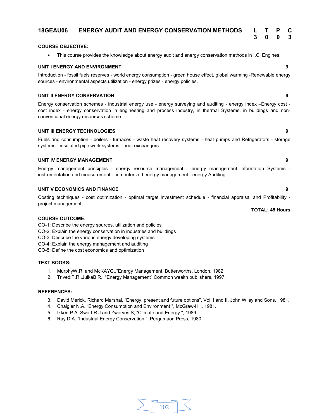# **18GEAU06 ENERGY AUDIT AND ENERGY CONSERVATION METHODS L T P C**

# **COURSE OBJECTIVE:**

∑ This course provides the knowledge about energy audit and energy conservation methods in I.C. Engines.

# **UNIT I ENERGY AND ENVIRONMENT 9**

Introduction - fossil fuels reserves - world energy consumption - green house effect, global warming -Renewable energy sources - environmental aspects utilization - energy prizes - energy policies.

# **UNIT II ENERGY CONSERVATION 9**

Energy conservation schemes - industrial energy use - energy surveying and auditing - energy index –Energy cost cost index - energy conservation in engineering and process industry, in thermal Systems, in buildings and nonconventional energy resources scheme

# **UNIT III ENERGY TECHNOLOGIES 9**

Fuels and consumption - boilers - furnaces - waste heat recovery systems - heat pumps and Refrigerators - storage systems - insulated pipe work systems - heat exchangers.

# **UNIT IV ENERGY MANAGEMENT 9**

Energy management principles - energy resource management - energy management information Systems instrumentation and measurement - computerized energy management - energy Auditing.

# **UNIT V ECONOMICS AND FINANCE 9**

Costing techniques - cost optimization - optimal target investment schedule - financial appraisal and Profitability project management.

# **COURSE OUTCOME:**

CO-1: Describe the energy sources, utilization and policies

- CO-2: Explain the energy conservation in industries and buildings
- CO-3: Describe the various energy developing systems
- CO-4: Explain the energy management and auditing

CO-5: Define the cost economics and optimization

### **TEXT BOOKS:**

- 1. MurphyW.R. and McKAYG.,"Energy Management, Butterworths, London, 1982.
- 2. TrivediP.R.,JulkaB.R., "Energy Management",Common wealth publishers, 1997.

# **REFERENCES:**

- 3. David Merick, Richard Marshal, "Energy, present and future options", Vol. I and II, John Wiley and Sons, 1981.
- 4. Chaigier N.A. "Energy Consumption and Environment", McGraw-Hill, 1981.
- 5. Ikken P.A. Swart R.J and Zwerves.S, "Climate and Energy ", 1989.
- 6. Ray D.A. "Industrial Energy Conservation ", Pergamaon Press, 1980.



### **TOTAL: 45 Hours**

**3 0 0 3**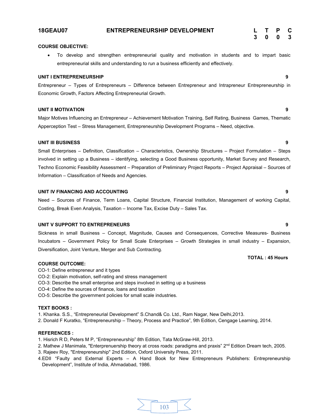# **18GEAU07 ENTREPRENEURSHIP DEVELOPMENT L T P C**

# **COURSE OBJECTIVE:**

∑ To develop and strengthen entrepreneurial quality and motivation in students and to impart basic entrepreneurial skills and understanding to run a business efficiently and effectively.

# **UNIT I ENTREPRENEURSHIP 9**

Entrepreneur – Types of Entrepreneurs – Difference between Entrepreneur and Intrapreneur Entrepreneurship in Economic Growth, Factors Affecting Entrepreneurial Growth.

# **UNIT II MOTIVATION 9**

Major Motives Influencing an Entrepreneur – Achievement Motivation Training, Self Rating, Business Games, Thematic Apperception Test – Stress Management, Entrepreneurship Development Programs – Need, objective.

# **UNIT III BUSINESS 9**

Small Enterprises – Definition, Classification – Characteristics, Ownership Structures – Project Formulation – Steps involved in setting up a Business – identifying, selecting a Good Business opportunity, Market Survey and Research, Techno Economic Feasibility Assessment – Preparation of Preliminary Project Reports – Project Appraisal – Sources of Information – Classification of Needs and Agencies.

# **UNIT IV FINANCING AND ACCOUNTING 9**

Need – Sources of Finance, Term Loans, Capital Structure, Financial Institution, Management of working Capital, Costing, Break Even Analysis, Taxation – Income Tax, Excise Duty – Sales Tax.

### **UNIT V SUPPORT TO ENTREPRENEURS 9**

Sickness in small Business – Concept, Magnitude, Causes and Consequences, Corrective Measures- Business Incubators – Government Policy for Small Scale Enterprises – Growth Strategies in small industry – Expansion, Diversification, Joint Venture, Merger and Sub Contracting.

### **COURSE OUTCOME:**

- CO-1: Define entrepreneur and it types
- CO-2: Explain motivation, self-rating and stress management
- CO-3: Describe the small enterprise and steps involved in setting up a business
- CO-4: Define the sources of finance, loans and taxation
- CO-5: Describe the government policies for small scale industries.

# **TEXT BOOKS :**

- 1. Khanka. S.S., "Entrepreneurial Development" S.Chand& Co. Ltd., Ram Nagar, New Delhi,2013.
- 2. Donald F Kuratko, "Entrepreneurship Theory, Process and Practice", 9th Edition, Cengage Learning, 2014.

# **REFERENCES :**

- 1. Hisrich R D, Peters M P, "Entrepreneurship" 8th Edition, Tata McGraw-Hill, 2013.
- 2. Mathew J Manimala, "Enterprenuership theory at cross roads: paradigms and praxis" 2<sup>nd</sup> Edition Dream tech, 2005.
- 3. Rajeev Roy, "Entrepreneurship" 2nd Edition, Oxford University Press, 2011.
- 4.EDII "Faulty and External Experts A Hand Book for New Entrepreneurs Publishers: Entrepreneurship Development", Institute of India, Ahmadabad, 1986.

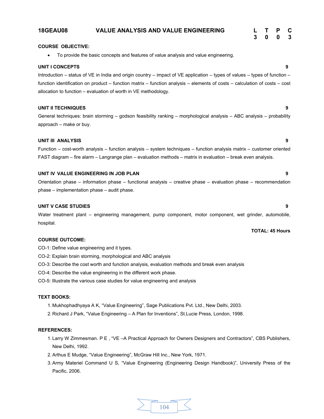### **18GEAU08 VALUE ANALYSIS AND VALUE ENGINEERING L T P C 3 0 0 3**

#### **COURSE OBJECTIVE:**

∑ To provide the basic concepts and features of value analysis and value engineering.

#### **UNIT I CONCEPTS 9**

Introduction – status of VE in India and origin country – impact of VE application – types of values – types of function – function identification on product – function matrix – function analysis – elements of costs – calculation of costs – cost allocation to function – evaluation of worth in VE methodology.

#### **UNIT II TECHNIQUES 9**

General techniques: brain storming – godson feasibility ranking – morphological analysis – ABC analysis – probability approach – make or buy.

#### **UNIT III ANALYSIS 9**

Function – cost-worth analysis – function analysis – system techniques – function analysis matrix – customer oriented FAST diagram – fire alarm – Langrange plan – evaluation methods – matrix in evaluation – break even analysis.

#### **UNIT IV VALUE ENGINEERING IN JOB PLAN 9**

Orientation phase – information phase – functional analysis – creative phase – evaluation phase – recommendation phase – implementation phase – audit phase.

#### **UNIT V CASE STUDIES 9**

Water treatment plant – engineering management, pump component, motor component, wet grinder, automobile, hospital.

#### **COURSE OUTCOME:**

- CO-1: Define value engineering and it types.
- CO-2: Explain brain storming, morphological and ABC analysis
- CO-3: Describe the cost worth and function analysis, evaluation methods and break even analysis
- CO-4: Describe the value engineering in the different work phase.
- CO-5: Illustrate the various case studies for value engineering and analysis

#### **TEXT BOOKS:**

- 1. Mukhophadhyaya A K, "Value Engineering", Sage Publications Pvt. Ltd., New Delhi, 2003.
- 2. Richard J Park, "Value Engineering A Plan for Inventions", St.Lucie Press, London, 1998.

#### **REFERENCES:**

- 1. Larry W Zimmesman. P E , "VE –A Practical Approach for Owners Designers and Contractors", CBS Publishers, New Delhi, 1992.
- 2. Arthus E Mudge, "Value Engineering", McGraw Hill Inc., New York, 1971.
- 3. Army Materiel Command U S, "Value Engineering (Engineering Design Handbook)", University Press of the Pacific, 2006.



### **TOTAL: 45 Hours**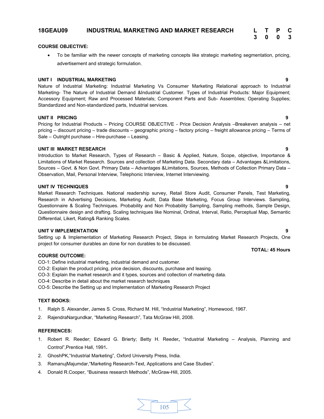#### **18GEAU09 INDUSTRIAL MARKETING AND MARKET RESEARCH L T P C**

#### **COURSE OBJECTIVE:**

∑ To be familiar with the newer concepts of marketing concepts like strategic marketing segmentation, pricing, advertisement and strategic formulation.

#### **UNIT I INDUSTRIAL MARKETING 9**

Nature of Industrial Marketing: Industrial Marketing Vs Consumer Marketing Relational approach to Industrial Marketing- The Nature of Industrial Demand &Industrial Customer. Types of Industrial Products: Major Equipment; Accessory Equipment; Raw and Processed Materials; Component Parts and Sub- Assemblies; Operating Supplies; Standardized and Non-standardized parts, Industrial services.

#### **UNIT II PRICING 9**

Pricing for Industrial Products – Pricing COURSE OBJECTIVE - Price Decision Analysis –Breakeven analysis – net pricing – discount pricing – trade discounts – geographic pricing – factory pricing – freight allowance pricing – Terms of Sale – Outright purchase – Hire-purchase – Leasing.

#### **UNIT III MARKET RESEARCH 9**

Introduction to Market Research, Types of Research – Basic & Applied, Nature, Scope, objective, Importance & Limitations of Market Research. Sources and collection of Marketing Data. Secondary data – Advantages &Limitations, Sources – Govt. & Non Govt. Primary Data – Advantages &Limitations, Sources, Methods of Collection Primary Data – Observation, Mail, Personal Interview, Telephonic Interview, Internet Interviewing.

#### **UNIT IV TECHNIQUES 9**

Market Research Techniques. National readership survey, Retail Store Audit, Consumer Panels, Test Marketing, Research in Advertising Decisions, Marketing Audit, Data Base Marketing, Focus Group Interviews. Sampling, Questionnaire & Scaling Techniques. Probability and Non Probability Sampling, Sampling methods, Sample Design, Questionnaire design and drafting. Scaling techniques like Nominal, Ordinal, Interval, Ratio, Perceptual Map, Semantic Differential, Likert, Rating& Ranking Scales.

#### **UNIT V IMPLEMENTATION 9**

Setting up & Implementation of Marketing Research Project, Steps in formulating Market Research Projects, One project for consumer durables an done for non durables to be discussed.

#### **COURSE OUTCOME:**

CO-1: Define industrial marketing, industrial demand and customer.

- CO-2: Explain the product pricing, price decision, discounts, purchase and leasing.
- CO-3: Explain the market research and it types, sources and collection of marketing data.
- CO-4: Describe in detail about the market research techniques

CO-5: Describe the Setting up and Implementation of Marketing Research Project

#### **TEXT BOOKS:**

- 1. Ralph S. Alexander, James S. Cross, Richard M. Hill, "Industrial Marketing", Homewood, 1967.
- 2. RajendraNargundkar, "Marketing Research", Tata McGraw Hill, 2008.

#### **REFERENCES:**

- 1. Robert R. Reeder; Edward G. Brierty; Betty H. Reeder**,** "Industrial Marketing Analysis, Planning and Control",Prentice Hall, 1991**.**
- 2. GhoshPK,"Industrial Marketing", Oxford University Press, India.
- 3. RamanujMajumdar,"Marketing Research-Text, Applications and Case Studies".
- 4. Donald R.Cooper, "Business research Methods", McGraw-Hill, 2005.



#### **TOTAL: 45 Hours**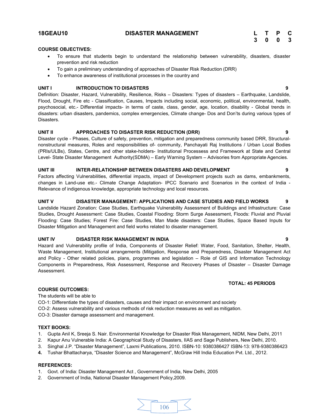#### **18GEAU10 DISASTER MANAGEMENT L T P C**

# **3 0 0 3**

#### **COURSE OBJECTIVES:**

- To ensure that students begin to understand the relationship between vulnerability, disasters, disaster prevention and risk reduction
- To gain a preliminary understanding of approaches of Disaster Risk Reduction (DRR)
- ∑ To enhance awareness of institutional processes in the country and

#### **UNIT I INTRODUCTION TO DISASTERS 9**

Definition: Disaster, Hazard, Vulnerability, Resilience, Risks – Disasters: Types of disasters – Earthquake, Landslide, Flood, Drought, Fire etc - Classification, Causes, Impacts including social, economic, political, environmental, health, psychosocial, etc.- Differential impacts- in terms of caste, class, gender, age, location, disability - Global trends in disasters: urban disasters, pandemics, complex emergencies, Climate change- Dos and Don'ts during various types of Disasters.

#### **UNIT II APPROACHES TO DISASTER RISK REDUCTION (DRR) 9**

Disaster cycle - Phases, Culture of safety, prevention, mitigation and preparedness community based DRR, Structuralnonstructural measures, Roles and responsibilities of- community, Panchayati Raj Institutions / Urban Local Bodies (PRIs/ULBs), States, Centre, and other stake-holders- Institutional Processess and Framework at State and Central Level- State Disaster Management Authority(SDMA) – Early Warning System – Advisories from Appropriate Agencies.

#### **UNIT III INTER-RELATIONSHIP BETWEEN DISASTERS AND DEVELOPMENT 9**

Factors affecting Vulnerabilities, differential impacts, impact of Development projects such as dams, embankments, changes in Land-use etc.- Climate Change Adaptation- IPCC Scenario and Scenarios in the context of India - Relevance of indigenous knowledge, appropriate technology and local resources.

#### **UNIT V DISASTER MANAGEMENT: APPLICATIONS AND CASE STUDIES AND FIELD WORKS 9**

Landslide Hazard Zonation: Case Studies, Earthquake Vulnerability Assessment of Buildings and Infrastructure: Case Studies, Drought Assessment: Case Studies, Coastal Flooding: Storm Surge Assessment, Floods: Fluvial and Pluvial Flooding: Case Studies; Forest Fire: Case Studies, Man Made disasters: Case Studies, Space Based Inputs for Disaster Mitigation and Management and field works related to disaster management.

#### **UNIT IV DISASTER RISK MANAGEMENT IN INDIA 9**

Hazard and Vulnerability profile of India, Components of Disaster Relief: Water, Food, Sanitation, Shelter, Health, Waste Management, Institutional arrangements (Mitigation, Response and Preparedness, Disaster Management Act and Policy - Other related policies, plans, programmes and legislation – Role of GIS and Information Technology Components in Preparedness, Risk Assessment, Response and Recovery Phases of Disaster – Disaster Damage Assessment.

#### **TOTAL: 45 PERIODS**

#### **COURSE OUTCOMES:**

The students will be able to

CO-1: Differentiate the types of disasters, causes and their impact on environment and society CO-2: Assess vulnerability and various methods of risk reduction measures as well as mitigation.

CO-3: Disaster damage assessment and management.

#### **TEXT BOOKS:**

- 1. Gupta Anil K, Sreeja S. Nair. Environmental Knowledge for Disaster Risk Management, NIDM, New Delhi, 2011
- 2. Kapur Anu Vulnerable India: A Geographical Study of Disasters, IIAS and Sage Publishers, New Delhi, 2010.
- 3. Singhal J.P. "Disaster Management", Laxmi Publications, 2010. ISBN-10: 9380386427 ISBN-13: 978-9380386423
- **4.** Tushar Bhattacharya, "Disaster Science and Management", McGraw Hill India Education Pvt. Ltd., 2012.

#### **REFERENCES:**

- 1. Govt. of India: Disaster Management Act , Government of India, New Delhi, 2005
- 2. Government of India, National Disaster Management Policy,2009.

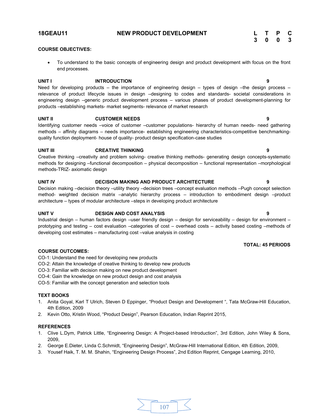#### **18GEAU11 NEW PRODUCT DEVELOPMENT L T P C**

| L | Т | P | С |
|---|---|---|---|
| 3 | 0 | 0 | 3 |

**TOTAL: 45 PERIODS**

#### **COURSE OBJECTIVES:**

● To understand to the basic concepts of engineering design and product development with focus on the front end processes.

#### **UNIT I INTRODUCTION 9**

Need for developing products – the importance of engineering design – types of design –the design process – relevance of product lifecycle issues in design –designing to codes and standards- societal considerations in engineering design –generic product development process – various phases of product development-planning for products –establishing markets- market segments- relevance of market research

#### **UNIT II CUSTOMER NEEDS 9**

Identifying customer needs –voice of customer –customer populations- hierarchy of human needs- need gathering methods – affinity diagrams – needs importance- establishing engineering characteristics-competitive benchmarkingquality function deployment- house of quality- product design specification-case studies

#### **UNIT III CREATIVE THINKING 9**

Creative thinking –creativity and problem solving- creative thinking methods- generating design concepts-systematic methods for designing –functional decomposition – physical decomposition – functional representation –morphological methods-TRIZ- axiomatic design

#### **UNIT IV DECISION MAKING AND PRODUCT ARCHITECTURE 9**

Decision making –decision theory –utility theory –decision trees –concept evaluation methods –Pugh concept selection method- weighted decision matrix –analytic hierarchy process – introduction to embodiment design –product architecture – types of modular architecture –steps in developing product architecture

#### **UNIT V DESIGN AND COST ANALYSIS 9**

Industrial design – human factors design –user friendly design – design for serviceability – design for environment – prototyping and testing – cost evaluation –categories of cost – overhead costs – activity based costing –methods of developing cost estimates – manufacturing cost –value analysis in costing

#### **COURSE OUTCOMES:**

- CO-1: Understand the need for developing new products
- CO-2: Attain the knowledge of creative thinking to develop new products
- CO-3: Familiar with decision making on new product development
- CO-4: Gain the knowledge on new product design and cost analysis
- CO-5: Familiar with the concept generation and selection tools

#### **TEXT BOOKS**

- 1. Anita Goyal, Karl T Ulrich, Steven D Eppinger, "Product Design and Development ", Tata McGraw-Hill Education, 4th Edition, 2009
- 2. Kevin Otto, Kristin Wood, "Product Design", Pearson Education, Indian Reprint 2015,

#### **REFERENCES**

- 1. Clive L.Dym, Patrick Little, "Engineering Design: A Project-based Introduction", 3rd Edition, John Wiley & Sons, 2009,
- 2. George E.Dieter, Linda C.Schmidt, "Engineering Design", McGraw-Hill International Edition, 4th Edition, 2009,
- 3. Yousef Haik, T. M. M. Shahin, "Engineering Design Process", 2nd Edition Reprint, Cengage Learning, 2010,

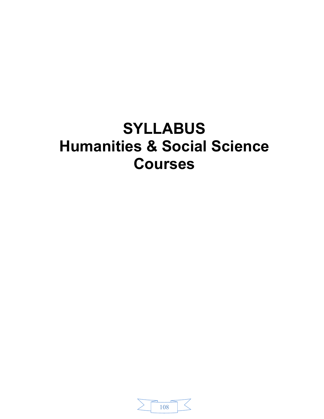# **SYLLABUS Humanities & Social Science Courses**

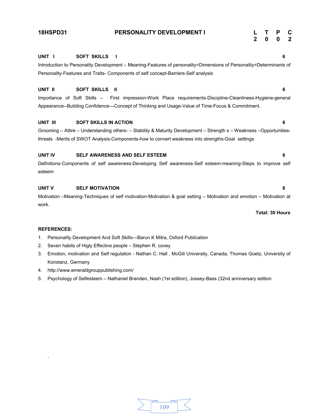#### **18HSPD31 PERSONALITY DEVELOPMENT I L T P C**

# **2 0 0 2**

### **UNIT I SOFT SKILLS I 6** Introduction to Personality Development – Meaning-Features of personality=Dimensions of Personality=Determinants of Personality-Features and Traits- Components of self concept-Barriers-Self analysis

#### **UNIT II SOFT SKILLS II 6**

Importance of Soft Skills – First impression-Work Place requirements-Discipline-Cleanliness-Hygiene-general Appearance--Building Confidence—Concept of Thinking and Usage-Value of Time-Focus & Commitment.

#### **UNIT III SOFT SKILLS IN ACTION 6**

Grooming – Attire – Understanding others- – Stability & Maturity Development – Strength s – Weakness –Opportunitiesthreats -Merits of SWOT Analysis-Components-how to convert weakness into strengths-Goal settings

#### **UNIT IV SELF AWARENESS AND SELF ESTEEM 6**

Definitions-Components of self awareness-Developing Self awareness-Self esteem-meaning-Steps to improve self esteem

#### **UNIT V SELF MOTIVATION 6**

Motivation –Meaning-Techniques of self motivation-Motivation & goal setting – Motivation and emotion – Motivation at work.

**Total: 30 Hours**

#### **REFERENCES:**

.

- 1. Personality Development And Soft Skills---Barun K Mitra, Oxford Publication
- 2. Seven habits of Higly Effective people Stephen R. covey
- 3. Emotion, motivation and Self regulation Nathan C. Hall , McGill University, Canada, Thomas Goetz, University of Konstanz, Germany
- 4. http://www.emeraldgrouppublishing.com/
- 5. Psychology of Selfesteem Nathaniel Branden, Nash (1st edition), Jossey-Bass (32nd anniversary edition

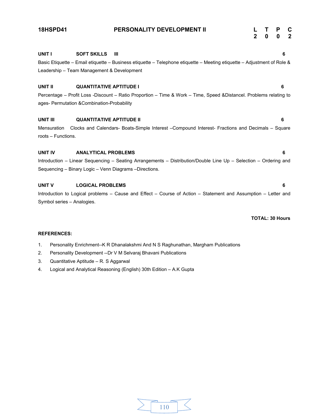# **UNIT I SOFT SKILLS III 6** Basic Etiquette – Email etiquette – Business etiquette – Telephone etiquette – Meeting etiquette – Adjustment of Role & Leadership – Team Management & Development **UNIT II QUANTITATIVE APTITUDE I 6** Percentage – Profit Loss -Discount – Ratio Proportion – Time & Work – Time, Speed &Distancel. Problems relating to ages- Permutation &Combination-Probability **2 0 0 2**

**18HSPD41 PERSONALITY DEVELOPMENT II L T P C**

#### **UNIT III QUANTITATIVE APTITUDE II 6**

Mensuration Clocks and Calendars- Boats-Simple Interest –Compound Interest- Fractions and Decimals – Square roots – Functions.

#### **UNIT IV ANALYTICAL PROBLEMS 6**

Introduction – Linear Sequencing – Seating Arrangements – Distribution/Double Line Up – Selection – Ordering and Sequencing – Binary Logic – Venn Diagrams –Directions.

#### **UNIT V LOGICAL PROBLEMS 6**

Introduction to Logical problems – Cause and Effect – Course of Action – Statement and Assumption – Letter and Symbol series – Analogies.

#### **TOTAL: 30 Hours**

#### **REFERENCES:**

- 1. Personality Enrichment--K R Dhanalakshmi And N S Raghunathan, Margham Publications
- 2. Personality Development --Dr V M Selvaraj Bhavani Publications
- 3. Quantitative Aptitude R. S Aggarwal
- 4. Logical and Analytical Reasoning (English) 30th Edition A.K Gupta

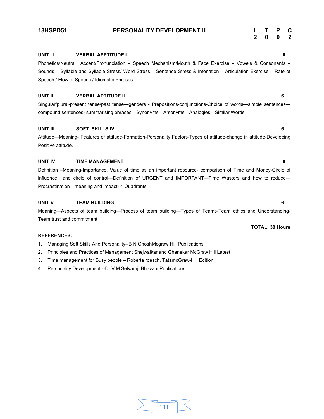#### **UNIT I VERBAL APPTITUDE I 6**

### Phonetics/Neutral Accent/Pronunciation – Speech Mechanism/Mouth & Face Exercise – Vowels & Consonants – Sounds – Syllable and Syllable Stress/ Word Stress – Sentence Stress & Intonation – Articulation Exercise – Rate of Speech / Flow of Speech / Idiomatic Phrases.

#### **UNIT II VERBAL APTITUDE II 6**

Singular/plural-present tense/past tense—genders - Prepositions-conjunctions-Choice of words—simple sentences compound sentences- summarising phrases—Synonyms—Antonyms—Analogies—Similar Words

#### **UNIT III SOFT SKILLS IV 6**

Attitude—Meaning- Features of attitude-Formation-Personality Factors-Types of attitude-change in attitude-Developing Positive attitude.

#### **UNIT IV TIME MANAGEMENT 6**

Definition –Meaning-Importance, Value of time as an important resource- comparison of Time and Money-Circle of influence and circle of control—Definition of URGENT and IMPORTANT—Time Wasters and how to reduce— Procrastination—meaning and impact- 4 Quadrants.

#### **UNIT V TEAM BUILDING 6**

Meaning—Aspects of team building—Process of team building—Types of Teams-Team ethics and Understanding-Team trust and commitment

#### **REFERENCES:**

- 1. Managing Soft Skills And Personality--B N GhoshMcgraw Hill Publications
- 2. Principles and Practices of Management Shejwalkar and Ghanekar McGraw Hill Latest
- 3. Time management for Busy people Roberta roesch, TatamcGraw-Hill Edition
- 4. Personality Development --Dr V M Selvaraj, Bhavani Publications

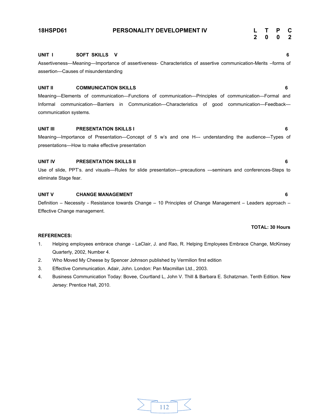#### **18HSPD61 PERSONALITY DEVELOPMENT IV L T P C**

**2 0 0 2**

#### **UNIT I SOFT SKILLS V 6**

Assertiveness—Meaning—Importance of assertiveness- Characteristics of assertive communication-Merits –forms of assertion—Causes of misunderstanding

#### **UNIT II COMMUNICATION SKILLS 6**

Meaning—Elements of communication—Functions of communication—Principles of communication—Formal and Informal communication—Barriers in Communication—Characteristics of good communication—Feedback communication systems.

#### **UNIT III PRESENTATION SKILLS I 6**

Meaning—Importance of Presentation—Concept of 5 w's and one H--- understanding the audience—Types of presentations—How to make effective presentation

#### **UNIT IV PRESENTATION SKILLS II 6**

Use of slide, PPT's. and visuals—Rules for slide presentation—precautions ---seminars and conferences-Steps to eliminate Stage fear.

#### **UNIT V CHANGE MANAGEMENT 6**

Definition – Necessity - Resistance towards Change – 10 Principles of Change Management – Leaders approach – Effective Change management.

#### **REFERENCES:**

- 1. Helping employees embrace change LaClair, J. and Rao, R. Helping Employees Embrace Change, McKinsey Quarterly, 2002, Number 4.
- 2. Who Moved My Cheese by Spencer Johnson published by Vermilion first edition
- 3. Effective Communication. Adair, John. London: Pan Macmillan Ltd., 2003.
- 4. Business Communication Today: Bovee, Courtland L, John V. Thill & Barbara E. Schatzman. Tenth Edition. New Jersey: Prentice Hall, 2010.

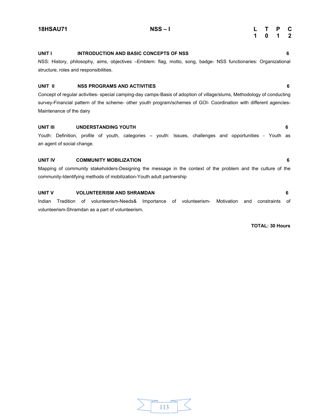NSS: History, philosophy, aims, objectives –Emblem: flag, motto, song, badge- NSS functionaries: Organizational

### **UNIT I INTRODUCTION AND BASIC CONCEPTS OF NSS 6**

### **UNIT II NSS PROGRAMS AND ACTIVITIES 6**

Concept of regular activities- special camping-day camps-Basis of adoption of village/slums, Methodology of conducting survey-Financial pattern of the scheme- other youth program/schemes of GOI- Coordination with different agencies-Maintenance of the dairy

#### **UNIT III UNDERSTANDING YOUTH 6**

structure, roles and responsibilities.

Youth: Definition, profile of youth, categories – youth: Issues, challenges and opportunities - Youth as an agent of social change.

### **UNIT IV COMMUNITY MOBILIZATION 6**

Mapping of community stakeholders-Designing the message in the context of the problem and the culture of the community-Identifying methods of mobilization-Youth adult partnership

#### **UNIT V VOLUNTEERISM AND SHRAMDAN 6**

Indian Tradition of volunteerism-Needs& Importance of volunteerism- Motivation and constraints of volunteerism-Shramdan as a part of volunteerism.

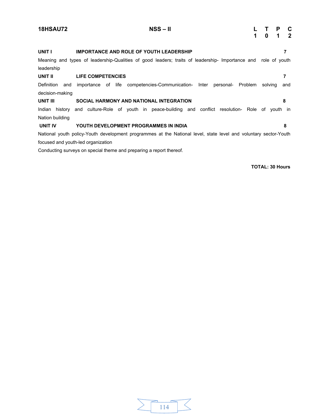| <b>18HSAU72</b>                   | $NSS - II$<br>$\overline{1}$                                                                                                                                    |         | T P C<br>0 1 2 |          |
|-----------------------------------|-----------------------------------------------------------------------------------------------------------------------------------------------------------------|---------|----------------|----------|
| UNIT I                            | <b>IMPORTANCE AND ROLE OF YOUTH LEADERSHIP</b><br>Meaning and types of leadership-Qualities of good leaders; traits of leadership- Importance and role of youth |         |                | 7        |
| leadership<br>UNIT II             | LIFE COMPETENCIES<br>Definition and importance of life competencies-Communication- Inter personal- Problem                                                      | solving |                | 7<br>and |
| decision-making<br>UNIT III       | SOCIAL HARMONY AND NATIONAL INTEGRATION                                                                                                                         |         |                | 8        |
| Indian history<br>Nation building | and culture-Role of youth in peace-building and conflict resolution- Role of youth in                                                                           |         |                |          |
| UNIT IV                           | YOUTH DEVELOPMENT PROGRAMMES IN INDIA<br>National youth policy-Youth development programmes at the National level, state level and voluntary sector-Youth       |         |                | 8        |
|                                   | focused and youth-led organization<br>Conducting surveys on special theme and preparing a report thereof.                                                       |         |                |          |

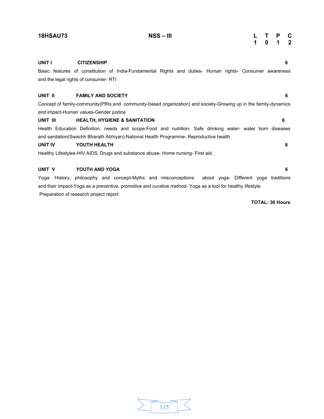#### **18HSAU73 NSS – III L T P C**

| L |   | ۲ | c                |
|---|---|---|------------------|
| 1 | 0 | 1 | $\boldsymbol{2}$ |

| UNIT I   | <b>CITIZENSHIP</b>                                                                                                | 6 |
|----------|-------------------------------------------------------------------------------------------------------------------|---|
|          | Basic features of constitution of India-Fundamental Rights and duties- Human rights- Consumer awareness           |   |
|          | and the legal rights of consumer-RTI                                                                              |   |
|          |                                                                                                                   |   |
| UNIT II  | <b>FAMILY AND SOCIETY</b>                                                                                         | 6 |
|          | Concept of family-community (PRIs and community-based organization) and society-Growing up in the family-dynamics |   |
|          | and impact-Human values-Gender justice                                                                            |   |
| UNIT III | <b>HEALTH, HYGIENE &amp; SANITATION</b>                                                                           | 6 |
|          | Health Education Definition, needs and scope-Food and nutrition- Safe drinking water- water born diseases         |   |
|          | and sanitation(Swachh Bharath Abhiyan)-National Health Programme- Reproductive health                             |   |

#### **UNIT IV YOUTH HEALTH 6**

Healthy Lifestyles-HIV AIDS, Drugs and substance abuse- Home nursing- First aid.

#### **UNIT V YOUTH AND YOGA 6**

Yoga: History, philosophy and concept-Myths and misconceptions about yoga- Different yoga traditions and their impact-Yoga as a preventive, promotive and curative method- Yoga as a tool for healthy lifestyle Preparation of research project report.

| טטו |  |  |
|-----|--|--|
|     |  |  |
|     |  |  |
|     |  |  |

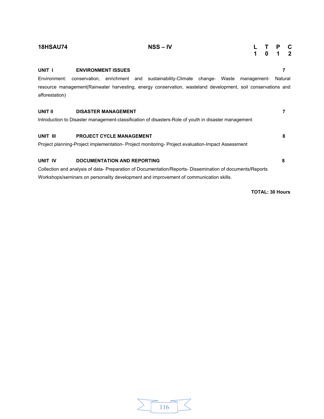| <b>18HSAU74</b> | $NSS - IV$                                                                                                                                                                                          | 1           | 0 | P<br>1 | C<br>$\overline{\mathbf{2}}$ |
|-----------------|-----------------------------------------------------------------------------------------------------------------------------------------------------------------------------------------------------|-------------|---|--------|------------------------------|
| UNIT I          | <b>ENVIRONMENT ISSUES</b>                                                                                                                                                                           |             |   |        | 7                            |
| afforestation)  | Environment: conservation, enrichment and sustainability-Climate change- Waste<br>resource management(Rainwater harvesting, energy conservation, wasteland development, soil conservations and      | management- |   |        | Natural                      |
| UNIT II         | <b>DISASTER MANAGEMENT</b>                                                                                                                                                                          |             |   |        | 7                            |
|                 | Introduction to Disaster management-classification of disasters-Role of youth in disaster management                                                                                                |             |   |        |                              |
| UNIT III        | <b>PROJECT CYCLE MANAGEMENT</b>                                                                                                                                                                     |             |   |        | 8                            |
|                 | Project planning-Project implementation- Project monitoring- Project evaluation-Impact Assessment                                                                                                   |             |   |        |                              |
| UNIT IV         | <b>DOCUMENTATION AND REPORTING</b>                                                                                                                                                                  |             |   |        | 8                            |
|                 | Collection and analysis of data- Preparation of Documentation/Reports- Dissemination of documents/Reports<br>Workshops/seminars on personality development and improvement of communication skills. |             |   |        |                              |
|                 |                                                                                                                                                                                                     |             |   |        |                              |

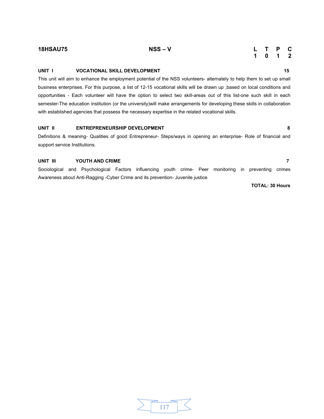### **UNIT I VOCATIONAL SKILL DEVELOPMENT 15 15**

This unit will aim to enhance the employment potential of the NSS volunteers- alternately to help them to set up small business enterprises. For this purpose, a list of 12-15 vocational skills will be drawn up ,based on local conditions and opportunities - Each volunteer will have the option to select two skill-areas out of this list-one such skill in each semester-The education institution (or the university)will make arrangements for developing these skills in collaboration with established agencies that possess the necessary expertise in the related vocational skills.

#### **UNIT II ENTREPRENEURSHIP DEVELOPMENT 8**

Definitions & meaning- Qualities of good Entrepreneur- Steps/ways in opening an enterprise- Role of financial and support service Institutions.

#### **UNIT III YOUTH AND CRIME 7**

Sociological and Psychological Factors influencing youth crime- Peer monitoring in preventing crimes Awareness about Anti-Ragging -Cyber Crime and its prevention- Juvenile justice

**TOTAL: 30 Hours** 

#### **18HSAU75 NSS – V L T P C 1 0 1 2**